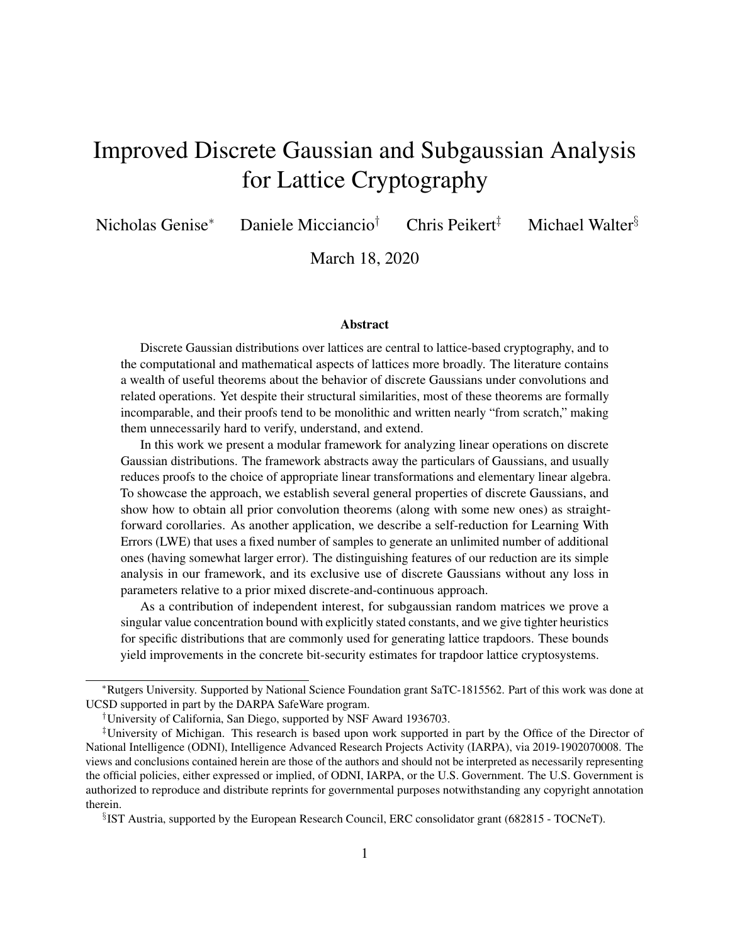# Improved Discrete Gaussian and Subgaussian Analysis for Lattice Cryptography

Nicholas Genise<sup>∗</sup> Daniele Micciancio<sup>†</sup> Chris Peikert<sup>‡</sup> Michael Walter<sup>§</sup>

March 18, 2020

#### Abstract

Discrete Gaussian distributions over lattices are central to lattice-based cryptography, and to the computational and mathematical aspects of lattices more broadly. The literature contains a wealth of useful theorems about the behavior of discrete Gaussians under convolutions and related operations. Yet despite their structural similarities, most of these theorems are formally incomparable, and their proofs tend to be monolithic and written nearly "from scratch," making them unnecessarily hard to verify, understand, and extend.

In this work we present a modular framework for analyzing linear operations on discrete Gaussian distributions. The framework abstracts away the particulars of Gaussians, and usually reduces proofs to the choice of appropriate linear transformations and elementary linear algebra. To showcase the approach, we establish several general properties of discrete Gaussians, and show how to obtain all prior convolution theorems (along with some new ones) as straightforward corollaries. As another application, we describe a self-reduction for Learning With Errors (LWE) that uses a fixed number of samples to generate an unlimited number of additional ones (having somewhat larger error). The distinguishing features of our reduction are its simple analysis in our framework, and its exclusive use of discrete Gaussians without any loss in parameters relative to a prior mixed discrete-and-continuous approach.

As a contribution of independent interest, for subgaussian random matrices we prove a singular value concentration bound with explicitly stated constants, and we give tighter heuristics for specific distributions that are commonly used for generating lattice trapdoors. These bounds yield improvements in the concrete bit-security estimates for trapdoor lattice cryptosystems.

<sup>∗</sup>Rutgers University. Supported by National Science Foundation grant SaTC-1815562. Part of this work was done at UCSD supported in part by the DARPA SafeWare program.

<sup>†</sup>University of California, San Diego, supported by NSF Award 1936703.

<sup>‡</sup>University of Michigan. This research is based upon work supported in part by the Office of the Director of National Intelligence (ODNI), Intelligence Advanced Research Projects Activity (IARPA), via 2019-1902070008. The views and conclusions contained herein are those of the authors and should not be interpreted as necessarily representing the official policies, either expressed or implied, of ODNI, IARPA, or the U.S. Government. The U.S. Government is authorized to reproduce and distribute reprints for governmental purposes notwithstanding any copyright annotation therein.

<sup>§</sup> IST Austria, supported by the European Research Council, ERC consolidator grant (682815 - TOCNeT).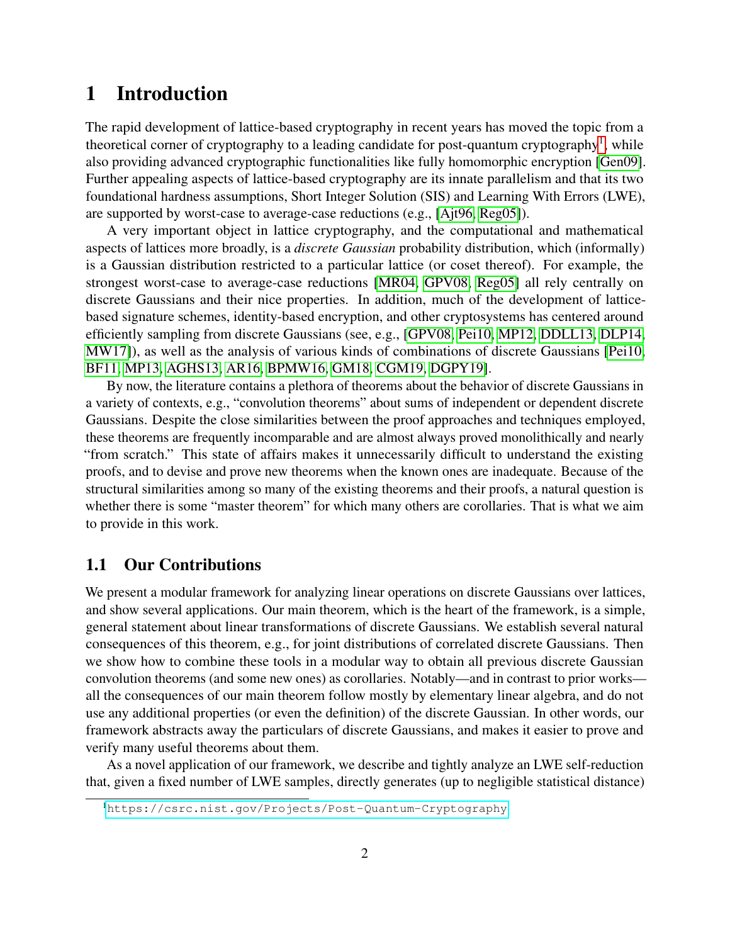## 1 Introduction

The rapid development of lattice-based cryptography in recent years has moved the topic from a theoretical corner of cryptography to a leading candidate for post-quantum cryptography<sup>[1](#page-1-0)</sup>, while also providing advanced cryptographic functionalities like fully homomorphic encryption [\[Gen09\]](#page-27-0). Further appealing aspects of lattice-based cryptography are its innate parallelism and that its two foundational hardness assumptions, Short Integer Solution (SIS) and Learning With Errors (LWE), are supported by worst-case to average-case reductions (e.g., [\[Ajt96,](#page-26-0) [Reg05\]](#page-28-0)).

A very important object in lattice cryptography, and the computational and mathematical aspects of lattices more broadly, is a *discrete Gaussian* probability distribution, which (informally) is a Gaussian distribution restricted to a particular lattice (or coset thereof). For example, the strongest worst-case to average-case reductions [\[MR04,](#page-27-1) [GPV08,](#page-27-2) [Reg05\]](#page-28-0) all rely centrally on discrete Gaussians and their nice properties. In addition, much of the development of latticebased signature schemes, identity-based encryption, and other cryptosystems has centered around efficiently sampling from discrete Gaussians (see, e.g., [\[GPV08,](#page-27-2) [Pei10,](#page-27-3) [MP12,](#page-27-4) [DDLL13,](#page-27-5) [DLP14,](#page-27-6) [MW17\]](#page-27-7)), as well as the analysis of various kinds of combinations of discrete Gaussians [\[Pei10,](#page-27-3) [BF11,](#page-26-1) [MP13,](#page-27-8) [AGHS13,](#page-26-2) [AR16,](#page-26-3) [BPMW16,](#page-26-4) [GM18,](#page-27-9) [CGM19,](#page-26-5) [DGPY19\]](#page-27-10).

By now, the literature contains a plethora of theorems about the behavior of discrete Gaussians in a variety of contexts, e.g., "convolution theorems" about sums of independent or dependent discrete Gaussians. Despite the close similarities between the proof approaches and techniques employed, these theorems are frequently incomparable and are almost always proved monolithically and nearly "from scratch." This state of affairs makes it unnecessarily difficult to understand the existing proofs, and to devise and prove new theorems when the known ones are inadequate. Because of the structural similarities among so many of the existing theorems and their proofs, a natural question is whether there is some "master theorem" for which many others are corollaries. That is what we aim to provide in this work.

#### 1.1 Our Contributions

We present a modular framework for analyzing linear operations on discrete Gaussians over lattices, and show several applications. Our main theorem, which is the heart of the framework, is a simple, general statement about linear transformations of discrete Gaussians. We establish several natural consequences of this theorem, e.g., for joint distributions of correlated discrete Gaussians. Then we show how to combine these tools in a modular way to obtain all previous discrete Gaussian convolution theorems (and some new ones) as corollaries. Notably—and in contrast to prior works all the consequences of our main theorem follow mostly by elementary linear algebra, and do not use any additional properties (or even the definition) of the discrete Gaussian. In other words, our framework abstracts away the particulars of discrete Gaussians, and makes it easier to prove and verify many useful theorems about them.

As a novel application of our framework, we describe and tightly analyze an LWE self-reduction that, given a fixed number of LWE samples, directly generates (up to negligible statistical distance)

<span id="page-1-0"></span><sup>1</sup><https://csrc.nist.gov/Projects/Post-Quantum-Cryptography>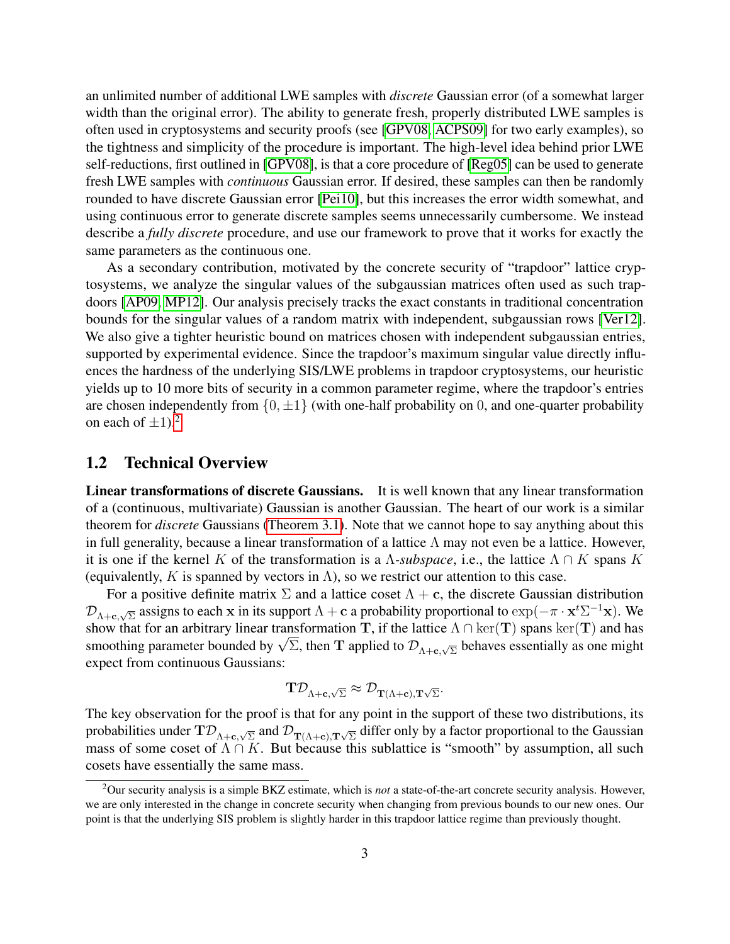an unlimited number of additional LWE samples with *discrete* Gaussian error (of a somewhat larger width than the original error). The ability to generate fresh, properly distributed LWE samples is often used in cryptosystems and security proofs (see [\[GPV08,](#page-27-2) [ACPS09\]](#page-26-6) for two early examples), so the tightness and simplicity of the procedure is important. The high-level idea behind prior LWE self-reductions, first outlined in [\[GPV08\]](#page-27-2), is that a core procedure of [\[Reg05\]](#page-28-0) can be used to generate fresh LWE samples with *continuous* Gaussian error. If desired, these samples can then be randomly rounded to have discrete Gaussian error [\[Pei10\]](#page-27-3), but this increases the error width somewhat, and using continuous error to generate discrete samples seems unnecessarily cumbersome. We instead describe a *fully discrete* procedure, and use our framework to prove that it works for exactly the same parameters as the continuous one.

As a secondary contribution, motivated by the concrete security of "trapdoor" lattice cryptosystems, we analyze the singular values of the subgaussian matrices often used as such trapdoors [\[AP09,](#page-26-7) [MP12\]](#page-27-4). Our analysis precisely tracks the exact constants in traditional concentration bounds for the singular values of a random matrix with independent, subgaussian rows [\[Ver12\]](#page-28-1). We also give a tighter heuristic bound on matrices chosen with independent subgaussian entries, supported by experimental evidence. Since the trapdoor's maximum singular value directly influences the hardness of the underlying SIS/LWE problems in trapdoor cryptosystems, our heuristic yields up to 10 more bits of security in a common parameter regime, where the trapdoor's entries are chosen independently from  $\{0, \pm 1\}$  (with one-half probability on 0, and one-quarter probability on each of  $\pm 1$ ).<sup>[2](#page-2-0)</sup>

#### 1.2 Technical Overview

Linear transformations of discrete Gaussians. It is well known that any linear transformation of a (continuous, multivariate) Gaussian is another Gaussian. The heart of our work is a similar theorem for *discrete* Gaussians [\(Theorem 3.1\)](#page-10-0). Note that we cannot hope to say anything about this in full generality, because a linear transformation of a lattice  $\Lambda$  may not even be a lattice. However, it is one if the kernel K of the transformation is a  $\Lambda$ -subspace, i.e., the lattice  $\Lambda \cap K$  spans K (equivalently, K is spanned by vectors in  $\Lambda$ ), so we restrict our attention to this case.

For a positive definite matrix  $\Sigma$  and a lattice coset  $\Lambda + c$ , the discrete Gaussian distribution  $\mathcal{D}_{\Lambda+\mathbf{c},\sqrt{\Sigma}}$  assigns to each x in its support  $\Lambda+\mathbf{c}$  a probability proportional to  $\exp(-\pi\cdot\mathbf{x}^t\Sigma^{-1}\mathbf{x})$ . We show that for an arbitrary linear transformation T, if the lattice  $\Lambda \cap \text{ker}(T)$  spans  $\text{ker}(T)$  and has show that for an arbitrary linear transformation **1**, if the lattice  $\Lambda \cap \ker(\mathbf{1})$  spans  $\ker(\mathbf{1})$  and has smoothing parameter bounded by  $\sqrt{\Sigma}$ , then **T** applied to  $\mathcal{D}_{\Lambda + \mathbf{c}, \sqrt{\Sigma}}$  behaves essentially as one mi expect from continuous Gaussians:

$$
\mathbf{T} \mathcal{D}_{\Lambda+\mathbf{c},\sqrt{\Sigma}} \approx \mathcal{D}_{\mathbf{T}(\Lambda+\mathbf{c}),\mathbf{T}\sqrt{\Sigma}}.
$$

The key observation for the proof is that for any point in the support of these two distributions, its probabilities under  $T\mathcal{D}_{\Lambda+\mathbf{c},\sqrt{\Sigma}}$  and  $\mathcal{D}_{\mathbf{T}(\Lambda+\mathbf{c}),\mathbf{T}\sqrt{\Sigma}}$  differ only by a factor proportional to the Gaussian mass of some coset of  $\Lambda \cap K$ . But because this sublattice is "smooth" by assumption, all such cosets have essentially the same mass.

<span id="page-2-0"></span><sup>2</sup>Our security analysis is a simple BKZ estimate, which is *not* a state-of-the-art concrete security analysis. However, we are only interested in the change in concrete security when changing from previous bounds to our new ones. Our point is that the underlying SIS problem is slightly harder in this trapdoor lattice regime than previously thought.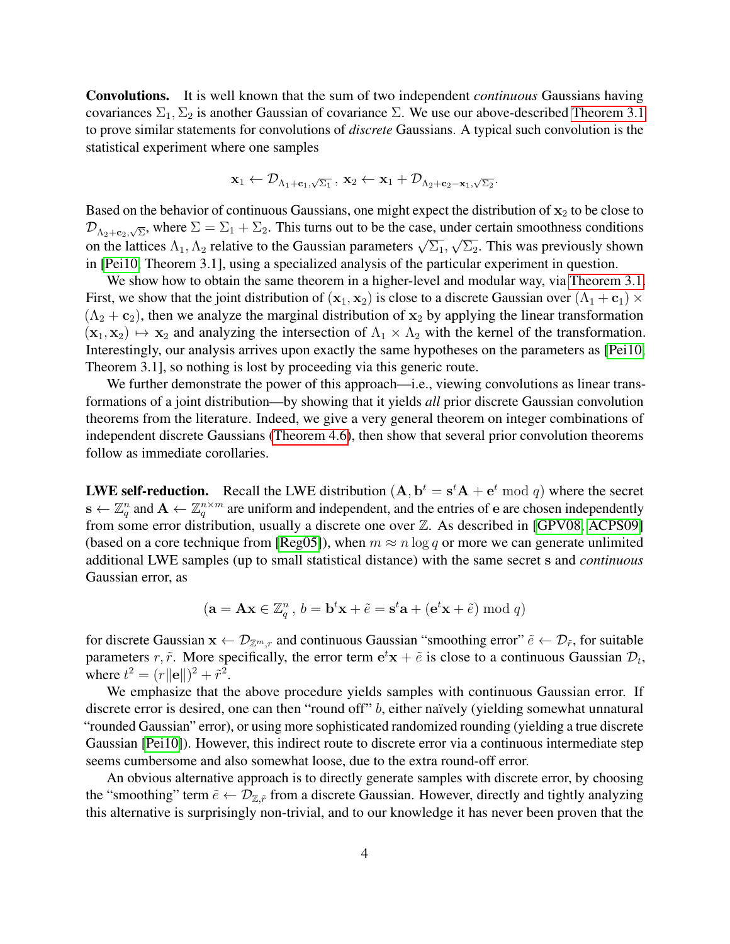Convolutions. It is well known that the sum of two independent *continuous* Gaussians having covariances  $\Sigma_1$ ,  $\Sigma_2$  is another Gaussian of covariance  $\Sigma$ . We use our above-described [Theorem 3.1](#page-10-0) to prove similar statements for convolutions of *discrete* Gaussians. A typical such convolution is the statistical experiment where one samples

$$
\mathbf{x}_1 \leftarrow \mathcal{D}_{\Lambda_1+\mathbf{c}_1, \sqrt{\Sigma_1}} \text{, } \mathbf{x}_2 \leftarrow \mathbf{x}_1 + \mathcal{D}_{\Lambda_2+\mathbf{c}_2-\mathbf{x}_1, \sqrt{\Sigma_2}}.
$$

Based on the behavior of continuous Gaussians, one might expect the distribution of  $x_2$  to be close to  $\mathcal{D}_{\Lambda_2+\mathbf{c}_2,\sqrt{\Sigma}}$ , where  $\Sigma = \Sigma_1 + \Sigma_2$ . This turns out to be the case, under certain smoothness conditions  $\nu_{\Lambda_2 + \mathbf{c}_2, \sqrt{\Sigma}}$ , where  $\Delta = \Delta_1 + \Delta_2$ . This turns out to be the case, under ecrtain smoothness conditions on the lattices  $\Lambda_1, \Lambda_2$  relative to the Gaussian parameters  $\sqrt{\Sigma_1}, \sqrt{\Sigma_2}$ . This was previously shown in [\[Pei10,](#page-27-3) Theorem 3.1], using a specialized analysis of the particular experiment in question.

We show how to obtain the same theorem in a higher-level and modular way, via [Theorem 3.1.](#page-10-0) First, we show that the joint distribution of  $(x_1, x_2)$  is close to a discrete Gaussian over  $(Λ_1 + c_1) \times$  $(\Lambda_2 + \mathbf{c}_2)$ , then we analyze the marginal distribution of  $\mathbf{x}_2$  by applying the linear transformation  $(x_1, x_2) \mapsto x_2$  and analyzing the intersection of  $\Lambda_1 \times \Lambda_2$  with the kernel of the transformation. Interestingly, our analysis arrives upon exactly the same hypotheses on the parameters as [\[Pei10,](#page-27-3) Theorem 3.1], so nothing is lost by proceeding via this generic route.

We further demonstrate the power of this approach—i.e., viewing convolutions as linear transformations of a joint distribution—by showing that it yields *all* prior discrete Gaussian convolution theorems from the literature. Indeed, we give a very general theorem on integer combinations of independent discrete Gaussians [\(Theorem 4.6\)](#page-16-0), then show that several prior convolution theorems follow as immediate corollaries.

**LWE self-reduction.** Recall the LWE distribution  $(A, b^t = s^t A + e^t \mod q)$  where the secret  $\mathbf{s} \leftarrow \mathbb{Z}_q^n$  and  $\mathbf{A} \leftarrow \mathbb{Z}_q^{n \times m}$  are uniform and independent, and the entries of e are chosen independently from some error distribution, usually a discrete one over  $\mathbb{Z}$ . As described in [\[GPV08,](#page-27-2) [ACPS09\]](#page-26-6) (based on a core technique from [\[Reg05\]](#page-28-0)), when  $m \approx n \log q$  or more we can generate unlimited additional LWE samples (up to small statistical distance) with the same secret s and *continuous* Gaussian error, as

$$
(\mathbf{a} = \mathbf{A}\mathbf{x} \in \mathbb{Z}_q^n
$$
,  $b = \mathbf{b}^t\mathbf{x} + \tilde{e} = \mathbf{s}^t\mathbf{a} + (\mathbf{e}^t\mathbf{x} + \tilde{e}) \bmod q$ 

for discrete Gaussian  $x \leftarrow \mathcal{D}_{\mathbb{Z}^m,r}$  and continuous Gaussian "smoothing error"  $\tilde{e} \leftarrow \mathcal{D}_{\tilde{r}}$ , for suitable parameters  $r, \tilde{r}$ . More specifically, the error term  $e^t\mathbf{x} + \tilde{e}$  is close to a continuous Gaussian  $\mathcal{D}_t$ , where  $t^2 = (r||e||)^2 + \tilde{r}^2$ .

We emphasize that the above procedure yields samples with continuous Gaussian error. If discrete error is desired, one can then "round off"  $b$ , either naïvely (yielding somewhat unnatural "rounded Gaussian" error), or using more sophisticated randomized rounding (yielding a true discrete Gaussian [\[Pei10\]](#page-27-3)). However, this indirect route to discrete error via a continuous intermediate step seems cumbersome and also somewhat loose, due to the extra round-off error.

An obvious alternative approach is to directly generate samples with discrete error, by choosing the "smoothing" term  $\tilde{e} \leftarrow \mathcal{D}_{\mathbb{Z},\tilde{r}}$  from a discrete Gaussian. However, directly and tightly analyzing this alternative is surprisingly non-trivial, and to our knowledge it has never been proven that the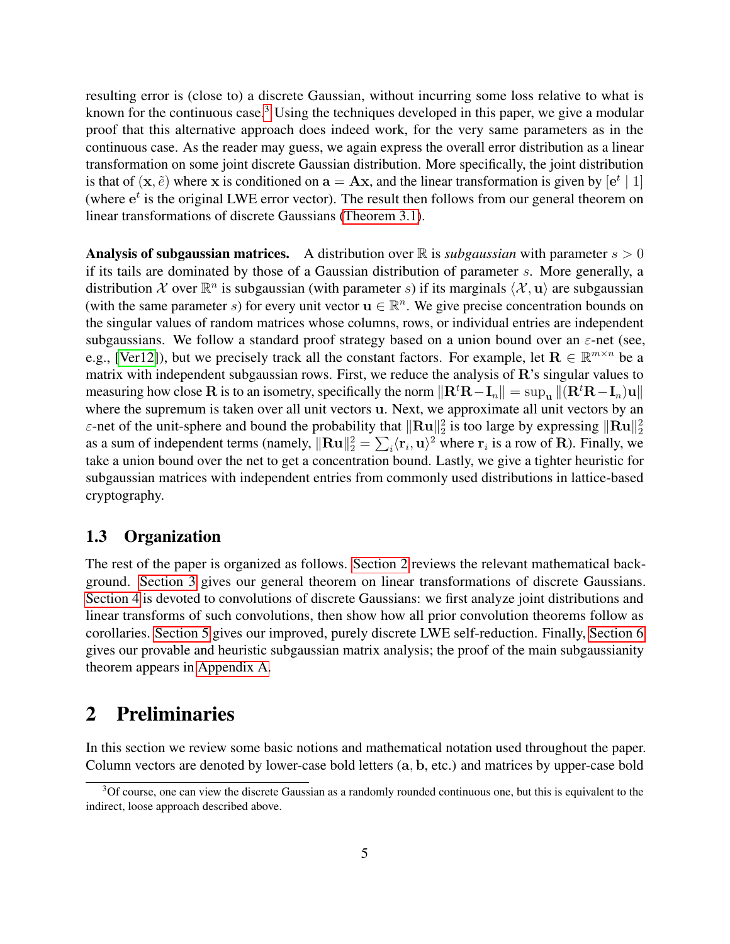resulting error is (close to) a discrete Gaussian, without incurring some loss relative to what is known for the continuous case.<sup>[3](#page-4-0)</sup> Using the techniques developed in this paper, we give a modular proof that this alternative approach does indeed work, for the very same parameters as in the continuous case. As the reader may guess, we again express the overall error distribution as a linear transformation on some joint discrete Gaussian distribution. More specifically, the joint distribution is that of  $(x, \tilde{e})$  where x is conditioned on  $a = Ax$ , and the linear transformation is given by  $[e^t | 1]$ (where  $e^t$  is the original LWE error vector). The result then follows from our general theorem on linear transformations of discrete Gaussians [\(Theorem 3.1\)](#page-10-0).

**Analysis of subgaussian matrices.** A distribution over  $\mathbb{R}$  is *subgaussian* with parameter  $s > 0$ if its tails are dominated by those of a Gaussian distribution of parameter s. More generally, a distribution X over  $\mathbb{R}^n$  is subgaussian (with parameter s) if its marginals  $\langle \mathcal{X}, \mathbf{u} \rangle$  are subgaussian (with the same parameter s) for every unit vector  $u \in \mathbb{R}^n$ . We give precise concentration bounds on the singular values of random matrices whose columns, rows, or individual entries are independent subgaussians. We follow a standard proof strategy based on a union bound over an  $\varepsilon$ -net (see, e.g., [\[Ver12\]](#page-28-1)), but we precisely track all the constant factors. For example, let  $\mathbf{R} \in \mathbb{R}^{m \times n}$  be a matrix with independent subgaussian rows. First, we reduce the analysis of R's singular values to measuring how close R is to an isometry, specifically the norm  $\|\mathbf{R}^t\mathbf{R}-\mathbf{I}_n\| = \sup_{\mathbf{u}} \|(\mathbf{R}^t\mathbf{R}-\mathbf{I}_n)\mathbf{u}\|$ where the supremum is taken over all unit vectors u. Next, we approximate all unit vectors by an  $\varepsilon$ -net of the unit-sphere and bound the probability that  $\|\mathbf{R}\mathbf{u}\|_2^2$  is too large by expressing  $\|\mathbf{R}\mathbf{u}\|_2^2$ as a sum of independent terms (namely,  $\|\mathbf{R}\mathbf{u}\|_2^2 = \sum_i \langle \mathbf{r}_i, \mathbf{u} \rangle^2$  where  $\mathbf{r}_i$  is a row of  $\mathbf{R}$ ). Finally, we take a union bound over the net to get a concentration bound. Lastly, we give a tighter heuristic for subgaussian matrices with independent entries from commonly used distributions in lattice-based cryptography.

#### 1.3 Organization

The rest of the paper is organized as follows. [Section 2](#page-4-1) reviews the relevant mathematical background. [Section 3](#page-10-1) gives our general theorem on linear transformations of discrete Gaussians. [Section 4](#page-12-0) is devoted to convolutions of discrete Gaussians: we first analyze joint distributions and linear transforms of such convolutions, then show how all prior convolution theorems follow as corollaries. [Section 5](#page-18-0) gives our improved, purely discrete LWE self-reduction. Finally, [Section 6](#page-21-0) gives our provable and heuristic subgaussian matrix analysis; the proof of the main subgaussianity theorem appears in [Appendix A.](#page-28-2)

### <span id="page-4-1"></span>2 Preliminaries

In this section we review some basic notions and mathematical notation used throughout the paper. Column vectors are denoted by lower-case bold letters (a, b, etc.) and matrices by upper-case bold

<span id="page-4-0"></span><sup>&</sup>lt;sup>3</sup>Of course, one can view the discrete Gaussian as a randomly rounded continuous one, but this is equivalent to the indirect, loose approach described above.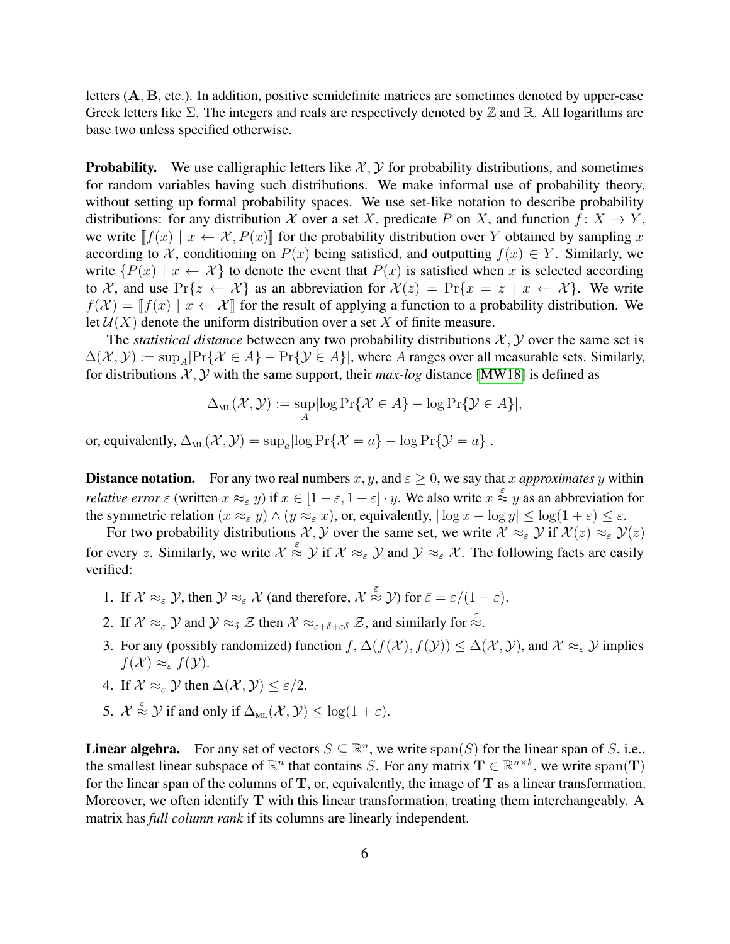letters (A, B, etc.). In addition, positive semidefinite matrices are sometimes denoted by upper-case Greek letters like  $\Sigma$ . The integers and reals are respectively denoted by Z and R. All logarithms are base two unless specified otherwise.

**Probability.** We use calligraphic letters like  $X, Y$  for probability distributions, and sometimes for random variables having such distributions. We make informal use of probability theory, without setting up formal probability spaces. We use set-like notation to describe probability distributions: for any distribution X over a set X, predicate P on X, and function  $f: X \to Y$ , we write  $\llbracket f(x) \mid x \leftarrow \mathcal{X}, P(x) \rrbracket$  for the probability distribution over Y obtained by sampling x according to X, conditioning on  $P(x)$  being satisfied, and outputting  $f(x) \in Y$ . Similarly, we write  $\{P(x) \mid x \leftarrow \mathcal{X}\}$  to denote the event that  $P(x)$  is satisfied when x is selected according to X, and use  $Pr\{z \leftarrow \mathcal{X}\}\$ as an abbreviation for  $\mathcal{X}(z) = Pr\{x = z \mid x \leftarrow \mathcal{X}\}\$ . We write  $f(\mathcal{X}) = \llbracket f(x) \mid x \leftarrow \mathcal{X} \rrbracket$  for the result of applying a function to a probability distribution. We let  $\mathcal{U}(X)$  denote the uniform distribution over a set X of finite measure.

The *statistical distance* between any two probability distributions  $\mathcal{X}, \mathcal{Y}$  over the same set is  $\Delta(\mathcal{X}, \mathcal{Y}) := \sup_{A} \left| \Pr \{ \mathcal{X} \in A \} - \Pr \{ \mathcal{Y} \in A \} \right|$ , where A ranges over all measurable sets. Similarly, for distributions  $\mathcal{X}, \mathcal{Y}$  with the same support, their *max-log* distance [\[MW18\]](#page-27-11) is defined as

$$
\Delta_{\text{ML}}(\mathcal{X}, \mathcal{Y}) := \sup_{A} |\log \Pr\{\mathcal{X} \in A\} - \log \Pr\{\mathcal{Y} \in A\}|,
$$

or, equivalently,  $\Delta_{ML}(\mathcal{X}, \mathcal{Y}) = \sup_a |\log \Pr{\mathcal{X} = a\} - \log \Pr{\mathcal{Y} = a}|.$ 

**Distance notation.** For any two real numbers x, y, and  $\varepsilon \ge 0$ , we say that x *approximates* y within *relative error*  $\varepsilon$  (written  $x \approx_{\varepsilon} y$ ) if  $x \in [1 - \varepsilon, 1 + \varepsilon] \cdot y$ . We also write  $x \approx y$  as an abbreviation for the symmetric relation  $(x \approx_{\varepsilon} y) \wedge (y \approx_{\varepsilon} x)$ , or, equivalently,  $|\log x - \log y| \leq \log(1 + \varepsilon) \leq \varepsilon$ .

For two probability distributions X, Y over the same set, we write  $\mathcal{X} \approx_{\varepsilon} \mathcal{Y}$  if  $\mathcal{X}(z) \approx_{\varepsilon} \mathcal{Y}(z)$ for every z. Similarly, we write  $\mathcal{X} \stackrel{\varepsilon}{\approx} \mathcal{Y}$  if  $\mathcal{X} \approx_{\varepsilon} \mathcal{Y}$  and  $\mathcal{Y} \approx_{\varepsilon} \mathcal{X}$ . The following facts are easily verified:

- 1. If  $\mathcal{X} \approx_{\varepsilon} \mathcal{Y}$ , then  $\mathcal{Y} \approx_{\bar{\varepsilon}} \mathcal{X}$  (and therefore,  $\mathcal{X} \stackrel{\bar{\varepsilon}}{\approx} \mathcal{Y}$ ) for  $\bar{\varepsilon} = \varepsilon/(1-\varepsilon)$ .
- 2. If  $\mathcal{X} \approx_{\varepsilon} \mathcal{Y}$  and  $\mathcal{Y} \approx_{\delta} \mathcal{Z}$  then  $\mathcal{X} \approx_{\varepsilon+\delta+\varepsilon\delta} \mathcal{Z}$ , and similarly for  $\stackrel{\varepsilon}{\approx}$ .
- 3. For any (possibly randomized) function  $f, \Delta(f(\mathcal{X}), f(\mathcal{Y})) < \Delta(\mathcal{X}, \mathcal{Y})$ , and  $\mathcal{X} \approx_{\varepsilon} \mathcal{Y}$  implies  $f(\mathcal{X}) \approx_{\varepsilon} f(\mathcal{Y}).$
- 4. If  $\mathcal{X} \approx_{\varepsilon} \mathcal{Y}$  then  $\Delta(\mathcal{X}, \mathcal{Y}) \leq \varepsilon/2$ .
- 5.  $\mathcal{X} \stackrel{\varepsilon}{\approx} \mathcal{Y}$  if and only if  $\Delta_{ML}(\mathcal{X}, \mathcal{Y}) \leq \log(1 + \varepsilon)$ .

**Linear algebra.** For any set of vectors  $S \subseteq \mathbb{R}^n$ , we write span(S) for the linear span of S, i.e., the smallest linear subspace of  $\mathbb{R}^n$  that contains S. For any matrix  $T \in \mathbb{R}^{n \times k}$ , we write  $\text{span}(T)$ for the linear span of the columns of  $T$ , or, equivalently, the image of  $T$  as a linear transformation. Moreover, we often identify T with this linear transformation, treating them interchangeably. A matrix has *full column rank* if its columns are linearly independent.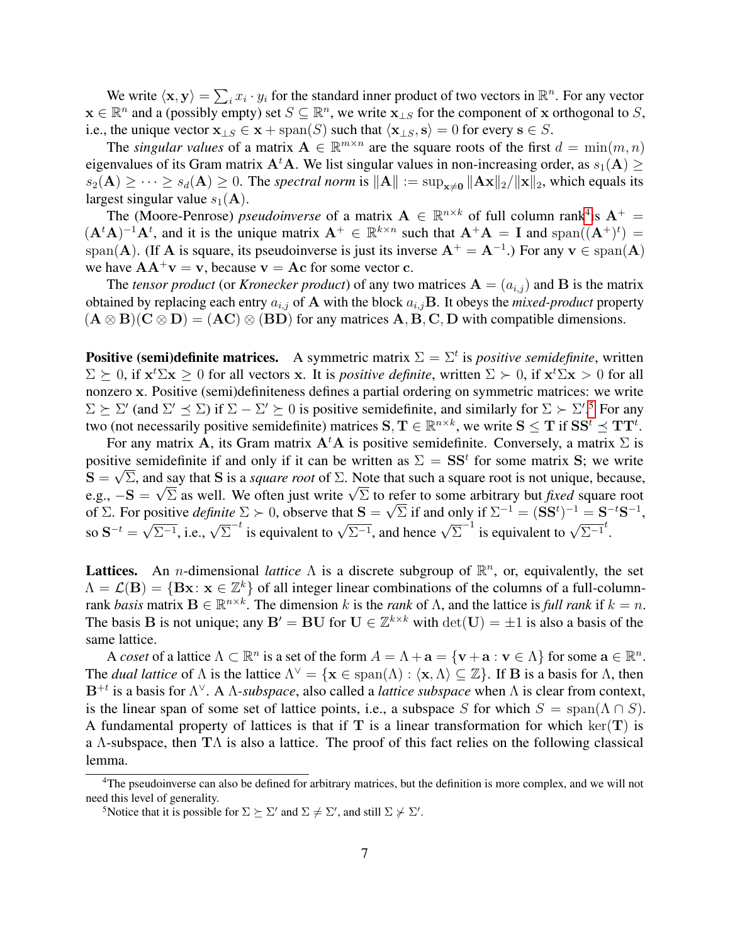We write  $\langle x, y \rangle = \sum_i x_i \cdot y_i$  for the standard inner product of two vectors in  $\mathbb{R}^n$ . For any vector  $\mathbf{x} \in \mathbb{R}^n$  and a (possibly empty) set  $S \subseteq \mathbb{R}^n$ , we write  $\mathbf{x}_{\perp S}$  for the component of x orthogonal to S, i.e., the unique vector  $\mathbf{x}_{\perp S} \in \mathbf{x} + \text{span}(S)$  such that  $\langle \mathbf{x}_{\perp S}, \mathbf{s} \rangle = 0$  for every  $\mathbf{s} \in S$ .

The *singular values* of a matrix  $A \in \mathbb{R}^{m \times n}$  are the square roots of the first  $d = \min(m, n)$ eigenvalues of its Gram matrix  $A<sup>t</sup>A$ . We list singular values in non-increasing order, as  $s_1(A) \geq$  $s_2(A) \geq \cdots \geq s_d(A) \geq 0$ . The *spectral norm* is  $||A|| := \sup_{x\neq 0} ||Ax||_2 / ||x||_2$ , which equals its largest singular value  $s_1(A)$ .

The (Moore-Penrose) *pseudoinverse* of a matrix  $A \in \mathbb{R}^{n \times k}$  of full column rank<sup>[4](#page-6-0)</sup> is  $A^+$  =  $(A<sup>t</sup>A)<sup>-1</sup>A<sup>t</sup>$ , and it is the unique matrix  $A<sup>+</sup> \in \mathbb{R}^{k \times n}$  such that  $A<sup>+</sup>A = I$  and span $((A<sup>+</sup>)<sup>t</sup>) =$ span(A). (If A is square, its pseudoinverse is just its inverse  $A^+ = A^{-1}$ .) For any  $v \in \text{span}(A)$ we have  $AA^+v = v$ , because  $v = Ac$  for some vector c.

The *tensor product* (or *Kronecker product*) of any two matrices  $A = (a_{i,j})$  and B is the matrix obtained by replacing each entry  $a_{i,j}$  of A with the block  $a_{i,j}$ B. It obeys the *mixed-product* property  $(A \otimes B)(C \otimes D) = (AC) \otimes (BD)$  for any matrices A, B, C, D with compatible dimensions.

**Positive (semi)definite matrices.** A symmetric matrix  $\Sigma = \Sigma^t$  is *positive semidefinite*, written  $\Sigma \succeq 0$ , if  $\mathbf{x}^t \Sigma \mathbf{x} \geq 0$  for all vectors x. It is *positive definite*, written  $\Sigma \succ 0$ , if  $\mathbf{x}^t \Sigma \mathbf{x} > 0$  for all nonzero x. Positive (semi)definiteness defines a partial ordering on symmetric matrices: we write  $\Sigma \succeq \Sigma'$  (and  $\Sigma' \preceq \Sigma$ ) if  $\Sigma - \Sigma' \succeq 0$  is positive semidefinite, and similarly for  $\Sigma \succ \Sigma'$ .<sup>[5](#page-6-1)</sup> For any two (not necessarily positive semidefinite) matrices  $S, T \in \mathbb{R}^{n \times k}$ , we write  $S \leq T$  if  $SS^t \preceq TT^t$ .

For any matrix A, its Gram matrix  $A<sup>t</sup>A$  is positive semidefinite. Conversely, a matrix  $\Sigma$  is positive semidefinite if and only if it can be written as  $\Sigma = SS^t$  for some matrix S; we write  $S = \sqrt{\Sigma}$ , and say that S is a *square root* of  $\Sigma$ . Note that such a square root is not unique, because,  $\mathbf{S} = \sqrt{\Sigma}$ , and say that S is a *square root* of  $\Sigma$ . Note that such a square root is not unique, because, e.g.,  $-\mathbf{S} = \sqrt{\Sigma}$  as well. We often just write  $\sqrt{\Sigma}$  to refer to some arbitrary but *fixed* square root of  $\Sigma$ . For positive *definite*  $\Sigma \succ 0$ , observe that  $S = \sqrt{\Sigma}$  if and only if  $\Sigma^{-1} = (SS^t)^{-1} = S^{-t}S^{-1}$ , so  $S^{-t}$  =  $\mathbf{P}'$ SSILVC definite  $\Delta > 0$ , observe that  $S = \sqrt{\Delta}$  in and only if  $\Delta = (SS) = 0$ .<br> $\overline{\Sigma^{-1}}$ , i.e.,  $\sqrt{\Sigma}^{-t}$  is equivalent to  $\sqrt{\Sigma^{-1}}$ , and hence  $\sqrt{\Sigma}^{-1}$  is equivalent to  $\sqrt{\Sigma^{-1}}$ .

Lattices. An *n*-dimensional *lattice*  $\Lambda$  is a discrete subgroup of  $\mathbb{R}^n$ , or, equivalently, the set  $\Lambda = \mathcal{L}(\mathbf{B}) = \{ \mathbf{Bx} : \mathbf{x} \in \mathbb{Z}^k \}$  of all integer linear combinations of the columns of a full-columnrank *basis* matrix  $\mathbf{B} \in \mathbb{R}^{n \times k}$ . The dimension k is the *rank* of  $\Lambda$ , and the lattice is *full rank* if  $k = n$ . The basis B is not unique; any  $B' = BU$  for  $U \in \mathbb{Z}^{k \times k}$  with  $\det(U) = \pm 1$  is also a basis of the same lattice.

A *coset* of a lattice  $\Lambda \subset \mathbb{R}^n$  is a set of the form  $A = \Lambda + \mathbf{a} = \{ \mathbf{v} + \mathbf{a} : \mathbf{v} \in \Lambda \}$  for some  $\mathbf{a} \in \mathbb{R}^n$ . The *dual lattice* of  $\Lambda$  is the lattice  $\Lambda^{\vee} = {\mathbf{x} \in \text{span}(\Lambda) : \langle \mathbf{x}, \Lambda \rangle \subseteq \mathbb{Z}}$ . If **B** is a basis for  $\Lambda$ , then  $B^{+t}$  is a basis for  $\Lambda^{\vee}$ . A  $\Lambda$ -subspace, also called a *lattice subspace* when  $\Lambda$  is clear from context, is the linear span of some set of lattice points, i.e., a subspace S for which  $S = \text{span}(\Lambda \cap S)$ . A fundamental property of lattices is that if  $T$  is a linear transformation for which ker(T) is a  $\Lambda$ -subspace, then T $\Lambda$  is also a lattice. The proof of this fact relies on the following classical lemma.

<span id="page-6-0"></span><sup>4</sup>The pseudoinverse can also be defined for arbitrary matrices, but the definition is more complex, and we will not need this level of generality.

<span id="page-6-1"></span><sup>&</sup>lt;sup>5</sup>Notice that it is possible for  $\Sigma \succeq \Sigma'$  and  $\Sigma \neq \Sigma'$ , and still  $\Sigma \not\succ \Sigma'$ .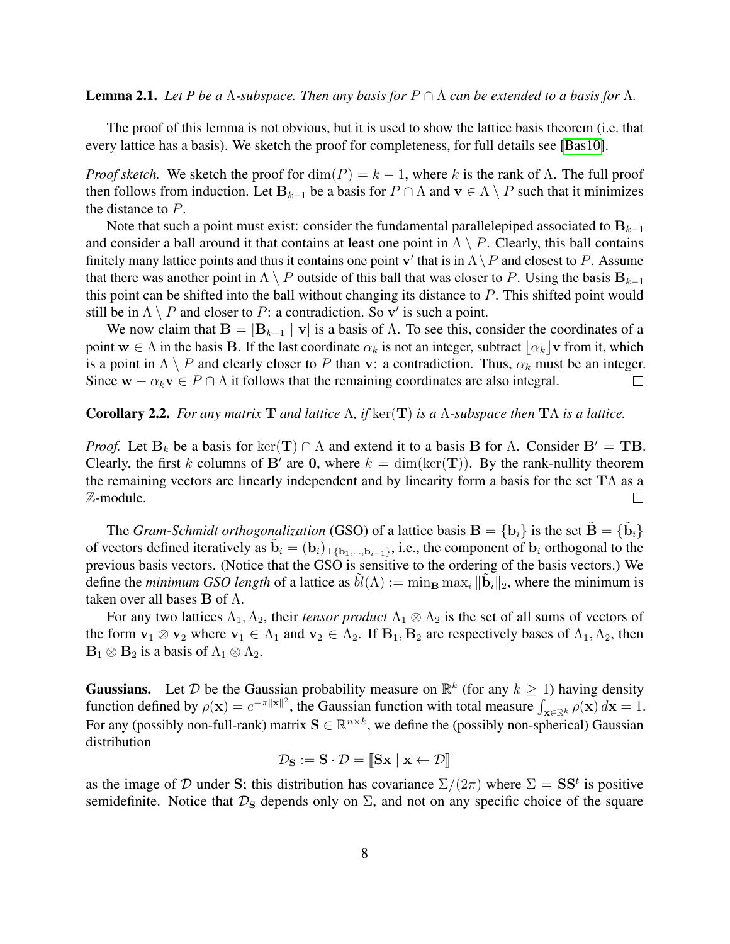**Lemma 2.1.** Let P be a  $\Lambda$ -subspace. Then any basis for  $P \cap \Lambda$  can be extended to a basis for  $\Lambda$ .

The proof of this lemma is not obvious, but it is used to show the lattice basis theorem (i.e. that every lattice has a basis). We sketch the proof for completeness, for full details see [\[Bas10\]](#page-26-8).

*Proof sketch.* We sketch the proof for  $\dim(P) = k - 1$ , where k is the rank of  $\Lambda$ . The full proof then follows from induction. Let  $B_{k-1}$  be a basis for  $P \cap \Lambda$  and  $v \in \Lambda \setminus P$  such that it minimizes the distance to P.

Note that such a point must exist: consider the fundamental parallelepiped associated to  $B_{k-1}$ and consider a ball around it that contains at least one point in  $\Lambda \setminus P$ . Clearly, this ball contains finitely many lattice points and thus it contains one point v' that is in  $\Lambda \setminus P$  and closest to P. Assume that there was another point in  $\Lambda \setminus P$  outside of this ball that was closer to P. Using the basis  $B_{k-1}$ this point can be shifted into the ball without changing its distance to  $P$ . This shifted point would still be in  $\Lambda \setminus P$  and closer to P: a contradiction. So v' is such a point.

We now claim that  $B = [B_{k-1} | v]$  is a basis of  $\Lambda$ . To see this, consider the coordinates of a point  $w \in \Lambda$  in the basis B. If the last coordinate  $\alpha_k$  is not an integer, subtract  $|\alpha_k|v$  from it, which is a point in  $\Lambda \setminus P$  and clearly closer to P than v: a contradiction. Thus,  $\alpha_k$  must be an integer. Since  $\mathbf{w} - \alpha_k \mathbf{v} \in P \cap \Lambda$  it follows that the remaining coordinates are also integral.  $\Box$ 

#### Corollary 2.2. *For any matrix* T *and lattice* Λ*, if* ker(T) *is a* Λ*-subspace then* TΛ *is a lattice.*

*Proof.* Let  $B_k$  be a basis for ker(T)  $\cap$   $\Lambda$  and extend it to a basis B for  $\Lambda$ . Consider  $B' = TB$ . Clearly, the first k columns of B' are 0, where  $k = \dim(\ker(T))$ . By the rank-nullity theorem the remaining vectors are linearly independent and by linearity form a basis for the set  $TA$  as a Z-module.  $\Box$ 

The *Gram-Schmidt orthogonalization* (GSO) of a lattice basis  $B = \{b_i\}$  is the set  $\tilde{B} = \{\tilde{b}_i\}$ of vectors defined iteratively as  $\tilde{\mathbf{b}}_i = (\mathbf{b}_i)_{\perp} \{\mathbf{b}_1,\dots,\mathbf{b}_{i-1}\}$ , i.e., the component of  $\mathbf{b}_i$  orthogonal to the previous basis vectors. (Notice that the GSO is sensitive to the ordering of the basis vectors.) We define the *minimum GSO length* of a lattice as  $\tilde{b}l(\Lambda) := \min_{\mathbf{B}} \max_i ||\tilde{\mathbf{b}}_i||_2$ , where the minimum is taken over all bases  $\bf{B}$  of  $\Lambda$ .

For any two lattices  $\Lambda_1, \Lambda_2$ , their *tensor product*  $\Lambda_1 \otimes \Lambda_2$  is the set of all sums of vectors of the form  $\mathbf{v}_1 \otimes \mathbf{v}_2$  where  $\mathbf{v}_1 \in \Lambda_1$  and  $\mathbf{v}_2 \in \Lambda_2$ . If  $\mathbf{B}_1, \mathbf{B}_2$  are respectively bases of  $\Lambda_1, \Lambda_2$ , then  $\mathbf{B}_1 \otimes \mathbf{B}_2$  is a basis of  $\Lambda_1 \otimes \Lambda_2$ .

**Gaussians.** Let D be the Gaussian probability measure on  $\mathbb{R}^k$  (for any  $k \geq 1$ ) having density function defined by  $\rho(\mathbf{x}) = e^{-\pi ||\mathbf{x}||^2}$ , the Gaussian function with total measure  $\int_{\mathbf{x} \in \mathbb{R}^k} \rho(\mathbf{x}) d\mathbf{x} = 1$ . For any (possibly non-full-rank) matrix  $S \in \mathbb{R}^{n \times k}$ , we define the (possibly non-spherical) Gaussian distribution

$$
\mathcal{D}_S := S \cdot \mathcal{D} = [\! [\mathbf{S} \mathbf{x} \mid \mathbf{x} \leftarrow \mathcal{D} ] \! ]
$$

as the image of D under S; this distribution has covariance  $\Sigma/(2\pi)$  where  $\Sigma = SS^t$  is positive semidefinite. Notice that  $\mathcal{D}_s$  depends only on  $\Sigma$ , and not on any specific choice of the square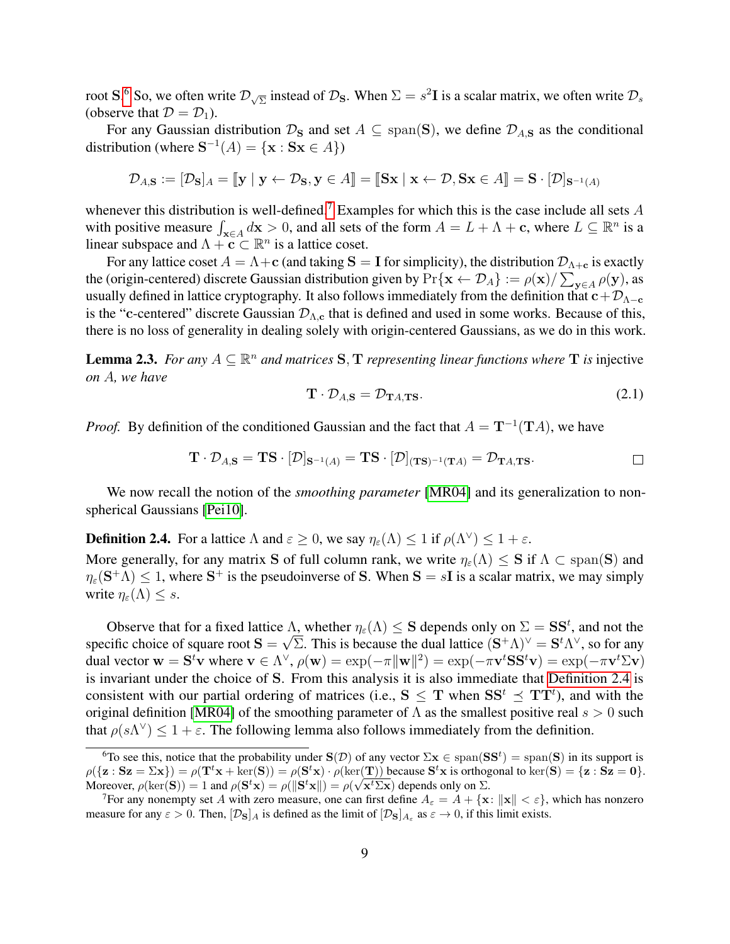root S.<sup>[6](#page-8-0)</sup> So, we often write  $\mathcal{D}_{\sqrt{\Sigma}}$  instead of  $\mathcal{D}_s$ . When  $\Sigma = s^2 \mathbf{I}$  is a scalar matrix, we often write  $\mathcal{D}_s$ (observe that  $\mathcal{D} = \mathcal{D}_1$ ).

For any Gaussian distribution  $\mathcal{D}_s$  and set  $A \subseteq \text{span}(S)$ , we define  $\mathcal{D}_{A,s}$  as the conditional distribution (where  $S^{-1}(A) = \{x : Sx \in A\}$ )

$$
\mathcal{D}_{A,\mathbf{S}} := [\mathcal{D}_{\mathbf{S}}]_A = [\![\mathbf{y} \mid \mathbf{y} \leftarrow \mathcal{D}_{\mathbf{S}}, \mathbf{y} \in A]\!] = [\![\mathbf{S}\mathbf{x} \mid \mathbf{x} \leftarrow \mathcal{D}, \mathbf{S}\mathbf{x} \in A]\!] = \mathbf{S} \cdot [\![\mathcal{D}]\!]_{\mathbf{S}^{-1}(A)}
$$

whenever this distribution is well-defined.<sup>[7](#page-8-1)</sup> Examples for which this is the case include all sets  $A$ with positive measure  $\int_{\mathbf{x}\in A} d\mathbf{x} > 0$ , and all sets of the form  $A = L + \Lambda + \mathbf{c}$ , where  $L \subseteq \mathbb{R}^n$  is a linear subspace and  $\Lambda + \mathbf{c} \subset \mathbb{R}^n$  is a lattice coset.

For any lattice coset  $A = \Lambda + c$  (and taking  $S = I$  for simplicity), the distribution  $\mathcal{D}_{\Lambda+c}$  is exactly the (origin-centered) discrete Gaussian distribution given by  $Pr\{\mathbf{x} \leftarrow \mathcal{D}_A\} := \rho(\mathbf{x}) / \sum_{\mathbf{y} \in A} \rho(\mathbf{y})$ , as usually defined in lattice cryptography. It also follows immediately from the definition that  $c+D_{\Lambda-c}$ is the "c-centered" discrete Gaussian  $\mathcal{D}_{\Lambda,c}$  that is defined and used in some works. Because of this, there is no loss of generality in dealing solely with origin-centered Gaussians, as we do in this work.

<span id="page-8-3"></span>**Lemma 2.3.** *For any*  $A \subseteq \mathbb{R}^n$  *and matrices* **S**, **T** *representing linear functions where* **T** *is* injective *on* A*, we have*

$$
\mathbf{T} \cdot \mathcal{D}_{A,S} = \mathcal{D}_{\mathbf{T}A,\mathbf{T}S}.\tag{2.1}
$$

*Proof.* By definition of the conditioned Gaussian and the fact that  $A = \mathbf{T}^{-1}(\mathbf{T}A)$ , we have

$$
\mathbf{T} \cdot \mathcal{D}_{A,\mathbf{S}} = \mathbf{T} \mathbf{S} \cdot [\mathcal{D}]_{\mathbf{S}^{-1}(A)} = \mathbf{T} \mathbf{S} \cdot [\mathcal{D}]_{(\mathbf{T} \mathbf{S})^{-1}(\mathbf{T} A)} = \mathcal{D}_{\mathbf{T} A,\mathbf{T} \mathbf{S}}.
$$

We now recall the notion of the *smoothing parameter* [\[MR04\]](#page-27-1) and its generalization to nonspherical Gaussians [\[Pei10\]](#page-27-3).

### <span id="page-8-2"></span>**Definition 2.4.** For a lattice  $\Lambda$  and  $\varepsilon \geq 0$ , we say  $\eta_{\varepsilon}(\Lambda) \leq 1$  if  $\rho(\Lambda^{\vee}) \leq 1 + \varepsilon$ .

More generally, for any matrix S of full column rank, we write  $\eta_{\varepsilon}(\Lambda) \leq S$  if  $\Lambda \subset \text{span}(S)$  and  $\eta_{\varepsilon}(\mathbf{S}^+\Lambda) \leq 1$ , where  $\mathbf{S}^+$  is the pseudoinverse of S. When  $\mathbf{S} = s\mathbf{I}$  is a scalar matrix, we may simply write  $\eta_{\varepsilon}(\Lambda) \leq s$ .

Observe that for a fixed lattice  $\Lambda$ , whether  $\eta_{\varepsilon}(\Lambda) \leq S$  depends only on  $\Sigma = SS^{t}$ , and not the specific choice of square root  $S = \sqrt{\Sigma}$ . This is because the dual lattice  $(S^+\Lambda)^\vee = S^t\Lambda^\vee$ , so for any dual vector  $\mathbf{w} = \mathbf{S}^t \mathbf{v}$  where  $\mathbf{v} \in \Lambda^\vee$ ,  $\rho(\mathbf{w}) = \exp(-\pi \|\mathbf{w}\|^2) = \exp(-\pi \mathbf{v}^t \mathbf{S} \mathbf{S}^t \mathbf{v}) = \exp(-\pi \mathbf{v}^t \Sigma \mathbf{v})$ is invariant under the choice of S. From this analysis it is also immediate that [Definition 2.4](#page-8-2) is consistent with our partial ordering of matrices (i.e.,  $S \leq T$  when  $SS<sup>t</sup> \preceq TT<sup>t</sup>$ ), and with the original definition [\[MR04\]](#page-27-1) of the smoothing parameter of  $\Lambda$  as the smallest positive real  $s > 0$  such that  $\rho(s\Lambda^{\vee}) \leq 1 + \varepsilon$ . The following lemma also follows immediately from the definition.

<span id="page-8-4"></span><span id="page-8-0"></span><sup>&</sup>lt;sup>6</sup>To see this, notice that the probability under  $S(\mathcal{D})$  of any vector  $\Sigma x \in span(SS^t) = span(S)$  in its support is  $\rho({\{z: Sz = \sum x\}}) = \rho(T^t x + \ker(S)) = \rho(S^t x) \cdot \rho(\ker(T))$  because  $S^t x$  is orthogonal to  $\ker(S) = {\{z: Sz = 0\}}$ . Moreover,  $\rho(\ker(\mathbf{S})) = 1$  and  $\rho(\mathbf{S}^t \mathbf{x}) = \rho(||\mathbf{S}^t \mathbf{x}||) = \rho(\sqrt{\mathbf{x}^t \Sigma \mathbf{x}})$  depends only on  $\Sigma$ .

<span id="page-8-1"></span><sup>&</sup>lt;sup>7</sup>For any nonempty set A with zero measure, one can first define  $A_\varepsilon = A + \{x : ||x|| < \varepsilon\}$ , which has nonzero measure for any  $\varepsilon > 0$ . Then,  $[\mathcal{D}_S]_A$  is defined as the limit of  $[\mathcal{D}_S]_{A_\varepsilon}$  as  $\varepsilon \to 0$ , if this limit exists.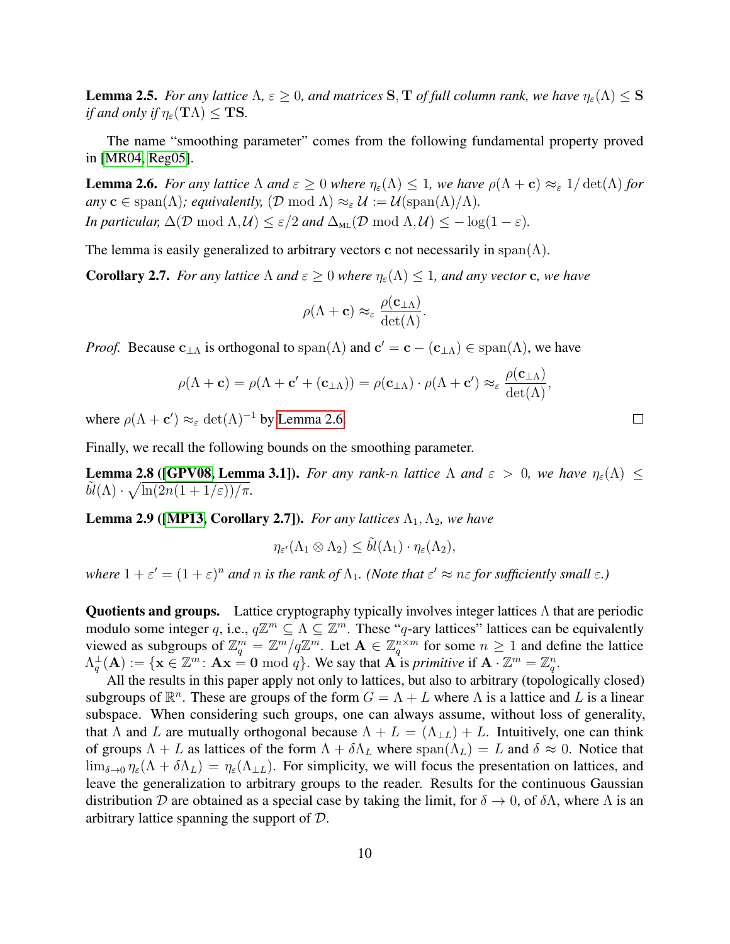**Lemma 2.5.** *For any lattice*  $\Lambda$ ,  $\varepsilon \geq 0$ , and matrices **S**, **T** *of full column rank, we have*  $\eta_{\varepsilon}(\Lambda) \leq$  **S** *if and only if*  $\eta_{\varepsilon}(T\Lambda) \leq TS$ .

The name "smoothing parameter" comes from the following fundamental property proved in [\[MR04,](#page-27-1) [Reg05\]](#page-28-0).

<span id="page-9-0"></span>**Lemma 2.6.** *For any lattice*  $\Lambda$  *and*  $\varepsilon \geq 0$  *where*  $\eta_{\varepsilon}(\Lambda) \leq 1$ *, we have*  $\rho(\Lambda + \mathbf{c}) \approx_{\varepsilon} 1/\det(\Lambda)$  *for any*  $\mathbf{c} \in \text{span}(\Lambda)$ *; equivalently,*  $(\mathcal{D} \text{ mod } \Lambda) \approx_{\varepsilon} \mathcal{U} := \mathcal{U}(\text{span}(\Lambda)/\Lambda)$ *. In particular,*  $\Delta(\mathcal{D} \mod \Lambda, \mathcal{U}) \leq \varepsilon/2$  *and*  $\Delta_{ML}(\mathcal{D} \mod \Lambda, \mathcal{U}) \leq -\log(1-\varepsilon)$ *.* 

The lemma is easily generalized to arbitrary vectors c not necessarily in span( $\Lambda$ ).

<span id="page-9-1"></span>**Corollary 2.7.** *For any lattice*  $\Lambda$  *and*  $\varepsilon \geq 0$  *where*  $\eta_{\varepsilon}(\Lambda) \leq 1$ *, and any vector* **c***, we have* 

$$
\rho(\Lambda+\mathbf{c})\approx_{\varepsilon}\frac{\rho(\mathbf{c}_{\perp\Lambda})}{\det(\Lambda)}.
$$

*Proof.* Because  $c_{\perp\Lambda}$  is orthogonal to span( $\Lambda$ ) and  $c' = c - (c_{\perp\Lambda}) \in \text{span}(\Lambda)$ , we have

$$
\rho(\Lambda + \mathbf{c}) = \rho(\Lambda + \mathbf{c}' + (\mathbf{c}_{\perp \Lambda})) = \rho(\mathbf{c}_{\perp \Lambda}) \cdot \rho(\Lambda + \mathbf{c}') \approx_{\varepsilon} \frac{\rho(\mathbf{c}_{\perp \Lambda})}{\det(\Lambda)},
$$

where  $\rho(\Lambda + \mathbf{c}') \approx_{\varepsilon} \det(\Lambda)^{-1}$  by [Lemma 2.6.](#page-9-0)

Finally, we recall the following bounds on the smoothing parameter.

<span id="page-9-3"></span>**Lemma 2.8 ([\[GPV08,](#page-27-2) Lemma 3.1]).** *For any rank-n lattice*  $\Lambda$  *and*  $\varepsilon > 0$ *, we have*  $\eta_{\varepsilon}(\Lambda)$  <  $\tilde{bl}(\Lambda) \cdot \sqrt{\ln(2n(1+1/\varepsilon))/\pi}.$ 

<span id="page-9-2"></span>**Lemma 2.9 ([\[MP13,](#page-27-8) Corollary 2.7]).** *For any lattices*  $\Lambda_1, \Lambda_2$ *, we have* 

$$
\eta_{\varepsilon'}(\Lambda_1 \otimes \Lambda_2) \leq \tilde{bl}(\Lambda_1) \cdot \eta_{\varepsilon}(\Lambda_2),
$$

where  $1 + \varepsilon' = (1 + \varepsilon)^n$  *and n is the rank of*  $\Lambda_1$ *. (Note that*  $\varepsilon' \approx n\varepsilon$  *for sufficiently small*  $\varepsilon$ *.)* 

**Quotients and groups.** Lattice cryptography typically involves integer lattices  $\Lambda$  that are periodic modulo some integer q, i.e.,  $q\mathbb{Z}^m \subseteq \Lambda \subseteq \mathbb{Z}^m$ . These "q-ary lattices" lattices can be equivalently viewed as subgroups of  $\mathbb{Z}_q^m = \mathbb{Z}^m/q\mathbb{Z}^m$ . Let  $\mathbf{A} \in \mathbb{Z}_q^{n \times m}$  for some  $n \geq 1$  and define the lattice  $\Lambda_q^{\perp}(\mathbf{A}) := \{ \mathbf{x} \in \mathbb{Z}^m : \mathbf{A}\mathbf{x} = \mathbf{0} \bmod q \}.$  We say that  $\mathbf{A}$  is *primitive* if  $\mathbf{A} \cdot \mathbb{Z}^m = \mathbb{Z}_q^n$ .

All the results in this paper apply not only to lattices, but also to arbitrary (topologically closed) subgroups of  $\mathbb{R}^n$ . These are groups of the form  $G = \Lambda + L$  where  $\Lambda$  is a lattice and L is a linear subspace. When considering such groups, one can always assume, without loss of generality, that  $\Lambda$  and  $L$  are mutually orthogonal because  $\Lambda + L = (\Lambda_{\perp L}) + L$ . Intuitively, one can think of groups  $\Lambda + L$  as lattices of the form  $\Lambda + \delta \Lambda_L$  where  $\text{span}(\Lambda_L) = L$  and  $\delta \approx 0$ . Notice that  $\lim_{\delta \to 0} \eta_{\varepsilon}(\Lambda + \delta \Lambda_L) = \eta_{\varepsilon}(\Lambda_{\perp L})$ . For simplicity, we will focus the presentation on lattices, and leave the generalization to arbitrary groups to the reader. Results for the continuous Gaussian distribution D are obtained as a special case by taking the limit, for  $\delta \to 0$ , of  $\delta \Lambda$ , where  $\Lambda$  is an arbitrary lattice spanning the support of D.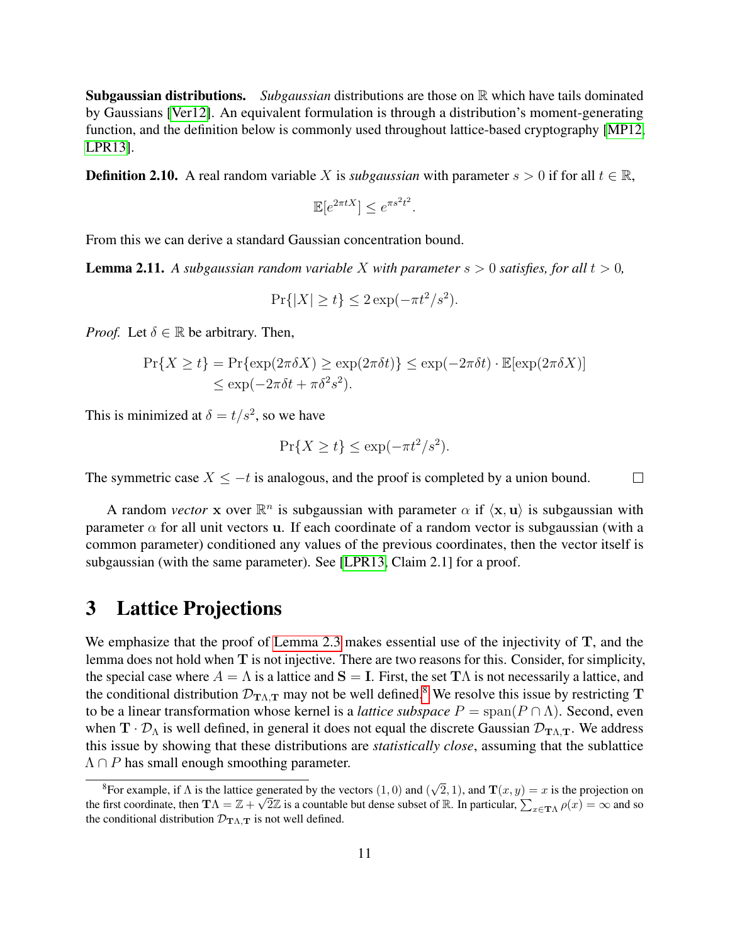Subgaussian distributions. *Subgaussian* distributions are those on R which have tails dominated by Gaussians [\[Ver12\]](#page-28-1). An equivalent formulation is through a distribution's moment-generating function, and the definition below is commonly used throughout lattice-based cryptography [\[MP12,](#page-27-4) [LPR13\]](#page-27-12).

**Definition 2.10.** A real random variable X is *subgaussian* with parameter  $s > 0$  if for all  $t \in \mathbb{R}$ ,

$$
\mathbb{E}[e^{2\pi tX}] \le e^{\pi s^2 t^2}.
$$

<span id="page-10-3"></span>From this we can derive a standard Gaussian concentration bound.

**Lemma 2.11.** A subgaussian random variable X with parameter  $s > 0$  satisfies, for all  $t > 0$ ,

$$
\Pr\{|X| \ge t\} \le 2\exp(-\pi t^2/s^2).
$$

*Proof.* Let  $\delta \in \mathbb{R}$  be arbitrary. Then,

$$
\Pr\{X \ge t\} = \Pr\{\exp(2\pi\delta X) \ge \exp(2\pi\delta t)\} \le \exp(-2\pi\delta t) \cdot \mathbb{E}[\exp(2\pi\delta X)]
$$
  

$$
\le \exp(-2\pi\delta t + \pi\delta^2 s^2).
$$

This is minimized at  $\delta = t/s^2$ , so we have

$$
\Pr\{X \ge t\} \le \exp(-\pi t^2/s^2).
$$

The symmetric case  $X \leq -t$  is analogous, and the proof is completed by a union bound.  $\Box$ 

A random *vector* x over  $\mathbb{R}^n$  is subgaussian with parameter  $\alpha$  if  $\langle x, u \rangle$  is subgaussian with parameter  $\alpha$  for all unit vectors u. If each coordinate of a random vector is subgaussian (with a common parameter) conditioned any values of the previous coordinates, then the vector itself is subgaussian (with the same parameter). See [\[LPR13,](#page-27-12) Claim 2.1] for a proof.

### <span id="page-10-1"></span>3 Lattice Projections

We emphasize that the proof of [Lemma 2.3](#page-8-3) makes essential use of the injectivity of T, and the lemma does not hold when T is not injective. There are two reasons for this. Consider, for simplicity, the special case where  $A = \Lambda$  is a lattice and  $S = I$ . First, the set T $\Lambda$  is not necessarily a lattice, and the conditional distribution  $\mathcal{D}_{T\Lambda,T}$  may not be well defined.<sup>[8](#page-10-2)</sup> We resolve this issue by restricting T to be a linear transformation whose kernel is a *lattice subspace*  $P = \text{span}(P \cap \Lambda)$ . Second, even when  $T \cdot \mathcal{D}_\Lambda$  is well defined, in general it does not equal the discrete Gaussian  $\mathcal{D}_{T\Lambda,T}$ . We address this issue by showing that these distributions are *statistically close*, assuming that the sublattice  $\Lambda \cap P$  has small enough smoothing parameter.

<span id="page-10-2"></span><span id="page-10-0"></span><sup>&</sup>lt;sup>8</sup>For example, if  $\Lambda$  is the lattice generated by the vectors  $(1, 0)$  and  $(\sqrt{\Lambda})$ generated by the vectors  $(1,0)$  and  $(\sqrt{2},1)$ , and  $\mathbf{T}(x,y) = x$  is the projection on the first coordinate, then  $T\Lambda = \mathbb{Z} + \sqrt{2}\mathbb{Z}$  is a countable but dense subset of  $\mathbb{R}$ . In particular,  $\sum_{x \in T\Lambda} \rho(x) = \infty$  and so the conditional distribution  $\mathcal{D}_{\mathbf{T}\Lambda,\mathbf{T}}$  is not well defined.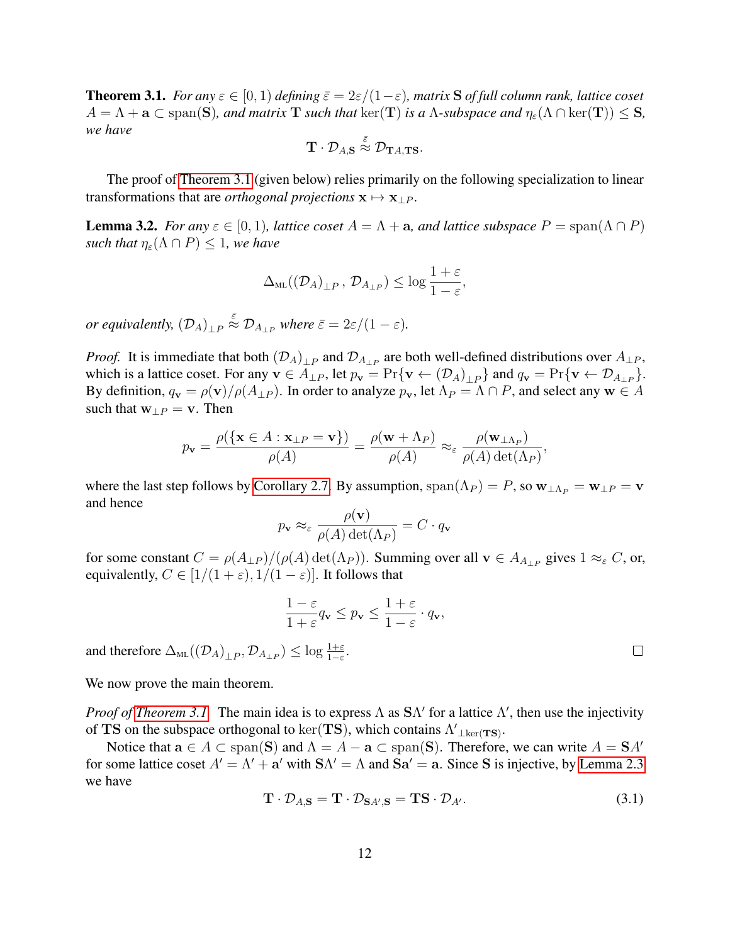**Theorem 3.1.** *For any*  $\varepsilon \in [0,1)$  *defining*  $\bar{\varepsilon} = 2\varepsilon/(1-\varepsilon)$ *, matrix* **S** *of full column rank, lattice coset*  $A = \Lambda + \mathbf{a} \subset \text{span}(\mathbf{S})$ , and matrix  $\mathbf{T}$  *such that* ker( $\mathbf{T}$ ) *is a*  $\Lambda$ -*subspace and*  $\eta_{\varepsilon}(\Lambda \cap \ker(\mathbf{T})) \leq \mathbf{S}$ , *we have*

$$
\mathbf{T}\cdot\mathcal{D}_{A,\mathbf{S}}\stackrel{\bar{\varepsilon}}{\approx}\mathcal{D}_{\mathbf{T} A,\mathbf{TS}}.
$$

The proof of [Theorem 3.1](#page-10-0) (given below) relies primarily on the following specialization to linear transformations that are *orthogonal projections*  $\mathbf{x} \mapsto \mathbf{x}_{\perp}$  .

<span id="page-11-0"></span>**Lemma 3.2.** *For any*  $\varepsilon \in [0, 1)$ *, lattice coset*  $A = \Lambda + a$ *, and lattice subspace*  $P = \text{span}(\Lambda \cap P)$ *such that*  $\eta_{\varepsilon}(\Lambda \cap P) \leq 1$ *, we have* 

$$
\Delta_{\mathrm{ML}}((\mathcal{D}_A)_{\perp P},\,\mathcal{D}_{A_{\perp P}})\leq \log \frac{1+\varepsilon}{1-\varepsilon},
$$

*or equivalently,*  $(D_A)_{\perp P} \stackrel{\bar{\varepsilon}}{\approx} D_{A_{\perp P}}$  where  $\bar{\varepsilon} = 2\varepsilon/(1-\varepsilon)$ .

*Proof.* It is immediate that both  $(D_A)_{\perp P}$  and  $D_{A_{\perp P}}$  are both well-defined distributions over  $A_{\perp P}$ , which is a lattice coset. For any  $\mathbf{v} \in A_{\perp P}$ , let  $p_{\mathbf{v}} = \Pr{\{\mathbf{v} \leftarrow (\mathcal{D}_A)_{\perp P}\}}$  and  $q_{\mathbf{v}} = \Pr{\{\mathbf{v} \leftarrow \mathcal{D}_{A_{\perp P}}\}}$ . By definition,  $q_v = \rho(v)/\rho(A_{\perp P})$ . In order to analyze  $p_v$ , let  $\Lambda_P = \Lambda \cap P$ , and select any  $w \in A$ such that  $\mathbf{w}_{\perp P} = \mathbf{v}$ . Then

$$
p_{\mathbf{v}} = \frac{\rho(\{\mathbf{x} \in A : \mathbf{x}_{\perp P} = \mathbf{v}\})}{\rho(A)} = \frac{\rho(\mathbf{w} + \Lambda_P)}{\rho(A)} \approx_{\varepsilon} \frac{\rho(\mathbf{w}_{\perp \Lambda_P})}{\rho(A) \det(\Lambda_P)},
$$

where the last step follows by [Corollary 2.7.](#page-9-1) By assumption,  $\text{span}(\Lambda_P) = P$ , so  $\mathbf{w}_{\perp \Lambda_P} = \mathbf{w}_{\perp P} = \mathbf{v}$ and hence

$$
p_{\mathbf{v}} \approx_{\varepsilon} \frac{\rho(\mathbf{v})}{\rho(A) \det(\Lambda_P)} = C \cdot q_{\mathbf{v}}
$$

for some constant  $C = \rho(A_{\perp P})/(\rho(A) \det(\Lambda_P))$ . Summing over all  $\mathbf{v} \in A_{A_{\perp P}}$  gives  $1 \approx_{\varepsilon} C$ , or, equivalently,  $C \in [1/(1+\varepsilon), 1/(1-\varepsilon)]$ . It follows that

$$
\frac{1-\varepsilon}{1+\varepsilon}q_{\mathbf{v}} \le p_{\mathbf{v}} \le \frac{1+\varepsilon}{1-\varepsilon} \cdot q_{\mathbf{v}},
$$

and therefore  $\Delta_{ML}((\mathcal{D}_A)_{\perp P}, \mathcal{D}_{A_{\perp P}}) \leq \log \frac{1+\varepsilon}{1-\varepsilon}$ .

We now prove the main theorem.

*Proof of Theorem 3.1*. The main idea is to express  $\Lambda$  as  $S\Lambda'$  for a lattice  $\Lambda'$ , then use the injectivity of TS on the subspace orthogonal to ker(TS), which contains  $\Lambda'_{\perp \text{ker(TS)}}$ .

Notice that  $a \in A \subset \text{span}(S)$  and  $\Lambda = A - a \subset \text{span}(S)$ . Therefore, we can write  $A = SA'$ for some lattice coset  $A' = \Lambda' + a'$  with  $S\Lambda' = \Lambda$  and  $Sa' = a$ . Since S is injective, by [Lemma 2.3](#page-8-3) we have

$$
\mathbf{T} \cdot \mathcal{D}_{A,\mathbf{S}} = \mathbf{T} \cdot \mathcal{D}_{\mathbf{S} A',\mathbf{S}} = \mathbf{T} \mathbf{S} \cdot \mathcal{D}_{A'}.
$$
 (3.1)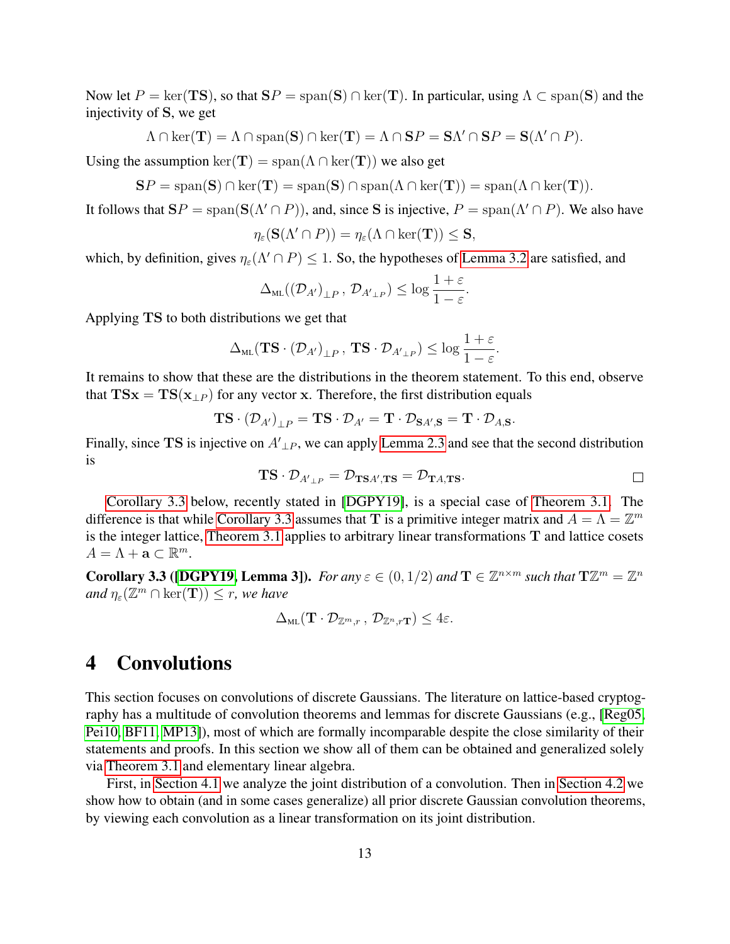Now let  $P = \text{ker(TS)}$ , so that  $SP = \text{span(S)} \cap \text{ker(T)}$ . In particular, using  $\Lambda \subset \text{span(S)}$  and the injectivity of S, we get

$$
\Lambda \cap \ker(\mathbf{T}) = \Lambda \cap \mathrm{span}(\mathbf{S}) \cap \ker(\mathbf{T}) = \Lambda \cap \mathbf{S}P = \mathbf{S}\Lambda' \cap \mathbf{S}P = \mathbf{S}(\Lambda' \cap P).
$$

Using the assumption  $\ker(\mathbf{T}) = \text{span}(\Lambda \cap \ker(\mathbf{T}))$  we also get

$$
\mathbf{S}P = \mathrm{span}(\mathbf{S}) \cap \ker(\mathbf{T}) = \mathrm{span}(\mathbf{S}) \cap \mathrm{span}(\Lambda \cap \ker(\mathbf{T})) = \mathrm{span}(\Lambda \cap \ker(\mathbf{T})).
$$

It follows that  $SP = \text{span}(S(\Lambda' \cap P))$ , and, since S is injective,  $P = \text{span}(\Lambda' \cap P)$ . We also have

$$
\eta_{\varepsilon}(\mathbf{S}(\Lambda' \cap P)) = \eta_{\varepsilon}(\Lambda \cap \ker(\mathbf{T})) \leq \mathbf{S},
$$

which, by definition, gives  $\eta_{\varepsilon}(\Lambda' \cap P) \leq 1$ . So, the hypotheses of [Lemma 3.2](#page-11-0) are satisfied, and

$$
\Delta_{\mathrm{ML}}((\mathcal{D}_{A'})_{\perp P}, \mathcal{D}_{A'_{\perp P}}) \leq \log \frac{1+\varepsilon}{1-\varepsilon}.
$$

Applying TS to both distributions we get that

$$
\Delta_{\mathrm{ML}}\big(\mathbf{TS}\cdot(\mathcal{D}_{A'})_{\perp P}\,,\,\mathbf{TS}\cdot\mathcal{D}_{A'\perp P}\big)\leq \log\frac{1+\varepsilon}{1-\varepsilon}.
$$

It remains to show that these are the distributions in the theorem statement. To this end, observe that  $TSx = TS(x_{\perp P})$  for any vector x. Therefore, the first distribution equals

$$
\mathbf{TS} \cdot (\mathcal{D}_{A'})_{\perp P} = \mathbf{TS} \cdot \mathcal{D}_{A'} = \mathbf{T} \cdot \mathcal{D}_{\mathbf{S} A', \mathbf{S}} = \mathbf{T} \cdot \mathcal{D}_{A, \mathbf{S}}.
$$

Finally, since TS is injective on  $A'_{\perp P}$ , we can apply [Lemma 2.3](#page-8-3) and see that the second distribution is

$$
\mathbf{TS} \cdot \mathcal{D}_{A'_{\perp P}} = \mathcal{D}_{\mathbf{TS}A', \mathbf{TS}} = \mathcal{D}_{\mathbf{TA}, \mathbf{TS}}.
$$

[Corollary 3.3](#page-12-1) below, recently stated in [\[DGPY19\]](#page-27-10), is a special case of [Theorem 3.1.](#page-10-0) The difference is that while [Corollary 3.3](#page-12-1) assumes that T is a primitive integer matrix and  $A = \Lambda = \mathbb{Z}^m$ is the integer lattice, [Theorem 3.1](#page-10-0) applies to arbitrary linear transformations T and lattice cosets  $A = \Lambda + \mathbf{a} \subset \mathbb{R}^m$ .

<span id="page-12-1"></span>**Corollary 3.3 ([\[DGPY19,](#page-27-10) Lemma 3]).** For any  $\varepsilon \in (0, 1/2)$  and  $\mathbf{T} \in \mathbb{Z}^{n \times m}$  such that  $\mathbf{T} \mathbb{Z}^m = \mathbb{Z}^n$  $and \eta_\varepsilon(\mathbb{Z}^m \cap \ker(\mathbf{T})) \leq r$ *, we have* 

$$
\Delta_{\mathrm{ML}}(\mathbf{T} \cdot \mathcal{D}_{\mathbb{Z}^m,r} , \mathcal{D}_{\mathbb{Z}^n,r\mathbf{T}}) \leq 4\varepsilon.
$$

### <span id="page-12-0"></span>4 Convolutions

This section focuses on convolutions of discrete Gaussians. The literature on lattice-based cryptography has a multitude of convolution theorems and lemmas for discrete Gaussians (e.g., [\[Reg05,](#page-28-0) [Pei10,](#page-27-3) [BF11,](#page-26-1) [MP13\]](#page-27-8)), most of which are formally incomparable despite the close similarity of their statements and proofs. In this section we show all of them can be obtained and generalized solely via [Theorem 3.1](#page-10-0) and elementary linear algebra.

First, in [Section 4.1](#page-13-0) we analyze the joint distribution of a convolution. Then in [Section 4.2](#page-15-0) we show how to obtain (and in some cases generalize) all prior discrete Gaussian convolution theorems, by viewing each convolution as a linear transformation on its joint distribution.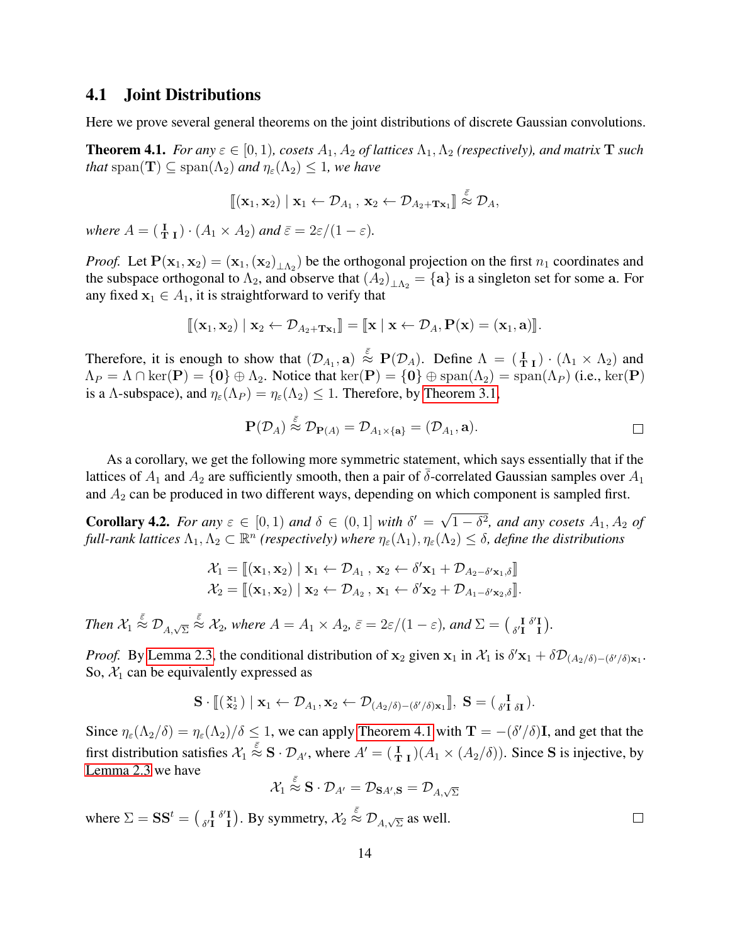#### <span id="page-13-0"></span>4.1 Joint Distributions

<span id="page-13-1"></span>Here we prove several general theorems on the joint distributions of discrete Gaussian convolutions.

**Theorem 4.1.** *For any*  $\varepsilon \in [0, 1)$ *, cosets*  $A_1$ *,*  $A_2$  *of lattices*  $\Lambda_1$ *,*  $\Lambda_2$  *(respectively), and matrix* **T** *such that*  $\text{span}(\mathbf{T}) \subseteq \text{span}(\Lambda_2)$  *and*  $\eta_{\varepsilon}(\Lambda_2) \leq 1$ *, we have* 

$$
\llbracket (\mathbf{x}_1, \mathbf{x}_2) \mid \mathbf{x}_1 \leftarrow \mathcal{D}_{A_1}, \ \mathbf{x}_2 \leftarrow \mathcal{D}_{A_2 + \mathbf{T} \mathbf{x}_1} \rrbracket \stackrel{\bar{\varepsilon}}{\approx} \mathcal{D}_A,
$$

*where*  $A = \begin{pmatrix} \mathbf{I} \\ \mathbf{T} \end{pmatrix} \cdot (A_1 \times A_2)$  *and*  $\bar{\varepsilon} = 2\varepsilon/(1-\varepsilon)$ *.* 

*Proof.* Let  $P(x_1, x_2) = (x_1, (x_2)_{\perp \Lambda_2})$  be the orthogonal projection on the first  $n_1$  coordinates and the subspace orthogonal to  $\Lambda_2$ , and observe that  $(A_2)_{\perp \Lambda_2} = {\bf a}$  is a singleton set for some a. For any fixed  $x_1 \in A_1$ , it is straightforward to verify that

$$
\llbracket (\mathbf{x}_1, \mathbf{x}_2) \mid \mathbf{x}_2 \leftarrow \mathcal{D}_{A_2 + \mathbf{T} \mathbf{x}_1} \rrbracket = \llbracket \mathbf{x} \mid \mathbf{x} \leftarrow \mathcal{D}_A, \mathbf{P}(\mathbf{x}) = (\mathbf{x}_1, \mathbf{a}) \rrbracket.
$$

Therefore, it is enough to show that  $(\mathcal{D}_{A_1}, \mathbf{a}) \stackrel{\bar{\varepsilon}}{\approx} \mathbf{P}(\mathcal{D}_A)$ . Define  $\Lambda = (\frac{\mathbf{I}}{\mathbf{T}} \mathbf{I}) \cdot (\Lambda_1 \times \Lambda_2)$  and  $\Lambda_P = \Lambda \cap \ker(\mathbf{P}) = \{0\} \oplus \Lambda_2$ . Notice that  $\ker(\mathbf{P}) = \{0\} \oplus \text{span}(\Lambda_2) = \text{span}(\Lambda_P)$  (i.e.,  $\ker(\mathbf{P})$ ) is a Λ-subspace), and  $\eta_{\varepsilon}(\Lambda_P) = \eta_{\varepsilon}(\Lambda_2) \leq 1$ . Therefore, by [Theorem 3.1,](#page-10-0)

$$
\mathbf{P}(\mathcal{D}_A) \stackrel{\bar{\varepsilon}}{\approx} \mathcal{D}_{\mathbf{P}(A)} = \mathcal{D}_{A_1 \times \{ \mathbf{a} \}} = (\mathcal{D}_{A_1}, \mathbf{a}).
$$

As a corollary, we get the following more symmetric statement, which says essentially that if the lattices of  $A_1$  and  $A_2$  are sufficiently smooth, then a pair of  $\delta$ -correlated Gaussian samples over  $A_1$ and  $A_2$  can be produced in two different ways, depending on which component is sampled first.

<span id="page-13-2"></span>**Corollary 4.2.** *For any*  $\varepsilon \in [0,1)$  *and*  $\delta \in (0,1]$  *with*  $\delta' =$ √  $1 - \delta^2$ , and any cosets  $A_1, A_2$  of full-rank lattices  $\Lambda_1,\Lambda_2\subset\mathbb{R}^n$  (respectively) where  $\eta_\varepsilon(\Lambda_1),\eta_\varepsilon(\Lambda_2)\leq\delta$ , define the distributions

$$
\mathcal{X}_1 = [[(\mathbf{x}_1, \mathbf{x}_2) | \mathbf{x}_1 \leftarrow \mathcal{D}_{A_1}, \mathbf{x}_2 \leftarrow \delta' \mathbf{x}_1 + \mathcal{D}_{A_2 - \delta' \mathbf{x}_1, \delta}]] \n\mathcal{X}_2 = [[(\mathbf{x}_1, \mathbf{x}_2) | \mathbf{x}_2 \leftarrow \mathcal{D}_{A_2}, \mathbf{x}_1 \leftarrow \delta' \mathbf{x}_2 + \mathcal{D}_{A_1 - \delta' \mathbf{x}_2, \delta}]].
$$

Then  $\mathcal{X}_1\stackrel{\bar{\varepsilon}}{\approx}\mathcal{D}_{A,\sqrt{\Sigma}}$  $\stackrel{\bar{\varepsilon}}{\approx} \mathcal{X}_2$ , where  $A = A_1 \times A_2$ ,  $\bar{\varepsilon} = 2\varepsilon/(1-\varepsilon)$ , and  $\Sigma = \begin{pmatrix} I & \delta' \mathbf{I} \\ \delta' \mathbf{I} & \mathbf{I} \end{pmatrix}$ .

*Proof.* By [Lemma 2.3,](#page-8-3) the conditional distribution of  $x_2$  given  $x_1$  in  $\mathcal{X}_1$  is  $\delta' x_1 + \delta \mathcal{D}_{(A_2/\delta) - (\delta'/\delta)x_1}$ . So,  $X_1$  can be equivalently expressed as

$$
\mathbf{S} \cdot [\![\begin{pmatrix} \mathbf{x}_1 \\ \mathbf{x}_2 \end{pmatrix} \mid \mathbf{x}_1 \leftarrow \mathcal{D}_{A_1}, \mathbf{x}_2 \leftarrow \mathcal{D}_{(A_2/\delta) - (\delta'/\delta) \mathbf{x}_1} \], \ \mathbf{S} = (\begin{pmatrix} \mathbf{I} \\ \delta' \mathbf{I} \ \delta \mathbf{I} \end{pmatrix}).
$$

Since  $\eta_{\varepsilon}(\Lambda_2/\delta) = \eta_{\varepsilon}(\Lambda_2)/\delta \le 1$ , we can apply [Theorem 4.1](#page-13-1) with  $\mathbf{T} = -(\delta'/\delta)\mathbf{I}$ , and get that the first distribution satisfies  $\mathcal{X}_1 \stackrel{\bar{\varepsilon}}{\approx} \mathbf{S} \cdot \mathcal{D}_{A'}$ , where  $A' = (\frac{\mathbf{I}}{\mathbf{T}} \mathbf{I})(A_1 \times (A_2/\delta))$ . Since S is injective, by [Lemma 2.3](#page-8-3) we have

$$
\mathcal{X}_1 \stackrel{\bar{\varepsilon}}{\approx} \mathbf{S} \cdot \mathcal{D}_{A'} = \mathcal{D}_{\mathbf{S}A',\mathbf{S}} = \mathcal{D}_{A,\sqrt{\Sigma}}
$$

14

where  $\Sigma = SS^t = \begin{pmatrix} I & \delta' I \\ \delta' I & I \end{pmatrix}$ . By symmetry,  $\mathcal{X}_2 \stackrel{\bar{\varepsilon}}{\approx} \mathcal{D}_{A,\sqrt{\Sigma}}$  as well.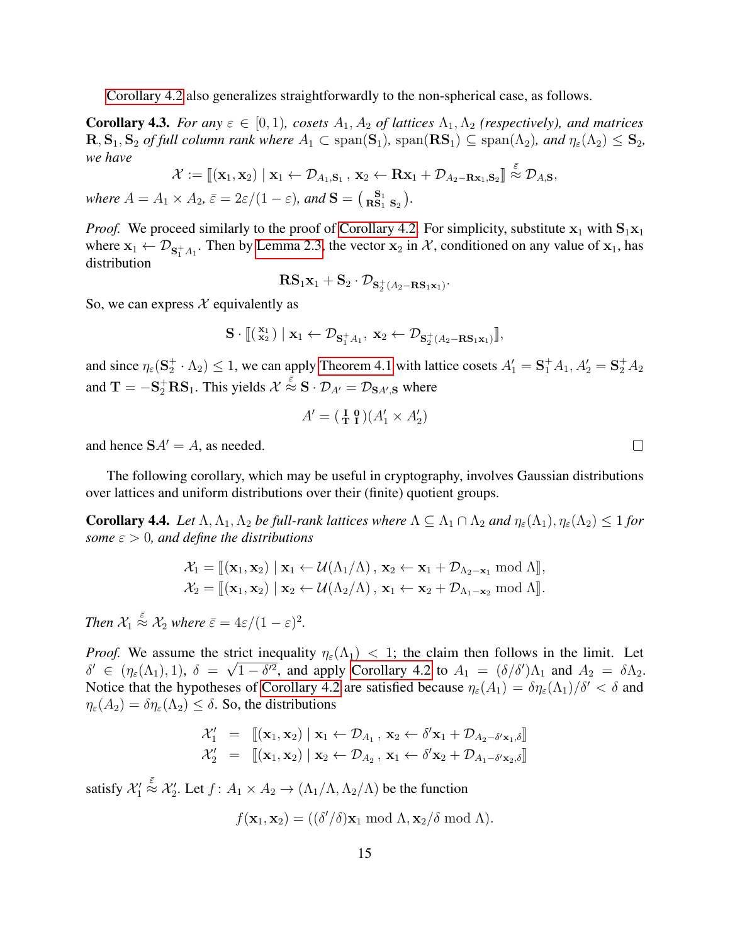[Corollary 4.2](#page-13-2) also generalizes straightforwardly to the non-spherical case, as follows.

<span id="page-14-0"></span>**Corollary 4.3.** *For any*  $\varepsilon \in [0,1)$ *, cosets*  $A_1$ *,*  $A_2$  *of lattices*  $\Lambda_1$ *,*  $\Lambda_2$  *(respectively), and matrices*  $\mathbf{R}, \mathbf{S}_1, \mathbf{S}_2$  *of full column rank where*  $A_1 \subset \text{span}(\mathbf{S}_1)$ ,  $\text{span}(\mathbf{RS}_1) \subseteq \text{span}(\Lambda_2)$ , and  $\eta_{\varepsilon}(\Lambda_2) \leq \mathbf{S}_2$ , *we have*

$$
\mathcal{X}:=\llbracket \left(\mathbf{x}_1, \mathbf{x}_2\right) \mid \mathbf{x}_1 \leftarrow \mathcal{D}_{A_1,\mathbf{S}_1} \text{ , } \mathbf{x}_2 \leftarrow \mathbf{R} \mathbf{x}_1 + \mathcal{D}_{A_2-\mathbf{R} \mathbf{x}_1,\mathbf{S}_2} \rrbracket \stackrel{\bar{\varepsilon}}{\approx} \mathcal{D}_{A,\mathbf{S}},
$$

*where*  $A = A_1 \times A_2$ ,  $\bar{\varepsilon} = 2\varepsilon/(1-\varepsilon)$ , and  $S = \begin{pmatrix} S_1 \\ RS_2 \end{pmatrix}$  $\mathbf{R^{S_1}_{S_1}S_2}$  ).

*Proof.* We proceed similarly to the proof of [Corollary 4.2.](#page-13-2) For simplicity, substitute  $x_1$  with  $S_1x_1$ where  $x_1 \leftarrow \mathcal{D}_{S_1^+ A_1}$ . Then by [Lemma 2.3,](#page-8-3) the vector  $x_2$  in X, conditioned on any value of  $x_1$ , has distribution

$$
\mathbf{RS}_1\mathbf{x}_1 + \mathbf{S}_2 \cdot \mathcal{D}_{\mathbf{S}_2^+(A_2 - \mathbf{RS}_1\mathbf{x}_1)}.
$$

So, we can express  $\mathcal X$  equivalently as

$$
\mathbf{S} \cdot \llbracket (\begin{smallmatrix} \mathbf{x}_1 \\ \mathbf{x}_2 \end{smallmatrix}) \mid \mathbf{x}_1 \leftarrow \mathcal{D}_{\mathbf{S}_1^{\dagger} A_1}, \ \mathbf{x}_2 \leftarrow \mathcal{D}_{\mathbf{S}_2^{\dagger} (A_2 - \mathbf{R} \mathbf{S}_1 \mathbf{x}_1)} \rrbracket,
$$

and since  $\eta_{\varepsilon} (S_2^+ \cdot \Lambda_2) \le 1$ , we can apply [Theorem 4.1](#page-13-1) with lattice cosets  $A'_1 = S_1^+ A_1$ ,  $A'_2 = S_2^+ A_2$ and  $\mathbf{T} = -\mathbf{S}_2^+ \mathbf{R} \mathbf{S}_1$ . This yields  $\mathcal{X} \stackrel{\bar{\varepsilon}}{\approx} \mathbf{S} \cdot \mathcal{D}_{A'} = \mathcal{D}_{\mathbf{S} A', \mathbf{S}}$  where

$$
A' = (\begin{smallmatrix} \mathbf{I} & \mathbf{0} \\ \mathbf{T} & \mathbf{I} \end{smallmatrix}) (A'_1 \times A'_2)
$$

and hence  $S A' = A$ , as needed.

The following corollary, which may be useful in cryptography, involves Gaussian distributions over lattices and uniform distributions over their (finite) quotient groups.

**Corollary 4.4.** *Let*  $\Lambda$ ,  $\Lambda$ <sub>1</sub>,  $\Lambda$ <sub>2</sub> *be full-rank lattices where*  $\Lambda \subseteq \Lambda$ <sub>1</sub>  $\cap$   $\Lambda$ <sub>2</sub> *and*  $\eta_{\varepsilon}(\Lambda_1), \eta_{\varepsilon}(\Lambda_2) \le 1$  *for some*  $\varepsilon > 0$ *, and define the distributions* 

$$
\mathcal{X}_1 = [[(\mathbf{x}_1, \mathbf{x}_2) \mid \mathbf{x}_1 \leftarrow \mathcal{U}(\Lambda_1/\Lambda), \mathbf{x}_2 \leftarrow \mathbf{x}_1 + \mathcal{D}_{\Lambda_2 - \mathbf{x}_1} \bmod \Lambda],
$$
  

$$
\mathcal{X}_2 = [[(\mathbf{x}_1, \mathbf{x}_2) \mid \mathbf{x}_2 \leftarrow \mathcal{U}(\Lambda_2/\Lambda), \mathbf{x}_1 \leftarrow \mathbf{x}_2 + \mathcal{D}_{\Lambda_1 - \mathbf{x}_2} \bmod \Lambda].
$$

Then  $\mathcal{X}_1 \stackrel{\bar{\varepsilon}}{\approx} \mathcal{X}_2$  where  $\bar{\varepsilon} = 4\varepsilon/(1-\varepsilon)^2$ .

*Proof.* We assume the strict inequality  $\eta_{\varepsilon}(\Lambda_1) < 1$ ; the claim then follows in the limit. Let  $\delta' \in (\eta_{\varepsilon}(\Lambda_1), 1), \ \delta = \sqrt{1 - \delta'^2}$ , and apply [Corollary 4.2](#page-13-2) to  $A_1 = (\delta/\delta')\Lambda_1$  and  $A_2 = \delta\Lambda_2$ . Notice that the hypotheses of [Corollary 4.2](#page-13-2) are satisfied because  $\eta_{\varepsilon}(A_1) = \delta \eta_{\varepsilon}(\Lambda_1)/\delta' < \delta$  and  $\eta_{\varepsilon}(A_2) = \delta \eta_{\varepsilon}(\Lambda_2) \leq \delta$ . So, the distributions

$$
\mathcal{X}'_1 = [[(\mathbf{x}_1, \mathbf{x}_2) | \mathbf{x}_1 \leftarrow \mathcal{D}_{A_1}, \mathbf{x}_2 \leftarrow \delta' \mathbf{x}_1 + \mathcal{D}_{A_2 - \delta' \mathbf{x}_1, \delta}]] \n\mathcal{X}'_2 = [[(\mathbf{x}_1, \mathbf{x}_2) | \mathbf{x}_2 \leftarrow \mathcal{D}_{A_2}, \mathbf{x}_1 \leftarrow \delta' \mathbf{x}_2 + \mathcal{D}_{A_1 - \delta' \mathbf{x}_2, \delta}]]
$$

satisfy  $\mathcal{X}'_1$  $\stackrel{\bar{\varepsilon}}{\approx} \mathcal{X}'_2$ . Let  $f: A_1 \times A_2 \to (\Lambda_1/\Lambda, \Lambda_2/\Lambda)$  be the function

$$
f(\mathbf{x}_1, \mathbf{x}_2) = ((\delta'/\delta)\mathbf{x}_1 \bmod \Lambda, \mathbf{x}_2/\delta \bmod \Lambda).
$$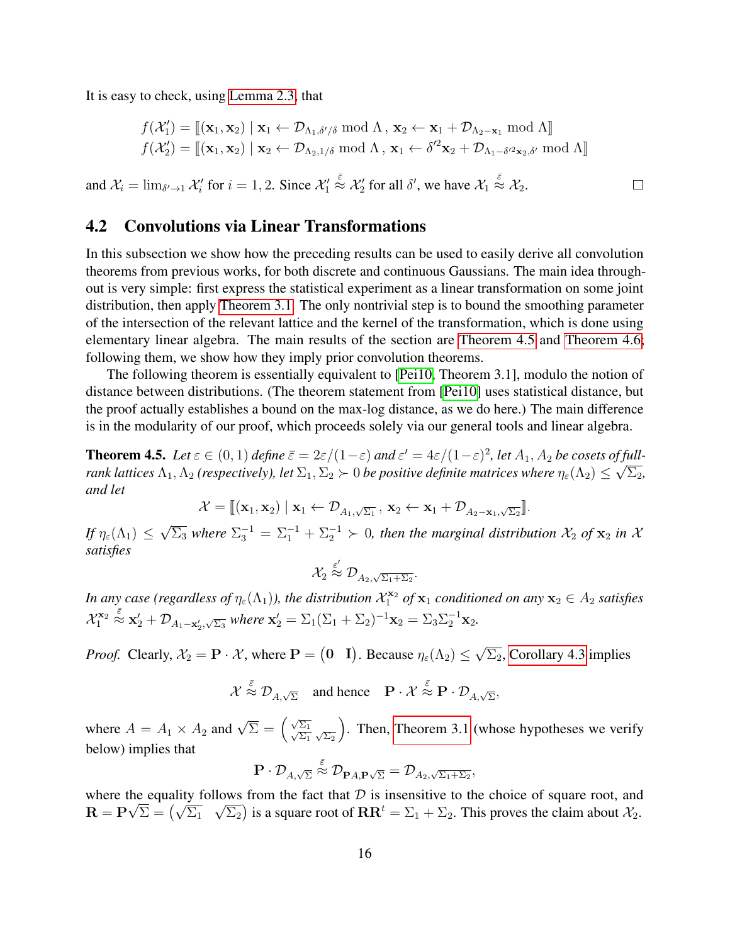It is easy to check, using [Lemma 2.3,](#page-8-3) that

$$
f(\mathcal{X}'_1) = [[(\mathbf{x}_1, \mathbf{x}_2) | \mathbf{x}_1 \leftarrow \mathcal{D}_{\Lambda_1, \delta'/\delta} \bmod \Lambda, \mathbf{x}_2 \leftarrow \mathbf{x}_1 + \mathcal{D}_{\Lambda_2 - \mathbf{x}_1} \bmod \Lambda] f(\mathcal{X}'_2) = [[(\mathbf{x}_1, \mathbf{x}_2) | \mathbf{x}_2 \leftarrow \mathcal{D}_{\Lambda_2, 1/\delta} \bmod \Lambda, \mathbf{x}_1 \leftarrow \delta'^2 \mathbf{x}_2 + \mathcal{D}_{\Lambda_1 - \delta'^2 \mathbf{x}_2, \delta'} \bmod \Lambda]
$$

 $\Box$ 

and  $\mathcal{X}_i = \lim_{\delta' \to 1} \mathcal{X}_i'$  for  $i = 1, 2$ . Since  $\mathcal{X}_1'$  $\stackrel{\bar{\varepsilon}}{\approx} \mathcal{X}'_2$  for all  $\delta'$ , we have  $\mathcal{X}_1 \stackrel{\bar{\varepsilon}}{\approx} \mathcal{X}_2$ .

#### <span id="page-15-0"></span>4.2 Convolutions via Linear Transformations

In this subsection we show how the preceding results can be used to easily derive all convolution theorems from previous works, for both discrete and continuous Gaussians. The main idea throughout is very simple: first express the statistical experiment as a linear transformation on some joint distribution, then apply [Theorem 3.1.](#page-10-0) The only nontrivial step is to bound the smoothing parameter of the intersection of the relevant lattice and the kernel of the transformation, which is done using elementary linear algebra. The main results of the section are [Theorem 4.5](#page-15-1) and [Theorem 4.6;](#page-16-0) following them, we show how they imply prior convolution theorems.

The following theorem is essentially equivalent to [\[Pei10,](#page-27-3) Theorem 3.1], modulo the notion of distance between distributions. (The theorem statement from [\[Pei10\]](#page-27-3) uses statistical distance, but the proof actually establishes a bound on the max-log distance, as we do here.) The main difference is in the modularity of our proof, which proceeds solely via our general tools and linear algebra.

<span id="page-15-1"></span>**Theorem 4.5.** Let  $\varepsilon \in (0,1)$  define  $\bar{\varepsilon} = 2\varepsilon/(1-\varepsilon)$  and  $\varepsilon' = 4\varepsilon/(1-\varepsilon)^2$ , let  $A_1, A_2$  be cosets of full-<br> *rank lattices*  $\Lambda_1,\Lambda_2$  *(respectively), let*  $\Sigma_1,\Sigma_2\succ 0$  *be positive definite matrices where*  $\eta_\varepsilon(\Lambda_2)\leq \sqrt{\Sigma_2}$ *, and let*

$$
\mathcal{X} = [[(\mathbf{x}_1, \mathbf{x}_2) \mid \mathbf{x}_1 \leftarrow \mathcal{D}_{A_1, \sqrt{\Sigma_1}}, \mathbf{x}_2 \leftarrow \mathbf{x}_1 + \mathcal{D}_{A_2 - \mathbf{x}_1, \sqrt{\Sigma_2}}]].
$$

*If*  $\eta_{\varepsilon}(\Lambda_1) \leq$ √  $\overline{\Sigma_3}$  where  $\Sigma_3^{-1} = \Sigma_1^{-1} + \Sigma_2^{-1} \succ 0$ , then the marginal distribution  $\mathcal{X}_2$  of  $\mathbf{x}_2$  in  $\mathcal{X}_3$ *satisfies*

$$
\mathcal{X}_2 \stackrel{\varepsilon'}{\approx} \mathcal{D}_{A_2,\sqrt{\Sigma_1+\Sigma_2}}.
$$

*In any case (regardless of*  $\eta_\varepsilon(\Lambda_1)$ ), the distribution  $\mathcal{X}_1^{\mathbf{x}_2}$  of  $\mathbf{x}_1$  conditioned on any  $\mathbf{x}_2\in A_2$  satisfies  $\mathcal{X}_1^{\mathbf{x}_2}$  $\stackrel{\varepsilon}{\approx}$   $\mathbf{x}'_2 + \mathcal{D}_{A_1 - \mathbf{x}'_2, \sqrt{\Sigma_3}}$  where  $\mathbf{x}'_2 = \Sigma_1(\Sigma_1 + \Sigma_2)^{-1}\mathbf{x}_2 = \Sigma_3\Sigma_2^{-1}\mathbf{x}_2$ .

*Proof.* Clearly,  $\mathcal{X}_2 = \mathbf{P} \cdot \mathcal{X}$ , where  $\mathbf{P} = (\mathbf{0} \mid \mathbf{I})$ . Because  $\eta_{\varepsilon}(\Lambda_2) \leq \Lambda_1$ √  $\overline{\Sigma_2}$ , [Corollary 4.3](#page-14-0) implies

$$
\mathcal{X} \stackrel{\bar{\varepsilon}}{\approx} \mathcal{D}_{A,\sqrt{\Sigma}} \quad \text{and hence} \quad \mathbf{P} \cdot \mathcal{X} \stackrel{\bar{\varepsilon}}{\approx} \mathbf{P} \cdot \mathcal{D}_{A,\sqrt{\Sigma}},
$$

where  $A = A_1 \times A_2$  and  $\sqrt{\Sigma} = \begin{pmatrix} \sqrt{\Sigma_1} & \sqrt{\Sigma_2} \\ \sqrt{\Sigma_3} & \sqrt{\Sigma_4} \end{pmatrix}$  $\frac{21}{\Sigma_1}\sqrt{\Sigma_2}$  . Then, [Theorem 3.1](#page-10-0) (whose hypotheses we verify below) implies that

$$
\mathbf{P} \cdot \mathcal{D}_{A,\sqrt{\Sigma}} \stackrel{\bar{\varepsilon}}{\approx} \mathcal{D}_{\mathbf{P} A,\mathbf{P}\sqrt{\Sigma}} = \mathcal{D}_{A_2,\sqrt{\Sigma_1 + \Sigma_2}},
$$

where the equality follows from the fact that  $D$  is insensitive to the choice of square root, and where the equality follows from the fact that D is insensitive to the choice of square root, and  $\mathbf{R} = \mathbf{P}\sqrt{\Sigma} = (\sqrt{\Sigma_1} \quad \sqrt{\Sigma_2})$  is a square root of  $\mathbf{R}\mathbf{R}^t = \Sigma_1 + \Sigma_2$ . This proves the claim about  $\mathcal{X}_2$ .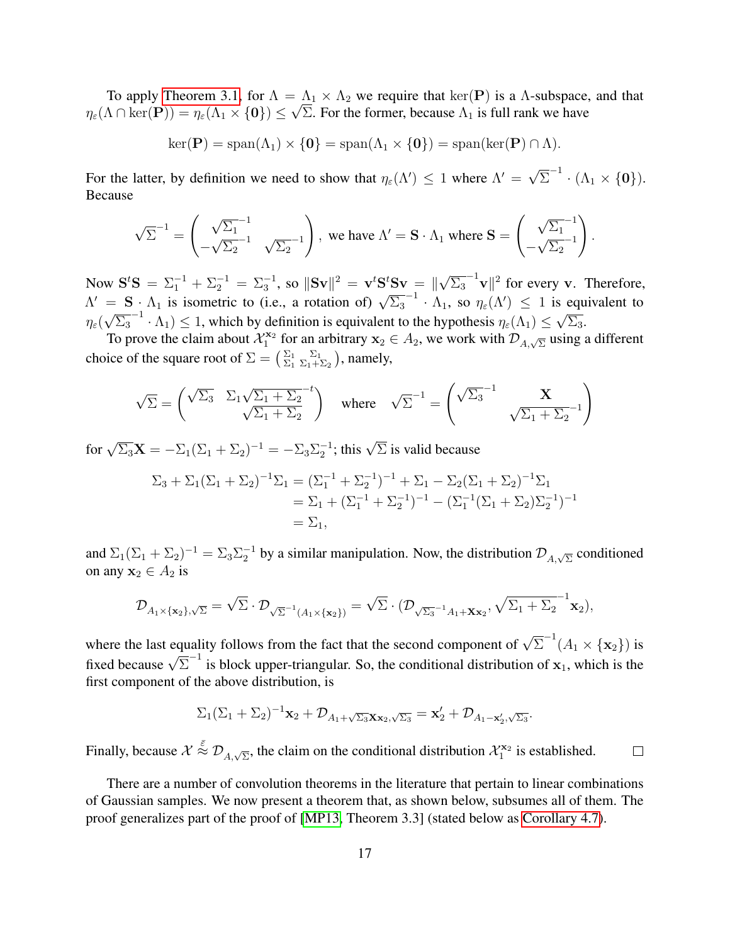To apply [Theorem 3.1,](#page-10-0) for  $\Lambda = \Lambda_1 \times \Lambda_2$  we require that ker(P) is a  $\Lambda$ -subspace, and that  $\eta_{\varepsilon}(\Lambda \cap \ker(\mathbf{P})) = \eta_{\varepsilon}(\Lambda_1 \times \{\mathbf{0}\}) \leq \sqrt{\Sigma}$ . For the former, because  $\Lambda_1$  is full rank we have

$$
\ker(\mathbf{P}) = \mathrm{span}(\Lambda_1) \times \{0\} = \mathrm{span}(\Lambda_1 \times \{0\}) = \mathrm{span}(\ker(\mathbf{P}) \cap \Lambda).
$$

For the latter, by definition we need to show that  $\eta_{\varepsilon}(\Lambda') \leq 1$  where  $\Lambda' =$ √  $\overline{\Sigma}^{-1} \cdot (\Lambda_1 \times \{\mathbf{0}\}).$ Because

$$
\sqrt{\Sigma}^{-1} = \begin{pmatrix} \sqrt{\Sigma_1}^{-1} \\ -\sqrt{\Sigma_2}^{-1} & \sqrt{\Sigma_2}^{-1} \end{pmatrix}, \text{ we have } \Lambda' = \mathbf{S} \cdot \Lambda_1 \text{ where } \mathbf{S} = \begin{pmatrix} \sqrt{\Sigma_1}^{-1} \\ -\sqrt{\Sigma_2}^{-1} \end{pmatrix}
$$

.

Now  $S^tS = \Sigma_1^{-1} + \Sigma_2^{-1} = \Sigma_3^{-1}$ , so  $||Sv||^2 = v^tS^tSv = ||v||$ √  $\overline{\Sigma_3}^{-1}$ v $\parallel^2$  for every v. Therefore, Now  $S S = Z_1 + Z_2 = Z_3$ , so  $\|\overline{S}\overline{S}\| = \sqrt{S} S \overline{S} = \|\overline{S}Z_3\|^2$  of the every v. Therefore,<br>  $\Lambda' = S \cdot \Lambda_1$  is isometric to (i.e., a rotation of)  $\sqrt{\Sigma_3}^{-1} \cdot \Lambda_1$ , so  $\eta_{\varepsilon}(\Lambda') \leq 1$  is equivalent to  $\eta_\varepsilon($ √  $\overline{\Sigma_3}^{-1} \cdot \Lambda_1$ )  $\leq 1$ , which by definition is equivalent to the hypothesis  $\eta_{\varepsilon}(\Lambda_1) \leq$  $^{\circ}$  $\overline{\Sigma_3}.$ 

To prove the claim about  $\mathcal{X}_1^{x_2}$  for an arbitrary  $x_2 \in A_2$ , we work with  $\mathcal{D}_{A,\sqrt{\Sigma}}$  using a different choice of the square root of  $\Sigma = \begin{pmatrix} \Sigma_1 & \Sigma_1 \\ \Sigma_2 & \Sigma_1 + \Sigma_2 \end{pmatrix}$  $\frac{\Sigma_1}{\Sigma_1} \frac{\Sigma_1}{\Sigma_1 + \Sigma_2}$ ), namely,

$$
\sqrt{\Sigma} = \begin{pmatrix} \sqrt{\Sigma_3} & \Sigma_1 \sqrt{\Sigma_1 + \Sigma_2}^{-t} \\ & \sqrt{\Sigma_1 + \Sigma_2} \end{pmatrix} \quad \text{where} \quad \sqrt{\Sigma}^{-1} = \begin{pmatrix} \sqrt{\Sigma_3}^{-1} & \mathbf{X} \\ & \sqrt{\Sigma_1 + \Sigma_2}^{-1} \end{pmatrix}
$$

for  $\sqrt{\Sigma_3} \mathbf{X} = -\Sigma_1 (\Sigma_1 + \Sigma_2)^{-1} = -\Sigma_3 \Sigma_2^{-1}$ ; this  $\sqrt{\Sigma}$  is valid because

$$
\Sigma_3 + \Sigma_1(\Sigma_1 + \Sigma_2)^{-1}\Sigma_1 = (\Sigma_1^{-1} + \Sigma_2^{-1})^{-1} + \Sigma_1 - \Sigma_2(\Sigma_1 + \Sigma_2)^{-1}\Sigma_1
$$
  
=  $\Sigma_1 + (\Sigma_1^{-1} + \Sigma_2^{-1})^{-1} - (\Sigma_1^{-1}(\Sigma_1 + \Sigma_2)\Sigma_2^{-1})^{-1}$   
=  $\Sigma_1$ ,

and  $\Sigma_1(\Sigma_1 + \Sigma_2)^{-1} = \Sigma_3 \Sigma_2^{-1}$  by a similar manipulation. Now, the distribution  $\mathcal{D}_{A,\sqrt{\Sigma}}$  conditioned on any  $x_2 \in A_2$  is

$$
\mathcal{D}_{A_1\times\{{\bf x}_2\},\sqrt{\Sigma}}=\sqrt{\Sigma}\cdot\mathcal{D}_{\sqrt{\Sigma}^{-1}(A_1\times\{{\bf x}_2\})}=\sqrt{\Sigma}\cdot(\mathcal{D}_{\sqrt{\Sigma_3}^{-1}A_1+{\bf X}{\bf x}_2},\sqrt{\Sigma_1+\Sigma_2}^{-1}{\bf x}_2),
$$

where the last equality follows from the fact that the second component of  $\sqrt{\Sigma}^{-1}(A_1 \times {\{\mathbf{x}_2\}})$  is fixed because  $\sqrt{\Sigma}^{-1}$  is block upper-triangular. So, the conditional distribution of  $x_1$ , which is the first component of the above distribution, is

$$
\Sigma_1(\Sigma_1+\Sigma_2)^{-1}\mathbf{x}_2+\mathcal{D}_{A_1+\sqrt{\Sigma_3}}\mathbf{x}_{\mathbf{x}_2,\sqrt{\Sigma_3}}=\mathbf{x}_2'+\mathcal{D}_{A_1-\mathbf{x}_2',\sqrt{\Sigma_3}}.
$$

Finally, because  $\mathcal{X} \stackrel{\bar{\varepsilon}}{\approx} \mathcal{D}_{A,\sqrt{\Sigma}}$ , the claim on the conditional distribution  $\mathcal{X}_1^{x_2}$  is established.  $\Box$ 

<span id="page-16-0"></span>There are a number of convolution theorems in the literature that pertain to linear combinations of Gaussian samples. We now present a theorem that, as shown below, subsumes all of them. The proof generalizes part of the proof of [\[MP13,](#page-27-8) Theorem 3.3] (stated below as [Corollary 4.7\)](#page-17-0).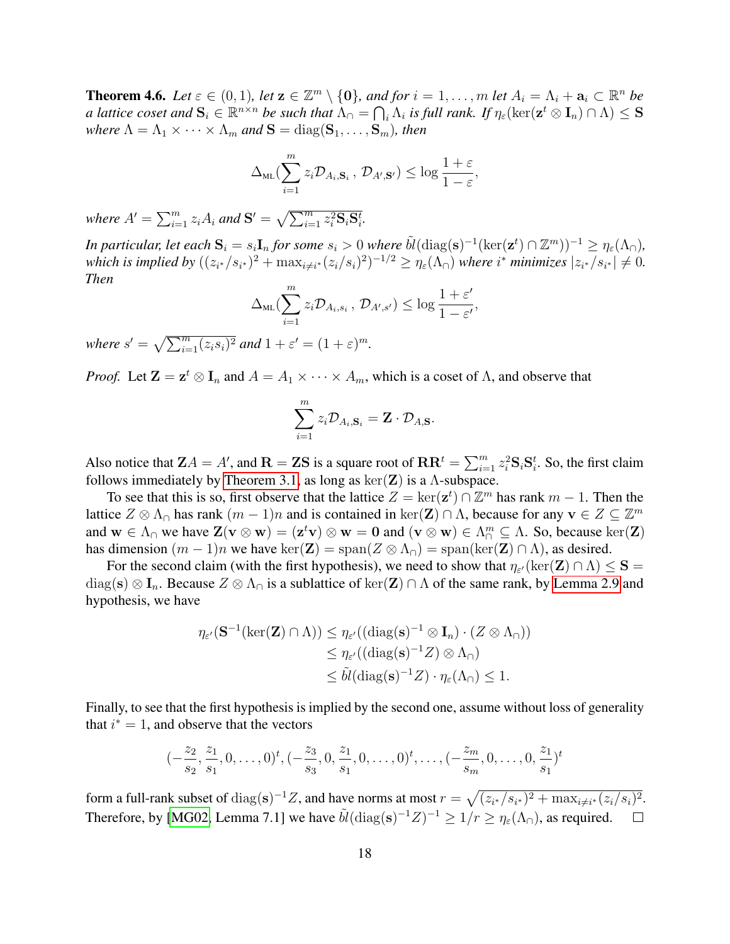**Theorem 4.6.** Let  $\varepsilon \in (0,1)$ , let  $\mathbf{z} \in \mathbb{Z}^m \setminus \{\mathbf{0}\}\$ , and for  $i = 1, \ldots, m$  let  $A_i = \Lambda_i + \mathbf{a}_i \subset \mathbb{R}^n$  be *a lattice coset and*  $S_i \in \mathbb{R}^{n \times n}$  *be such that*  $\Lambda_{\cap} = \bigcap_i \Lambda_i$  *is full rank. If*  $\eta_{\varepsilon}(\ker(\mathbf{z}^t \otimes \mathbf{I}_n) \cap \Lambda) \leq \mathbf{S}$ *where*  $\Lambda = \Lambda_1 \times \cdots \times \Lambda_m$  *and*  $\mathbf{S} = \text{diag}(\mathbf{S}_1, \ldots, \mathbf{S}_m)$ *, then* 

$$
\Delta_{\mathrm{ML}}(\sum_{i=1}^{m} z_i \mathcal{D}_{A_i, \mathbf{S}_i}, \mathcal{D}_{A', \mathbf{S}'}) \le \log \frac{1+\varepsilon}{1-\varepsilon},
$$

*where*  $A' = \sum_{i=1}^{m} z_i A_i$  *and*  $S' = \sqrt{\sum_{i=1}^{m} z_i^2 S_i S_i^t}$ .

*In particular, let each*  $S_i = s_i \mathbf{I}_n$  *for some*  $s_i > 0$  *where*  $\tilde{bl}(\text{diag}(\mathbf{s})^{-1}(\text{ker}(\mathbf{z}^t) \cap \mathbb{Z}^m))^{-1} \ge \eta_\varepsilon(\Lambda_\cap)$ , which is implied by  $((z_{i^*}/s_{i^*})^2 + \max_{i \neq i^*} (z_i/s_i)^2)^{-1/2} \geq \eta_{\varepsilon}(\Lambda_{\cap})$  where  $i^*$  minimizes  $|z_{i^*}/s_{i^*}| \neq 0$ . *Then*

$$
\Delta_{\mathrm{ML}}(\sum_{i=1}^{m} z_i \mathcal{D}_{A_i, s_i}, \mathcal{D}_{A', s'}) \leq \log \frac{1+\varepsilon'}{1-\varepsilon'},
$$

where  $s' = \sqrt{\sum_{i=1}^{m} (z_i s_i)^2}$  and  $1 + \varepsilon' = (1 + \varepsilon)^m$ .

*Proof.* Let  $\mathbf{Z} = \mathbf{z}^t \otimes \mathbf{I}_n$  and  $A = A_1 \times \cdots \times A_m$ , which is a coset of  $\Lambda$ , and observe that

$$
\sum_{i=1}^m z_i \mathcal{D}_{A_i,\mathbf{S}_i} = \mathbf{Z} \cdot \mathcal{D}_{A,\mathbf{S}}.
$$

Also notice that  $ZA = A'$ , and  $\mathbf{R} = \mathbf{Z}\mathbf{S}$  is a square root of  $\mathbf{R}\mathbf{R}^t = \sum_{i=1}^m z_i^2 \mathbf{S}_i \mathbf{S}_i^t$ . So, the first claim follows immediately by [Theorem 3.1,](#page-10-0) as long as  $\ker(Z)$  is a  $\Lambda$ -subspace.

To see that this is so, first observe that the lattice  $Z = \ker(z^t) \cap \mathbb{Z}^m$  has rank  $m - 1$ . Then the lattice  $Z \otimes \Lambda_0$  has rank  $(m-1)n$  and is contained in ker(Z)  $\cap \Lambda$ , because for any  $\mathbf{v} \in Z \subseteq \mathbb{Z}^m$ and  $w \in \Lambda_{\cap}$  we have  $\mathbf{Z}(\mathbf{v} \otimes \mathbf{w}) = (\mathbf{z}^t \mathbf{v}) \otimes \mathbf{w} = \mathbf{0}$  and  $(\mathbf{v} \otimes \mathbf{w}) \in \Lambda_{\cap}^m \subseteq \Lambda$ . So, because  $\text{ker}(\mathbf{Z})$ has dimension  $(m - 1)n$  we have ker $(\mathbf{Z}) = \text{span}(Z \otimes \Lambda_0) = \text{span}(\ker(\mathbf{Z}) \cap \Lambda)$ , as desired.

For the second claim (with the first hypothesis), we need to show that  $\eta_{\varepsilon'}(\ker(\mathbf{Z}) \cap \Lambda) \leq \mathbf{S} =$ diag(s)  $\otimes I_n$ . Because  $Z \otimes \Lambda_0$  is a sublattice of ker(Z)  $\cap \Lambda$  of the same rank, by [Lemma 2.9](#page-9-2) and hypothesis, we have

$$
\eta_{\varepsilon'}(\mathbf{S}^{-1}(\ker(\mathbf{Z}) \cap \Lambda)) \leq \eta_{\varepsilon'}((\mathrm{diag}(\mathbf{s})^{-1} \otimes \mathbf{I}_n) \cdot (Z \otimes \Lambda_{\cap}))
$$
  
\n
$$
\leq \eta_{\varepsilon'}((\mathrm{diag}(\mathbf{s})^{-1}Z) \otimes \Lambda_{\cap})
$$
  
\n
$$
\leq \tilde{bl}(\mathrm{diag}(\mathbf{s})^{-1}Z) \cdot \eta_{\varepsilon}(\Lambda_{\cap}) \leq 1.
$$

Finally, to see that the first hypothesis is implied by the second one, assume without loss of generality that  $i^* = 1$ , and observe that the vectors

$$
(-\frac{z_2}{s_2}, \frac{z_1}{s_1}, 0, \ldots, 0)^t, (-\frac{z_3}{s_3}, 0, \frac{z_1}{s_1}, 0, \ldots, 0)^t, \ldots, (-\frac{z_m}{s_m}, 0, \ldots, 0, \frac{z_1}{s_1})^t
$$

<span id="page-17-0"></span>form a full-rank subset of  $\text{diag}(s)^{-1}Z$ , and have norms at most  $r = \sqrt{(z_{i^*}/s_{i^*})^2 + \max_{i \neq i^*} (z_i/s_i)^2}$ . Therefore, by [\[MG02,](#page-27-13) Lemma 7.1] we have  $\tilde{bl}(\text{diag}(\mathbf{s})^{-1}Z)^{-1} \geq 1/r \geq \eta_{\varepsilon}(\Lambda_{\cap})$ , as required.  $\Box$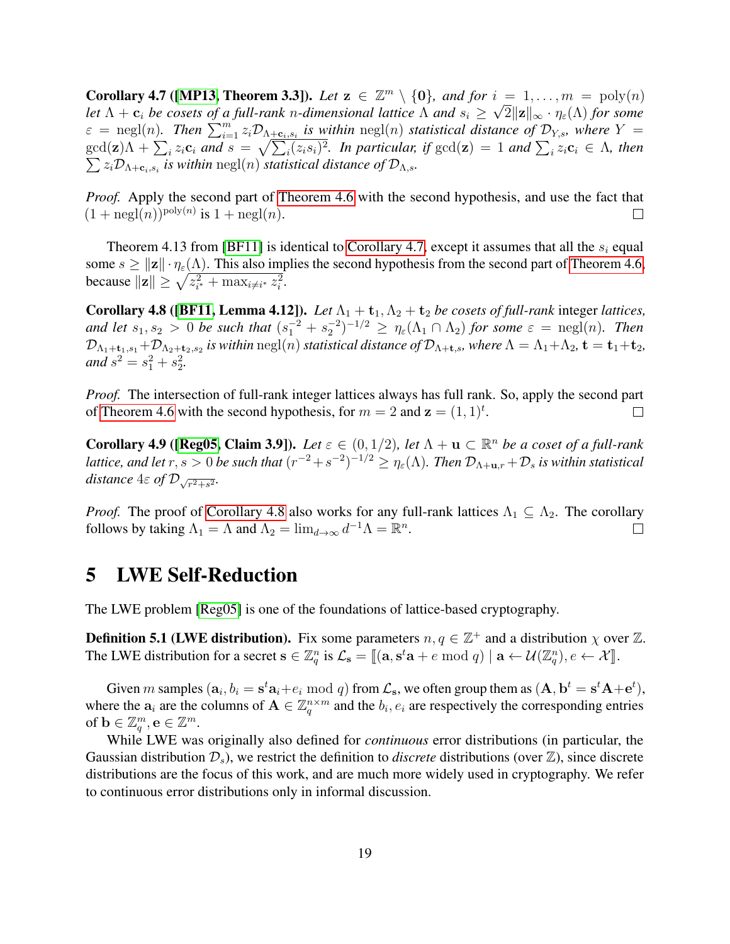**Corollary 4.7 ([\[MP13,](#page-27-8) Theorem 3.3]).** *Let*  $z \in \mathbb{Z}^m \setminus \{0\}$ , and for  $i = 1, \ldots, m = \text{poly}(n)$ *let*  $\Lambda$  +  $c_i$  *be cosets of a full-rank n-dimensional lattice*  $\Lambda$  *and*  $s_i \geq \sqrt{2} ||z||_\infty \cdot \eta_\varepsilon(\Lambda)$  *for some*  $\varepsilon$  = negl(n). Then  $\sum_{i=1}^m z_i \mathcal{D}_{\Lambda_1 + c_i, s_i}$  is within negl(n) statistical distance of  $\mathcal{D}_{Y,s}$ , where  $Y$  =  $\gcd(\mathbf{z})\Lambda + \sum_i z_i \mathbf{c}_i$  and  $s = \sqrt{\sum_i (z_i s_i)^2}$ . In particular, if  $\gcd(\mathbf{z}) = 1$  and  $\sum_i z_i \mathbf{c}_i \in \Lambda$ , then  $\sum z_i \mathcal{D}_{\Lambda+\mathbf{c}_i,s_i}$  *is within*  $\mathrm{negl}(n)$  *statistical distance of*  $\mathcal{D}_{\Lambda,s}$ *.* 

*Proof.* Apply the second part of [Theorem 4.6](#page-16-0) with the second hypothesis, and use the fact that  $(1 + \operatorname{negl}(n))^{\operatorname{poly}(n)}$  is  $1 + \operatorname{negl}(n)$ .  $\Box$ 

Theorem 4.13 from [\[BF11\]](#page-26-1) is identical to [Corollary 4.7,](#page-17-0) except it assumes that all the  $s_i$  equal some  $s \ge ||z|| \cdot \eta_{\varepsilon}(\Lambda)$ . This also implies the second hypothesis from the second part of [Theorem 4.6,](#page-16-0) because  $||z|| \ge \sqrt{z_{i^*}^2 + \max_{i \neq i^*} z_i^2}$ .

<span id="page-18-1"></span>Corollary 4.8 ([\[BF11,](#page-26-1) Lemma 4.12]). *Let*  $\Lambda_1 + t_1, \Lambda_2 + t_2$  *be cosets of full-rank* integer *lattices*, and let  $s_1, s_2 > 0$  be such that  $(s_1^{-2} + s_2^{-2})^{-1/2} \ge \eta_{\varepsilon}(\Lambda_1 \cap \Lambda_2)$  for some  $\varepsilon = \text{negl}(n)$ *. Then*  $\mathcal{D}_{\Lambda_1+\mathbf{t}_1,s_1}+\mathcal{D}_{\Lambda_2+\mathbf{t}_2,s_2}$  is within  $\mathrm{negl}(n)$  statistical distance of  $\mathcal{D}_{\Lambda+\mathbf{t},s}$ , where  $\Lambda=\Lambda_1+\Lambda_2$ ,  $\mathbf{t}=\mathbf{t}_1+\mathbf{t}_2$ , *and*  $s^2 = s_1^2 + s_2^2$ .

*Proof.* The intersection of full-rank integer lattices always has full rank. So, apply the second part of [Theorem 4.6](#page-16-0) with the second hypothesis, for  $m = 2$  and  $\mathbf{z} = (1, 1)^t$ .  $\Box$ 

<span id="page-18-2"></span>**Corollary 4.9 ([\[Reg05,](#page-28-0) Claim 3.9]).** Let  $\varepsilon \in (0,1/2)$ , let  $\Lambda + \mathbf{u} \subset \mathbb{R}^n$  be a coset of a full-rank lattice, and let  $r, s > 0$  be such that  $(r^{-2}+s^{-2})^{-1/2} \geq \eta_\varepsilon(\Lambda)$ . Then  $\mathcal{D}_{\Lambda+\mathbf{u},r}+\mathcal{D}_s$  is within statistical distance  $4\varepsilon$  of  $\mathcal{D}_{\sqrt{r^2+s^2}}$ .

*Proof.* The proof of [Corollary 4.8](#page-18-1) also works for any full-rank lattices  $\Lambda_1 \subseteq \Lambda_2$ . The corollary follows by taking  $\Lambda_1 = \Lambda$  and  $\Lambda_2 = \lim_{d \to \infty} d^{-1} \Lambda = \mathbb{R}^n$ .  $\Box$ 

### <span id="page-18-0"></span>5 LWE Self-Reduction

The LWE problem [\[Reg05\]](#page-28-0) is one of the foundations of lattice-based cryptography.

**Definition 5.1 (LWE distribution).** Fix some parameters  $n, q \in \mathbb{Z}^+$  and a distribution  $\chi$  over  $\mathbb{Z}$ . The LWE distribution for a secret  $\mathbf{s} \in \mathbb{Z}_q^n$  is  $\mathcal{L}_\mathbf{s} = [[\mathbf{a}, \mathbf{s}^t \mathbf{a} + e \bmod q] \mid \mathbf{a} \leftarrow \mathcal{U}(\mathbb{Z}_q^n), e \leftarrow \mathcal{X}$ .

Given m samples  $(a_i, b_i = s^t a_i + e_i \bmod q)$  from  $\mathcal{L}_s$ , we often group them as  $(A, b^t = s^t A + e^t)$ , where the  $a_i$  are the columns of  $A \in \mathbb{Z}_q^{n \times m}$  and the  $b_i, e_i$  are respectively the corresponding entries of  $\mathbf{b} \in \mathbb{Z}_q^m, \mathbf{e} \in \mathbb{Z}^m$ .

While LWE was originally also defined for *continuous* error distributions (in particular, the Gaussian distribution  $\mathcal{D}_s$ ), we restrict the definition to *discrete* distributions (over  $\mathbb{Z}$ ), since discrete distributions are the focus of this work, and are much more widely used in cryptography. We refer to continuous error distributions only in informal discussion.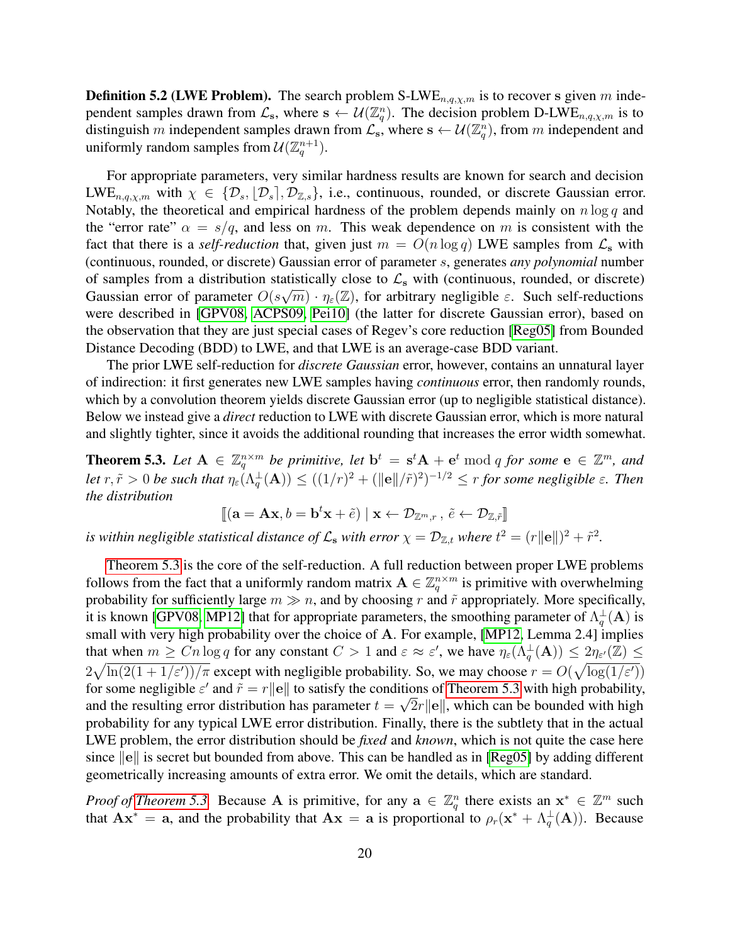**Definition 5.2 (LWE Problem).** The search problem S-LWE<sub>n,q, $\chi$ , $m$ </sub> is to recover s given m independent samples drawn from  $\mathcal{L}_s$ , where  $s \leftarrow \mathcal{U}(\mathbb{Z}_q^n)$ . The decision problem D-LWE<sub>n,q, $\chi$ , $m$ </sub> is to distinguish m independent samples drawn from  $\mathcal{L}_s$ , where  $s \leftarrow \mathcal{U}(\mathbb{Z}_q^n)$ , from m independent and uniformly random samples from  $\mathcal{U}(\mathbb{Z}_q^{n+1})$ .

For appropriate parameters, very similar hardness results are known for search and decision  $LWE_{n,q,\chi,m}$  with  $\chi \in \{D_s, |D_s|, \mathcal{D}_{\mathbb{Z},s}\}\$ , i.e., continuous, rounded, or discrete Gaussian error. Notably, the theoretical and empirical hardness of the problem depends mainly on  $n \log q$  and the "error rate"  $\alpha = s/q$ , and less on m. This weak dependence on m is consistent with the fact that there is a *self-reduction* that, given just  $m = O(n \log q)$  LWE samples from  $\mathcal{L}_{s}$  with (continuous, rounded, or discrete) Gaussian error of parameter s, generates *any polynomial* number of samples from a distribution statistically close to  $\mathcal{L}_s$  with (continuous, rounded, or discrete) Gaussian error of parameter  $O(s\sqrt{m}) \cdot \eta_{\varepsilon}(\mathbb{Z})$ , for arbitrary negligible  $\varepsilon$ . Such self-reductions were described in [\[GPV08,](#page-27-2) [ACPS09,](#page-26-6) [Pei10\]](#page-27-3) (the latter for discrete Gaussian error), based on the observation that they are just special cases of Regev's core reduction [\[Reg05\]](#page-28-0) from Bounded Distance Decoding (BDD) to LWE, and that LWE is an average-case BDD variant.

The prior LWE self-reduction for *discrete Gaussian* error, however, contains an unnatural layer of indirection: it first generates new LWE samples having *continuous* error, then randomly rounds, which by a convolution theorem yields discrete Gaussian error (up to negligible statistical distance). Below we instead give a *direct* reduction to LWE with discrete Gaussian error, which is more natural and slightly tighter, since it avoids the additional rounding that increases the error width somewhat.

<span id="page-19-0"></span>**Theorem 5.3.** Let  $A \in \mathbb{Z}_q^{n \times m}$  be primitive, let  $\mathbf{b}^t = \mathbf{s}^t A + \mathbf{e}^t \bmod q$  for some  $\mathbf{e} \in \mathbb{Z}^m$ , and *let*  $r, \tilde{r} > 0$  *be such that*  $\eta_{\varepsilon}(\Lambda_q^{\perp}(A)) \leq ((1/r)^2 + (\|\mathbf{e}\|/\tilde{r})^2)^{-1/2} \leq r$  for some negligible  $\varepsilon$ . Then *the distribution*

$$
\llbracket (\mathbf{a} = \mathbf{A}\mathbf{x}, b = \mathbf{b}^t \mathbf{x} + \tilde{e}) \mid \mathbf{x} \leftarrow \mathcal{D}_{\mathbb{Z}^m, r}, \tilde{e} \leftarrow \mathcal{D}_{\mathbb{Z}, \tilde{r}} \rrbracket
$$

*is within negligible statistical distance of*  $\mathcal{L}_s$  *with error*  $\chi = \mathcal{D}_{\mathbb{Z},t}$  where  $t^2 = (r||e||)^2 + \tilde{r}^2$ .

[Theorem 5.3](#page-19-0) is the core of the self-reduction. A full reduction between proper LWE problems follows from the fact that a uniformly random matrix  $A \in \mathbb{Z}_q^{n \times m}$  is primitive with overwhelming probability for sufficiently large  $m \gg n$ , and by choosing r and  $\tilde{r}$  appropriately. More specifically, it is known [\[GPV08,](#page-27-2) [MP12\]](#page-27-4) that for appropriate parameters, the smoothing parameter of  $\Lambda_q^{\perp}({\bf A})$  is small with very high probability over the choice of A. For example, [\[MP12,](#page-27-4) Lemma 2.4] implies that when  $m \geq C n \log q$  for any constant  $C > 1$  and  $\varepsilon \approx \varepsilon'$ , we have  $\eta_{\varepsilon}(\Lambda_q^{\perp}(\mathbf{A})) \leq 2\eta_{\varepsilon'}(\mathbb{Z}) \leq$  $2\sqrt{\ln(2(1+1/\varepsilon'))/\pi}$  except with negligible probability. So, we may choose  $r = O(\sqrt{\log(1/\varepsilon')})$ for some negligible  $\varepsilon'$  and  $\tilde{r} = r||e||$  to satisfy the conditions of [Theorem 5.3](#page-19-0) with high probability, and the resulting error distribution has parameter  $t = \sqrt{2}r||\mathbf{e}||$ , which can be bounded with high probability for any typical LWE error distribution. Finally, there is the subtlety that in the actual LWE problem, the error distribution should be *fixed* and *known*, which is not quite the case here since  $\|\mathbf{e}\|$  is secret but bounded from above. This can be handled as in [\[Reg05\]](#page-28-0) by adding different geometrically increasing amounts of extra error. We omit the details, which are standard.

*Proof of [Theorem 5.3.](#page-19-0)* Because A is primitive, for any  $a \in \mathbb{Z}_q^n$  there exists an  $x^* \in \mathbb{Z}^m$  such that  $Ax^* = a$ , and the probability that  $Ax = a$  is proportional to  $\rho_r(x^* + \Lambda_q^{\perp}(A))$ . Because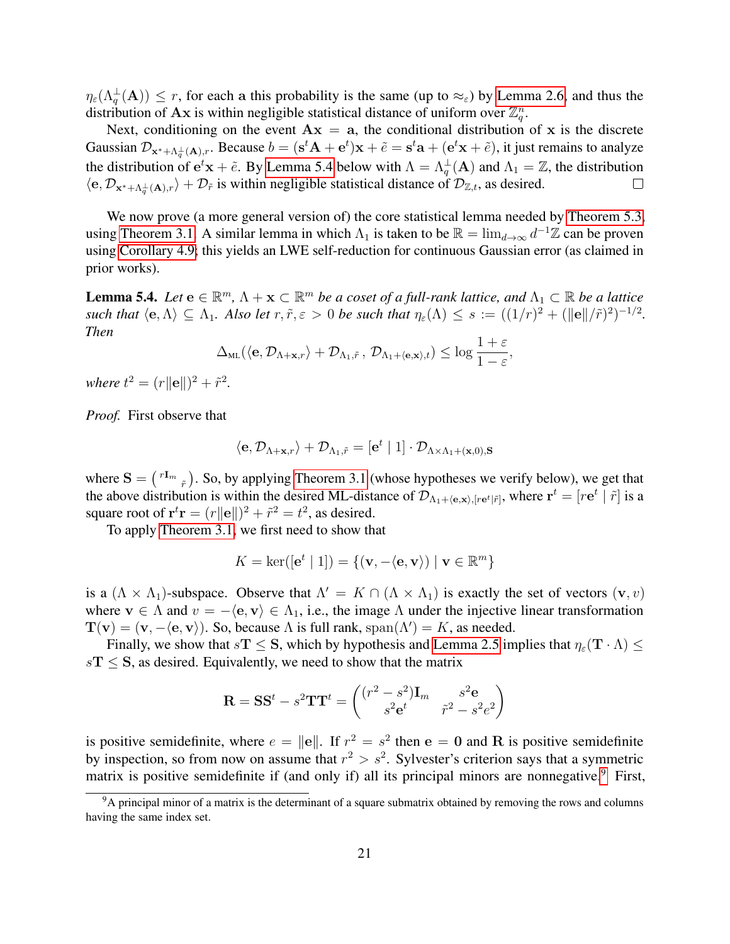$\eta_{\varepsilon}(\Lambda_q^{\perp}(\mathbf{A})) \leq r$ , for each a this probability is the same (up to  $\approx_{\varepsilon}$ ) by [Lemma 2.6,](#page-9-0) and thus the distribution of Ax is within negligible statistical distance of uniform over  $\mathbb{Z}_q^n$ .

Next, conditioning on the event  $Ax = a$ , the conditional distribution of x is the discrete Gaussian  $\mathcal{D}_{\mathbf{x}^* + \Lambda_q^{\perp}(\mathbf{A}), r}$ . Because  $b = (\mathbf{s}^t \mathbf{A} + \mathbf{e}^t)\mathbf{x} + \tilde{e} = \mathbf{s}^t \mathbf{a} + (\mathbf{e}^t \mathbf{x} + \tilde{e}),$  it just remains to analyze the distribution of  $e^t x + \tilde{e}$ . By [Lemma 5.4](#page-20-0) below with  $\Lambda = \Lambda_q^{\perp}(A)$  and  $\Lambda_1 = \mathbb{Z}$ , the distribution  $\langle e, \mathcal{D}_{\mathbf{x}^*+\Lambda_q^{\perp}(\mathbf{A}),r}\rangle + \mathcal{D}_{\tilde{r}}$  is within negligible statistical distance of  $\mathcal{D}_{\mathbb{Z},t}$ , as desired.  $\Box$ 

We now prove (a more general version of) the core statistical lemma needed by [Theorem 5.3,](#page-19-0) using [Theorem 3.1.](#page-10-0) A similar lemma in which  $\Lambda_1$  is taken to be  $\mathbb{R} = \lim_{d\to\infty} d^{-1}\mathbb{Z}$  can be proven using [Corollary 4.9;](#page-18-2) this yields an LWE self-reduction for continuous Gaussian error (as claimed in prior works).

<span id="page-20-0"></span>**Lemma 5.4.** Let  $e \in \mathbb{R}^m$ ,  $\Lambda + \mathbf{x} \subset \mathbb{R}^m$  be a coset of a full-rank lattice, and  $\Lambda_1 \subset \mathbb{R}$  be a lattice  $\textit{such that } \langle e, \Lambda \rangle \subseteq \Lambda_1$ . Also let  $r, \tilde{r}, \varepsilon > 0$  be such that  $\eta_{\varepsilon}(\Lambda) \leq s := ((1/r)^2 + (\|\mathbf{e}\|/\tilde{r})^2)^{-1/2}$ . *Then*

$$
\Delta_{\text{ML}}(\langle \mathbf{e}, \mathcal{D}_{\Lambda+\mathbf{x},r} \rangle + \mathcal{D}_{\Lambda_1,\tilde{r}}, \mathcal{D}_{\Lambda_1 + \langle \mathbf{e}, \mathbf{x} \rangle,t}) \le \log \frac{1+\varepsilon}{1-\varepsilon},
$$

*where*  $t^2 = (r||e||)^2 + \tilde{r}^2$ .

*Proof.* First observe that

$$
\langle \mathbf{e}, \mathcal{D}_{\Lambda+\mathbf{x},r} \rangle + \mathcal{D}_{\Lambda_1,\tilde{r}} = [\mathbf{e}^t \mid 1] \cdot \mathcal{D}_{\Lambda \times \Lambda_1 + (\mathbf{x},0), \mathbf{S}}
$$

where  $S = {rI_m \choose \tilde{r}}$ . So, by applying [Theorem 3.1](#page-10-0) (whose hypotheses we verify below), we get that the above distribution is within the desired ML-distance of  $\mathcal{D}_{\Lambda_1+\langle e,x\rangle,[re^t|\tilde{r}]}$ , where  $\mathbf{r}^t=[r\mathbf{e}^t\mid \tilde{r}]$  is a square root of  $\mathbf{r}^t \mathbf{r} = (r||\mathbf{e}||)^2 + \tilde{r}^2 = t^2$ , as desired.

To apply [Theorem 3.1,](#page-10-0) we first need to show that

$$
K = \ker([\mathbf{e}^t \mid 1]) = \{(\mathbf{v}, -\langle \mathbf{e}, \mathbf{v} \rangle) \mid \mathbf{v} \in \mathbb{R}^m\}
$$

is a  $(\Lambda \times \Lambda_1)$ -subspace. Observe that  $\Lambda' = K \cap (\Lambda \times \Lambda_1)$  is exactly the set of vectors  $(v, v)$ where  $\mathbf{v} \in \Lambda$  and  $v = -\langle \mathbf{e}, \mathbf{v} \rangle \in \Lambda_1$ , i.e., the image  $\Lambda$  under the injective linear transformation  $\mathbf{T}(\mathbf{v}) = (\mathbf{v}, -\langle \mathbf{e}, \mathbf{v} \rangle)$ . So, because Λ is full rank, span( $\Lambda'$ ) = K, as needed.

Finally, we show that  $sT \leq S$ , which by hypothesis and [Lemma 2.5](#page-8-4) implies that  $\eta_{\varepsilon}(T \cdot \Lambda) \leq$  $sT \leq S$ , as desired. Equivalently, we need to show that the matrix

$$
\mathbf{R} = \mathbf{S}\mathbf{S}^t - s^2 \mathbf{T}\mathbf{T}^t = \begin{pmatrix} (r^2 - s^2)\mathbf{I}_m & s^2\mathbf{e} \\ s^2\mathbf{e}^t & \tilde{r}^2 - s^2e^2 \end{pmatrix}
$$

is positive semidefinite, where  $e = ||e||$ . If  $r^2 = s^2$  then  $e = 0$  and R is positive semidefinite by inspection, so from now on assume that  $r^2 > s^2$ . Sylvester's criterion says that a symmetric matrix is positive semidefinite if (and only if) all its principal minors are nonnegative.<sup>[9](#page-20-1)</sup> First,

<span id="page-20-1"></span> $9A$  principal minor of a matrix is the determinant of a square submatrix obtained by removing the rows and columns having the same index set.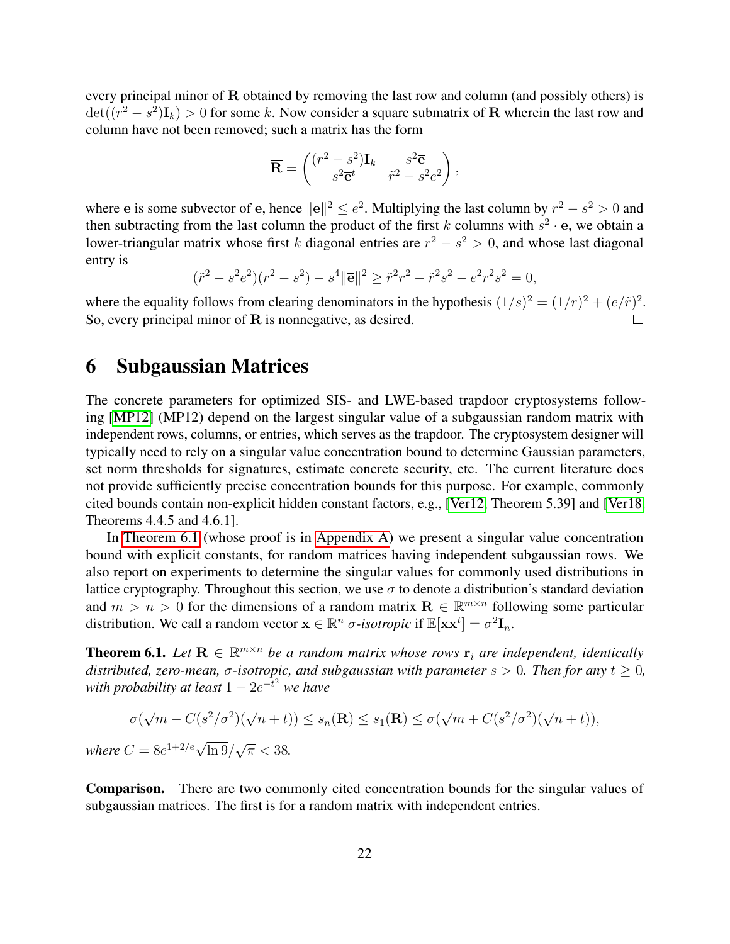every principal minor of R obtained by removing the last row and column (and possibly others) is  $\det((r^2 - s^2)I_k) > 0$  for some k. Now consider a square submatrix of R wherein the last row and column have not been removed; such a matrix has the form

$$
\overline{\mathbf{R}} = \begin{pmatrix} (r^2 - s^2) \mathbf{I}_k & s^2 \overline{\mathbf{e}} \\ s^2 \overline{\mathbf{e}}^t & \tilde{r}^2 - s^2 e^2 \end{pmatrix},
$$

where  $\bar{e}$  is some subvector of e, hence  $\|\bar{e}\|^2 \le e^2$ . Multiplying the last column by  $r^2 - s^2 > 0$  and then subtracting from the last column the product of the first k columns with  $s^2 \cdot \overline{e}$ , we obtain a lower-triangular matrix whose first k diagonal entries are  $r^2 - s^2 > 0$ , and whose last diagonal entry is

$$
(\tilde{r}^2 - s^2 e^2)(r^2 - s^2) - s^4 ||\overline{e}||^2 \ge \tilde{r}^2 r^2 - \tilde{r}^2 s^2 - e^2 r^2 s^2 = 0,
$$

where the equality follows from clearing denominators in the hypothesis  $(1/s)^2 = (1/r)^2 + (e/\tilde{r})^2$ . So, every principal minor of R is nonnegative, as desired.

### <span id="page-21-0"></span>6 Subgaussian Matrices

The concrete parameters for optimized SIS- and LWE-based trapdoor cryptosystems following [\[MP12\]](#page-27-4) (MP12) depend on the largest singular value of a subgaussian random matrix with independent rows, columns, or entries, which serves as the trapdoor. The cryptosystem designer will typically need to rely on a singular value concentration bound to determine Gaussian parameters, set norm thresholds for signatures, estimate concrete security, etc. The current literature does not provide sufficiently precise concentration bounds for this purpose. For example, commonly cited bounds contain non-explicit hidden constant factors, e.g., [\[Ver12,](#page-28-1) Theorem 5.39] and [\[Ver18,](#page-28-3) Theorems 4.4.5 and 4.6.1].

In [Theorem 6.1](#page-21-1) (whose proof is in [Appendix A\)](#page-28-2) we present a singular value concentration bound with explicit constants, for random matrices having independent subgaussian rows. We also report on experiments to determine the singular values for commonly used distributions in lattice cryptography. Throughout this section, we use  $\sigma$  to denote a distribution's standard deviation and  $m > n > 0$  for the dimensions of a random matrix  $\mathbf{R} \in \mathbb{R}^{m \times n}$  following some particular distribution. We call a random vector  $\mathbf{x} \in \mathbb{R}^n$  *σ*-*isotropic* if  $\mathbb{E}[\mathbf{x} \mathbf{x}^t] = \sigma^2 \mathbf{I}_n$ .

<span id="page-21-1"></span>**Theorem 6.1.** Let  $\mathbf{R} \in \mathbb{R}^{m \times n}$  be a random matrix whose rows  $\mathbf{r}_i$  are independent, identically *distributed, zero-mean,*  $\sigma$ *-isotropic, and subgaussian with parameter*  $s > 0$ *. Then for any*  $t > 0$ *, with probability at least*  $1 - 2e^{-t^2}$  *we have* 

$$
\sigma(\sqrt{m}-C(s^2/\sigma^2)(\sqrt{n}+t)) \leq s_n(\mathbf{R}) \leq s_1(\mathbf{R}) \leq \sigma(\sqrt{m}+C(s^2/\sigma^2)(\sqrt{n}+t)),
$$

*where*  $C = 8e^{1+2/e}\sqrt{\ln 9}/$  $\frac{1}{\pi}$  < 38.

<span id="page-21-2"></span>Comparison. There are two commonly cited concentration bounds for the singular values of subgaussian matrices. The first is for a random matrix with independent entries.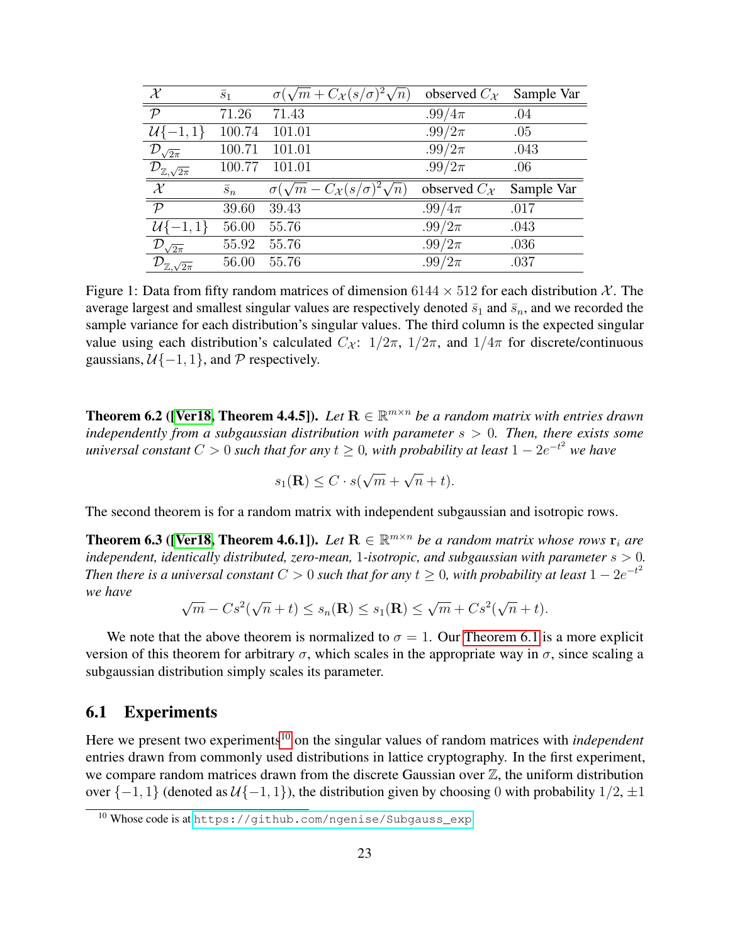| $\mathcal{X}$                          | $\overline{s}_1$ | $\sigma(\sqrt{m}+C_{\mathcal{X}}(s/\sigma)^2\sqrt{n})$ | observed $C_{\mathcal{X}}$ | Sample Var |
|----------------------------------------|------------------|--------------------------------------------------------|----------------------------|------------|
| $\mathcal{P}$                          | 71.26            | 71.43                                                  | $.99/4\pi$                 | .04        |
| $U\{-1,1\}$                            | 100.74           | 101.01                                                 | $.99/2\pi$                 | .05        |
| $\mathcal{D}_{\sqrt{2\pi}}$            | 100.71           | 101.01                                                 | $.99/2\pi$                 | .043       |
| $\mathcal{D}_{\mathbb{Z},\sqrt{2\pi}}$ | 100.77           | 101.01                                                 | $.99/2\pi$                 | .06        |
|                                        |                  |                                                        |                            |            |
| $\overline{\mathcal{X}}$               | $\bar{s}_n$      | $\sigma(\sqrt{m}-C_{\mathcal{X}}(s/\sigma)^2\sqrt{n})$ | observed $C_{\mathcal{X}}$ | Sample Var |
| $\overline{\mathcal{P}}$               | 39.60            | 39.43                                                  | $.99/4\pi$                 | .017       |
| $U\{-1,1\}$                            | 56.00            | 55.76                                                  | $.99/2\pi$                 | .043       |
| $\mathcal{D}_{\sqrt{2\pi}}$            | 55.92            | 55.76                                                  | $.99/2\pi$                 | .036       |

<span id="page-22-1"></span>Figure 1: Data from fifty random matrices of dimension  $6144 \times 512$  for each distribution X. The average largest and smallest singular values are respectively denoted  $\bar{s}_1$  and  $\bar{s}_n$ , and we recorded the sample variance for each distribution's singular values. The third column is the expected singular value using each distribution's calculated  $C_{\mathcal{X}}$ :  $1/2\pi$ ,  $1/2\pi$ , and  $1/4\pi$  for discrete/continuous gaussians,  $U\{-1, 1\}$ , and P respectively.

**Theorem 6.2 ([\[Ver18,](#page-28-3) Theorem 4.4.5]).** Let  $\mathbf{R} \in \mathbb{R}^{m \times n}$  be a random matrix with entries drawn *independently from a subgaussian distribution with parameter*  $s > 0$ *. Then, there exists some universal constant*  $C > 0$  such that for any  $t \geq 0$ , with probability at least  $1 - 2e^{-t^2}$  we have

$$
s_1(\mathbf{R}) \le C \cdot s(\sqrt{m} + \sqrt{n} + t).
$$

The second theorem is for a random matrix with independent subgaussian and isotropic rows.

**Theorem 6.3 ([\[Ver18,](#page-28-3) Theorem 4.6.1]).** Let  $\mathbf{R} \in \mathbb{R}^{m \times n}$  be a random matrix whose rows  $\mathbf{r}_i$  are *independent, identically distributed, zero-mean,* 1*-isotropic, and subgaussian with parameter* s > 0*. Then there is a universal constant*  $C > 0$  such that for any  $t \geq 0$ , with probability at least  $1 - 2e^{-t^2}$ *we have* √ √ √ √

$$
\sqrt{m} - Cs^2(\sqrt{n} + t) \le s_n(\mathbf{R}) \le s_1(\mathbf{R}) \le \sqrt{m} + Cs^2(\sqrt{n} + t).
$$

We note that the above theorem is normalized to  $\sigma = 1$ . Our [Theorem 6.1](#page-21-1) is a more explicit version of this theorem for arbitrary  $\sigma$ , which scales in the appropriate way in  $\sigma$ , since scaling a subgaussian distribution simply scales its parameter.

#### <span id="page-22-2"></span>6.1 Experiments

Here we present two experiments<sup>[10](#page-22-0)</sup> on the singular values of random matrices with *independent* entries drawn from commonly used distributions in lattice cryptography. In the first experiment, we compare random matrices drawn from the discrete Gaussian over  $\mathbb{Z}$ , the uniform distribution over  $\{-1, 1\}$  (denoted as  $\mathcal{U}\{-1, 1\}$ ), the distribution given by choosing 0 with probability  $1/2, \pm 1$ 

<span id="page-22-0"></span><sup>10</sup> Whose code is at [https://github.com/ngenise/Subgauss\\_exp](https://github.com/ngenise/Subgauss_exp).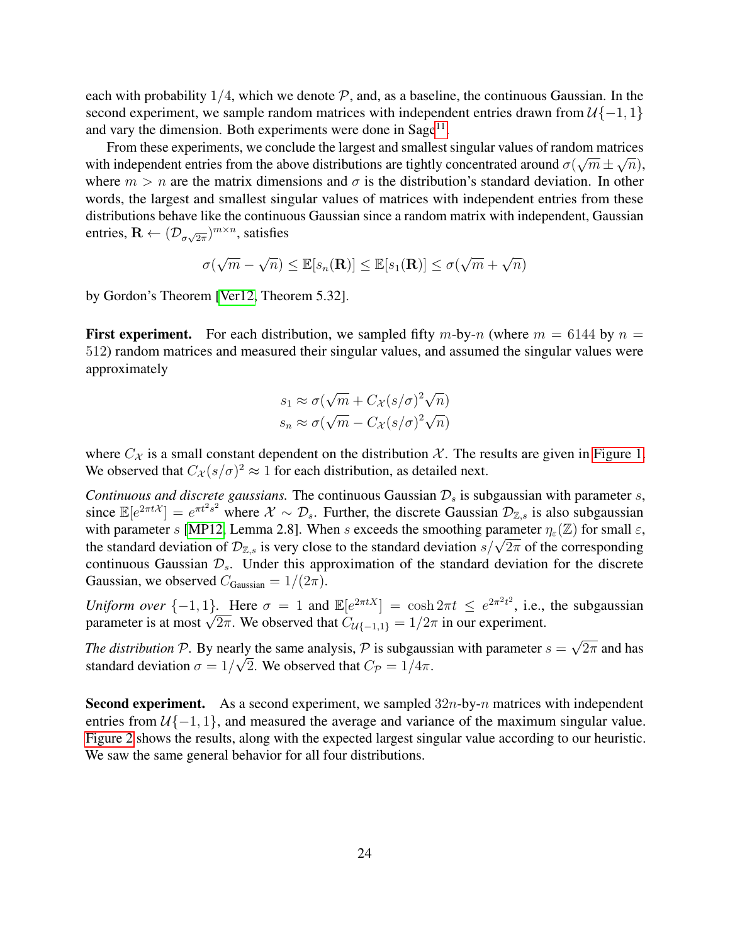each with probability  $1/4$ , which we denote  $P$ , and, as a baseline, the continuous Gaussian. In the second experiment, we sample random matrices with independent entries drawn from  $\mathcal{U}\{-1, 1\}$ and vary the dimension. Both experiments were done in Sage $^{11}$  $^{11}$  $^{11}$ .

From these experiments, we conclude the largest and smallest singular values of random matrices with independent entries from the above distributions are tightly concentrated around  $\sigma(\sqrt{m} \pm \sqrt{n})$ , where  $m > n$  are the matrix dimensions and  $\sigma$  is the distribution's standard deviation. In other words, the largest and smallest singular values of matrices with independent entries from these distributions behave like the continuous Gaussian since a random matrix with independent, Gaussian entries,  $\mathbf{R} \leftarrow (\mathcal{D}_{\sigma\sqrt{2\pi}})^{m \times n}$ , satisfies

$$
\sigma(\sqrt{m}-\sqrt{n}) \leq \mathbb{E}[s_n(\mathbf{R})] \leq \mathbb{E}[s_1(\mathbf{R})] \leq \sigma(\sqrt{m}+\sqrt{n})
$$

by Gordon's Theorem [\[Ver12,](#page-28-1) Theorem 5.32].

**First experiment.** For each distribution, we sampled fifty m-by-n (where  $m = 6144$  by  $n =$ 512) random matrices and measured their singular values, and assumed the singular values were approximately

$$
s_1 \approx \sigma(\sqrt{m} + C_{\mathcal{X}}(s/\sigma)^2 \sqrt{n})
$$
  

$$
s_n \approx \sigma(\sqrt{m} - C_{\mathcal{X}}(s/\sigma)^2 \sqrt{n})
$$

where  $C_{\mathcal{X}}$  is a small constant dependent on the distribution  $\mathcal{X}$ . The results are given in [Figure 1.](#page-22-1) We observed that  $C_{\mathcal{X}}(s/\sigma)^2 \approx 1$  for each distribution, as detailed next.

*Continuous and discrete gaussians.* The continuous Gaussian  $\mathcal{D}_s$  is subgaussian with parameter s, since  $\mathbb{E}[e^{2\pi t X}] = e^{\pi t^2 s^2}$  where  $\mathcal{X} \sim \mathcal{D}_s$ . Further, the discrete Gaussian  $\mathcal{D}_{\mathbb{Z},s}$  is also subgaussian with parameter s [\[MP12,](#page-27-4) Lemma 2.8]. When s exceeds the smoothing parameter  $\eta_{\varepsilon}(\mathbb{Z})$  for small  $\varepsilon$ , with parameter s [MPT2, Lemma 2.8]. When s exceeds the smoothing parameter  $\eta_{\varepsilon}(\mathbb{Z})$  for small  $\varepsilon$ , the standard deviation of  $\mathcal{D}_{\mathbb{Z},s}$  is very close to the standard deviation  $s/\sqrt{2\pi}$  of the correspondi continuous Gaussian  $\mathcal{D}_s$ . Under this approximation of the standard deviation for the discrete Gaussian, we observed  $C_{\text{Gaussian}} = 1/(2\pi)$ .

*Uniform over*  $\{-1, 1\}$ . Here  $\sigma = 1$  and  $\mathbb{E}[e^{2\pi t X}] = \cosh 2\pi t \leq e^{2\pi^2 t^2}$ , i.e., the subgaussian *Uniform over* {-1, 1}. Here  $\sigma = 1$  and  $\mathbb{E}[e^{2\pi i t}] = \cosh 2\pi t \leq e^{2\pi i t}$ , i.e., parameter is at most  $\sqrt{2\pi}$ . We observed that  $C_{\mathcal{U}\{-1,1\}} = 1/2\pi$  in our experiment.

*The distribution* P. By nearly the same analysis, P is subgaussian with parameter  $s =$ √ rly the same analysis,  $\mathcal P$  is subgaussian with parameter  $s = \sqrt{2\pi}$  and has standard deviation  $\sigma = 1/\sqrt{2}$ . We observed that  $C_{\mathcal{P}} = 1/4\pi$ .

**Second experiment.** As a second experiment, we sampled  $32n$ -by-n matrices with independent entries from  $U\{-1, 1\}$ , and measured the average and variance of the maximum singular value. [Figure 2](#page-24-1) shows the results, along with the expected largest singular value according to our heuristic. We saw the same general behavior for all four distributions.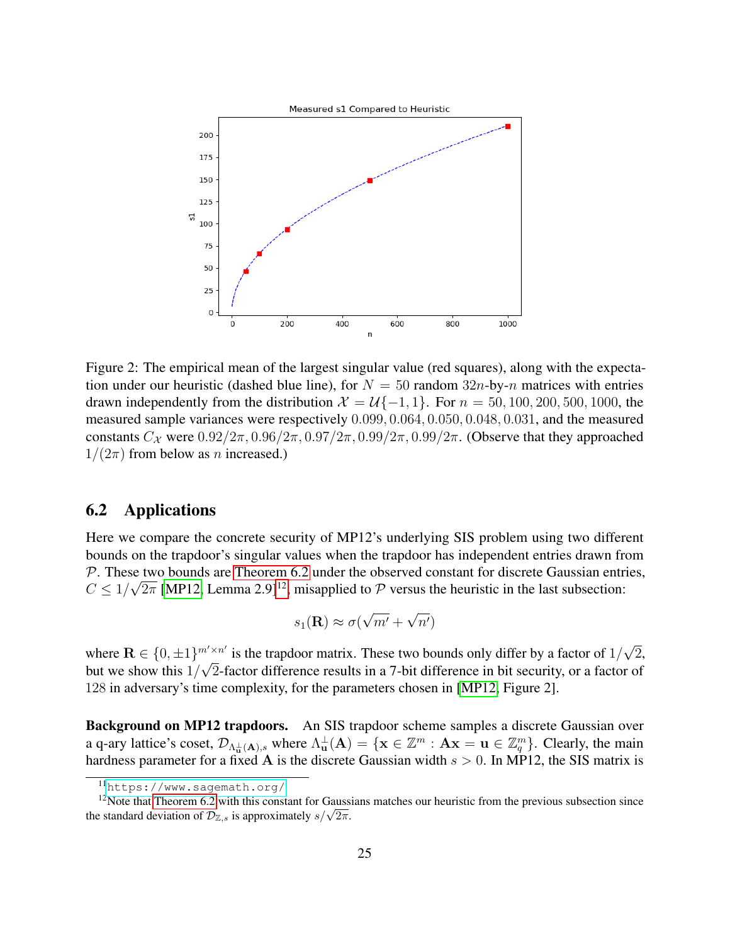

<span id="page-24-1"></span>Figure 2: The empirical mean of the largest singular value (red squares), along with the expectation under our heuristic (dashed blue line), for  $N = 50$  random  $32n$ -by-n matrices with entries drawn independently from the distribution  $\mathcal{X} = \mathcal{U}\{-1, 1\}$ . For  $n = 50, 100, 200, 500, 1000$ , the measured sample variances were respectively 0.099, 0.064, 0.050, 0.048, 0.031, and the measured constants  $C_{\mathcal{X}}$  were  $0.92/2\pi$ ,  $0.96/2\pi$ ,  $0.97/2\pi$ ,  $0.99/2\pi$ ,  $0.99/2\pi$ . (Observe that they approached  $1/(2\pi)$  from below as *n* increased.)

#### 6.2 Applications

Here we compare the concrete security of MP12's underlying SIS problem using two different bounds on the trapdoor's singular values when the trapdoor has independent entries drawn from P. These two bounds are [Theorem 6.2](#page-21-2) under the observed constant for discrete Gaussian entries,  $C \leq 1/\sqrt{2\pi}$  [\[MP12,](#page-27-4) Lemma 2.9]<sup>[12](#page-24-2)</sup>, misapplied to  $P$  versus the heuristic in the last subsection:

$$
s_1({\bf R}) \approx \sigma(\sqrt{m'} + \sqrt{n'})
$$

where  $\mathbf{R} \in \{0, \pm 1\}^{m' \times n'}$  is the trapdoor matrix. These two bounds only differ by a factor of  $1/$ √  $\pi$ <sup>'</sup> × n' is the trapdoor matrix. These two bounds only differ by a factor of  $1/\sqrt{2}$ , but we show this  $1/\sqrt{2}$ -factor difference results in a 7-bit difference in bit security, or a factor of 128 in adversary's time complexity, for the parameters chosen in [\[MP12,](#page-27-4) Figure 2].

Background on MP12 trapdoors. An SIS trapdoor scheme samples a discrete Gaussian over a q-ary lattice's coset,  $\mathcal{D}_{\Lambda_{\mathbf{u}}^{\perp}(\mathbf{A}),s}$  where  $\Lambda_{\mathbf{u}}^{\perp}(\mathbf{A}) = \{ \mathbf{x} \in \mathbb{Z}^m : \mathbf{A}\mathbf{x} = \mathbf{u} \in \mathbb{Z}_q^m \}$ . Clearly, the main hardness parameter for a fixed A is the discrete Gaussian width  $s > 0$ . In MP12, the SIS matrix is

<span id="page-24-2"></span><span id="page-24-0"></span><sup>11</sup><https://www.sagemath.org/>

 $12$ Note that [Theorem 6.2](#page-21-2) with this constant for Gaussians matches our heuristic from the previous subsection since The standard deviation of  $\mathcal{D}_{\mathbb{Z},s}$  is approximately  $s/\sqrt{2\pi}$ .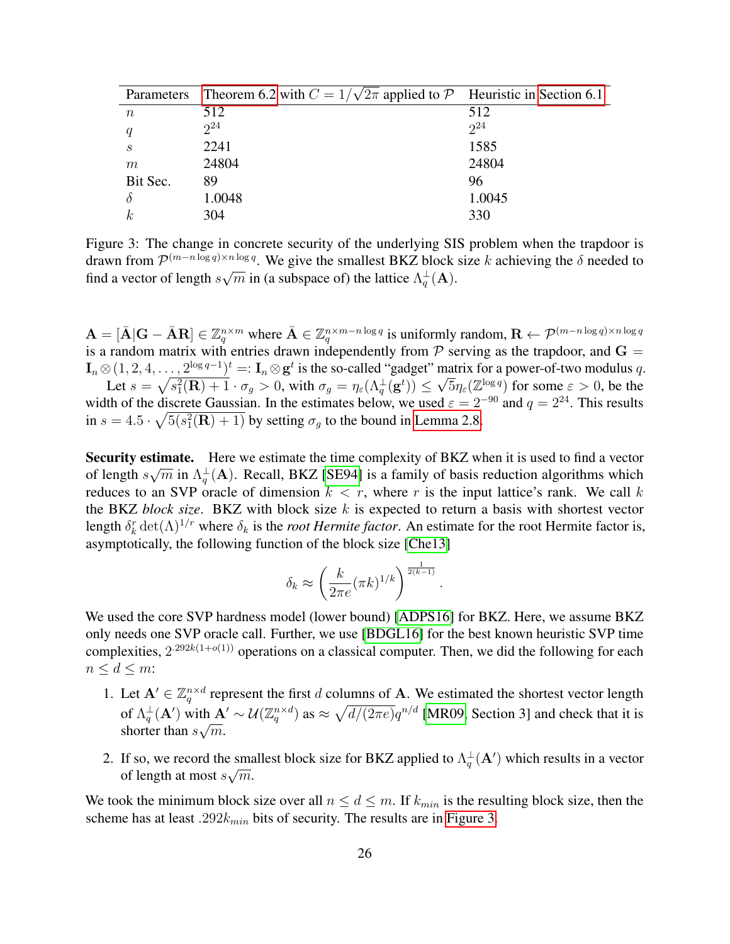|                             | Parameters Theorem 6.2 with $C = 1/\sqrt{2\pi}$ applied to P Heuristic in Section 6.1 |          |
|-----------------------------|---------------------------------------------------------------------------------------|----------|
| $\, n$                      | 512                                                                                   | 512      |
| q                           | $2^{24}$                                                                              | $2^{24}$ |
| $\mathcal{S}_{\mathcal{S}}$ | 2241                                                                                  | 1585     |
| $m\,$                       | 24804                                                                                 | 24804    |
| Bit Sec.                    | 89                                                                                    | 96       |
|                             | 1.0048                                                                                | 1.0045   |
| k,                          | 304                                                                                   | 330      |

<span id="page-25-0"></span>Figure 3: The change in concrete security of the underlying SIS problem when the trapdoor is drawn from  $\mathcal{P}^{(m-n\log q)\times n\log q}$ . We give the smallest BKZ block size k achieving the  $\delta$  needed to find a vector of length  $s\sqrt{m}$  in (a subspace of) the lattice  $\Lambda_q^{\perp}(\mathbf{A})$ .

 $\mathbf{A} = [\bar{\mathbf{A}}] \mathbf{G} - \bar{\mathbf{A}} \mathbf{R}] \in \mathbb{Z}_q^{n \times m}$  where  $\bar{\mathbf{A}} \in \mathbb{Z}_q^{n \times m - n \log q}$  is uniformly random,  $\mathbf{R} \leftarrow \mathcal{P}^{(m-n \log q) \times n \log q}$ is a random matrix with entries drawn independently from  $P$  serving as the trapdoor, and  $G =$  ${\bf I}_n\otimes(1,2,4,\ldots,2^{\log q-1})^t =: {\bf I}_n\otimes {\bf g}^t$  is the so-called "gadget" matrix for a power-of-two modulus  $q.$ Let  $s = \sqrt{s_1^2(\mathbf{R}) + 1} \cdot \sigma_g > 0$ , with  $\sigma_g = \eta_\varepsilon(\Lambda_q^{\perp}(\mathbf{g}^t)) \leq$ matrix for a power-of-two modulus q<br> $\sqrt{5}\eta_{\varepsilon}(\mathbb{Z}^{\log q})$  for some  $\varepsilon > 0$ , be the width of the discrete Gaussian. In the estimates below, we used  $\varepsilon = 2^{-90}$  and  $q = 2^{24}$ . This results in  $s = 4.5 \cdot \sqrt{5(s_1^2(\mathbf{R}) + 1)}$  by setting  $\sigma_g$  to the bound in [Lemma 2.8.](#page-9-3)

Security estimate. Here we estimate the time complexity of BKZ when it is used to find a vector of length  $s\sqrt{m}$  in  $\Lambda_q^{\perp}(\mathbf{A})$ . Recall, BKZ [\[SE94\]](#page-28-4) is a family of basis reduction algorithms which reduces to an SVP oracle of dimension  $k < r$ , where r is the input lattice's rank. We call k the BKZ *block size*. BKZ with block size k is expected to return a basis with shortest vector length  $\delta_k^r \det(\Lambda)^{1/r}$  where  $\delta_k$  is the *root Hermite factor*. An estimate for the root Hermite factor is, asymptotically, the following function of the block size [\[Che13\]](#page-26-9)

$$
\delta_k \approx \left(\frac{k}{2\pi e} (\pi k)^{1/k}\right)^{\frac{1}{2(k-1)}}
$$

.

We used the core SVP hardness model (lower bound) [\[ADPS16\]](#page-26-10) for BKZ. Here, we assume BKZ only needs one SVP oracle call. Further, we use [\[BDGL16\]](#page-26-11) for the best known heuristic SVP time complexities,  $2^{.292k(1+o(1))}$  operations on a classical computer. Then, we did the following for each  $n \leq d \leq m$ :

- 1. Let  $\mathbf{A}' \in \mathbb{Z}_q^{n \times d}$  represent the first d columns of A. We estimated the shortest vector length of  $\Lambda_q^{\perp}(\mathbf{A}')$  with  $\mathbf{A}' \sim \mathcal{U}(\mathbb{Z}_q^{n \times d})$  as  $\approx \sqrt{d/(2\pi e)}q^{n/d}$  [\[MR09,](#page-27-14) Section 3] and check that it is shorter than  $s\sqrt{m}$ .
- 2. If so, we record the smallest block size for BKZ applied to  $\Lambda_q^{\perp}(A')$  which results in a vector of length at most  $s\sqrt{m}$ .

We took the minimum block size over all  $n \leq d \leq m$ . If  $k_{min}$  is the resulting block size, then the scheme has at least  $.292k_{min}$  bits of security. The results are in [Figure 3.](#page-25-0)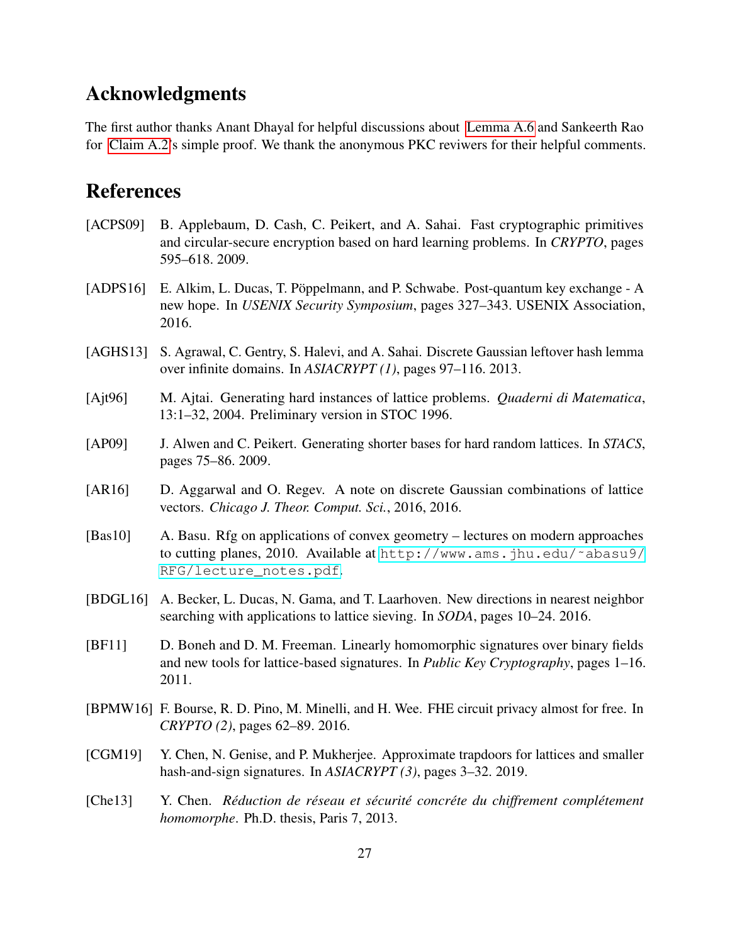### Acknowledgments

The first author thanks Anant Dhayal for helpful discussions about [Lemma A.6](#page-30-0) and Sankeerth Rao for [Claim A.2'](#page-29-0)s simple proof. We thank the anonymous PKC reviwers for their helpful comments.

# References

- <span id="page-26-6"></span>[ACPS09] B. Applebaum, D. Cash, C. Peikert, and A. Sahai. Fast cryptographic primitives and circular-secure encryption based on hard learning problems. In *CRYPTO*, pages 595–618. 2009.
- <span id="page-26-10"></span>[ADPS16] E. Alkim, L. Ducas, T. Pöppelmann, and P. Schwabe. Post-quantum key exchange - A new hope. In *USENIX Security Symposium*, pages 327–343. USENIX Association, 2016.
- <span id="page-26-2"></span>[AGHS13] S. Agrawal, C. Gentry, S. Halevi, and A. Sahai. Discrete Gaussian leftover hash lemma over infinite domains. In *ASIACRYPT (1)*, pages 97–116. 2013.
- <span id="page-26-0"></span>[Ajt96] M. Ajtai. Generating hard instances of lattice problems. *Quaderni di Matematica*, 13:1–32, 2004. Preliminary version in STOC 1996.
- <span id="page-26-7"></span>[AP09] J. Alwen and C. Peikert. Generating shorter bases for hard random lattices. In *STACS*, pages 75–86. 2009.
- <span id="page-26-3"></span>[AR16] D. Aggarwal and O. Regev. A note on discrete Gaussian combinations of lattice vectors. *Chicago J. Theor. Comput. Sci.*, 2016, 2016.
- <span id="page-26-8"></span>[Bas10] A. Basu. Rfg on applications of convex geometry – lectures on modern approaches to cutting planes, 2010. Available at [http://www.ams.jhu.edu/˜abasu9/](http://www.ams.jhu.edu/~abasu9/RFG/lecture_notes.pdf) [RFG/lecture\\_notes.pdf](http://www.ams.jhu.edu/~abasu9/RFG/lecture_notes.pdf).
- <span id="page-26-11"></span>[BDGL16] A. Becker, L. Ducas, N. Gama, and T. Laarhoven. New directions in nearest neighbor searching with applications to lattice sieving. In *SODA*, pages 10–24. 2016.
- <span id="page-26-1"></span>[BF11] D. Boneh and D. M. Freeman. Linearly homomorphic signatures over binary fields and new tools for lattice-based signatures. In *Public Key Cryptography*, pages 1–16. 2011.
- <span id="page-26-4"></span>[BPMW16] F. Bourse, R. D. Pino, M. Minelli, and H. Wee. FHE circuit privacy almost for free. In *CRYPTO (2)*, pages 62–89. 2016.
- <span id="page-26-5"></span>[CGM19] Y. Chen, N. Genise, and P. Mukherjee. Approximate trapdoors for lattices and smaller hash-and-sign signatures. In *ASIACRYPT (3)*, pages 3–32. 2019.
- <span id="page-26-9"></span>[Che13] Y. Chen. *Reduction de r ´ eseau et s ´ ecurit ´ e concr ´ ete du chiffrement compl ´ etement ´ homomorphe*. Ph.D. thesis, Paris 7, 2013.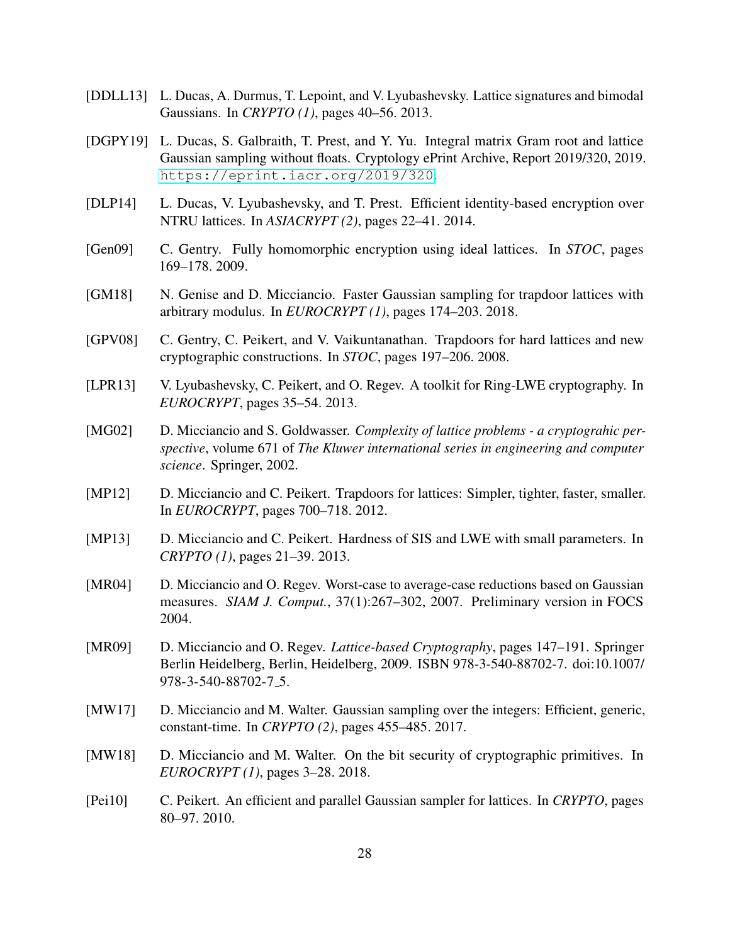- <span id="page-27-5"></span>[DDLL13] L. Ducas, A. Durmus, T. Lepoint, and V. Lyubashevsky. Lattice signatures and bimodal Gaussians. In *CRYPTO (1)*, pages 40–56. 2013.
- <span id="page-27-10"></span>[DGPY19] L. Ducas, S. Galbraith, T. Prest, and Y. Yu. Integral matrix Gram root and lattice Gaussian sampling without floats. Cryptology ePrint Archive, Report 2019/320, 2019. <https://eprint.iacr.org/2019/320>.
- <span id="page-27-6"></span>[DLP14] L. Ducas, V. Lyubashevsky, and T. Prest. Efficient identity-based encryption over NTRU lattices. In *ASIACRYPT (2)*, pages 22–41. 2014.
- <span id="page-27-0"></span>[Gen09] C. Gentry. Fully homomorphic encryption using ideal lattices. In *STOC*, pages 169–178. 2009.
- <span id="page-27-9"></span>[GM18] N. Genise and D. Micciancio. Faster Gaussian sampling for trapdoor lattices with arbitrary modulus. In *EUROCRYPT (1)*, pages 174–203. 2018.
- <span id="page-27-2"></span>[GPV08] C. Gentry, C. Peikert, and V. Vaikuntanathan. Trapdoors for hard lattices and new cryptographic constructions. In *STOC*, pages 197–206. 2008.
- <span id="page-27-12"></span>[LPR13] V. Lyubashevsky, C. Peikert, and O. Regev. A toolkit for Ring-LWE cryptography. In *EUROCRYPT*, pages 35–54. 2013.
- <span id="page-27-13"></span>[MG02] D. Micciancio and S. Goldwasser. *Complexity of lattice problems - a cryptograhic perspective*, volume 671 of *The Kluwer international series in engineering and computer science*. Springer, 2002.
- <span id="page-27-4"></span>[MP12] D. Micciancio and C. Peikert. Trapdoors for lattices: Simpler, tighter, faster, smaller. In *EUROCRYPT*, pages 700–718. 2012.
- <span id="page-27-8"></span>[MP13] D. Micciancio and C. Peikert. Hardness of SIS and LWE with small parameters. In *CRYPTO (1)*, pages 21–39. 2013.
- <span id="page-27-1"></span>[MR04] D. Micciancio and O. Regev. Worst-case to average-case reductions based on Gaussian measures. *SIAM J. Comput.*, 37(1):267–302, 2007. Preliminary version in FOCS 2004.
- <span id="page-27-14"></span>[MR09] D. Micciancio and O. Regev. *Lattice-based Cryptography*, pages 147–191. Springer Berlin Heidelberg, Berlin, Heidelberg, 2009. ISBN 978-3-540-88702-7. doi:10.1007/ 978-3-540-88702-7 5.
- <span id="page-27-7"></span>[MW17] D. Micciancio and M. Walter. Gaussian sampling over the integers: Efficient, generic, constant-time. In *CRYPTO (2)*, pages 455–485. 2017.
- <span id="page-27-11"></span>[MW18] D. Micciancio and M. Walter. On the bit security of cryptographic primitives. In *EUROCRYPT (1)*, pages 3–28. 2018.
- <span id="page-27-3"></span>[Pei10] C. Peikert. An efficient and parallel Gaussian sampler for lattices. In *CRYPTO*, pages 80–97. 2010.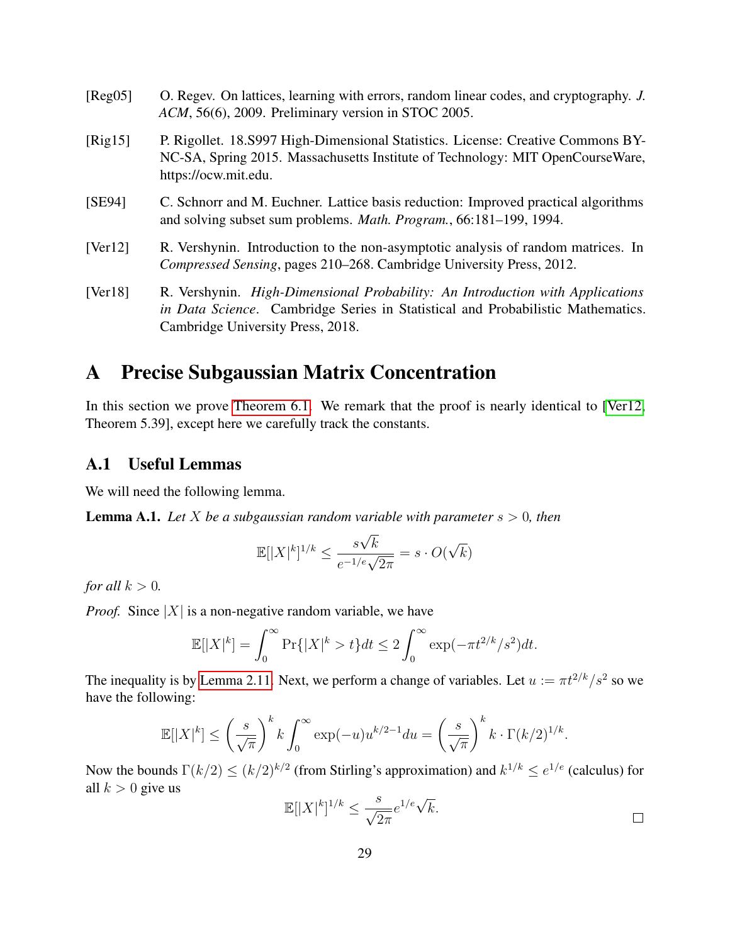<span id="page-28-5"></span><span id="page-28-4"></span><span id="page-28-0"></span>

| [ $Reg05$ ]     | O. Regev. On lattices, learning with errors, random linear codes, and cryptography. J.<br>ACM, 56(6), 2009. Preliminary version in STOC 2005.                                             |
|-----------------|-------------------------------------------------------------------------------------------------------------------------------------------------------------------------------------------|
| $[{\rm Rig15}]$ | P. Rigollet. 18.S997 High-Dimensional Statistics. License: Creative Commons BY-<br>NC-SA, Spring 2015. Massachusetts Institute of Technology: MIT OpenCourseWare,<br>https://ocw.mit.edu. |
| [SE94]          | C. Schnorr and M. Euchner. Lattice basis reduction: Improved practical algorithms<br>and solving subset sum problems. <i>Math. Program.</i> , 66:181–199, 1994.                           |
| [Ver12]         | R. Vershynin. Introduction to the non-asymptotic analysis of random matrices. In<br>Compressed Sensing, pages 210–268. Cambridge University Press, 2012.                                  |
| [Ver18]         | R. Vershynin. <i>High-Dimensional Probability: An Introduction with Applications</i><br>in Data Science. Cambridge Series in Statistical and Probabilistic Mathematics.                   |

### <span id="page-28-3"></span><span id="page-28-2"></span>A Precise Subgaussian Matrix Concentration

<span id="page-28-1"></span>Cambridge University Press, 2018.

In this section we prove [Theorem 6.1.](#page-21-1) We remark that the proof is nearly identical to [\[Ver12,](#page-28-1) Theorem 5.39], except here we carefully track the constants.

#### A.1 Useful Lemmas

We will need the following lemma.

**Lemma A.1.** Let X be a subgaussian random variable with parameter  $s > 0$ , then

<span id="page-28-6"></span>
$$
\mathbb{E}[|X|^k]^{1/k} \le \frac{s\sqrt{k}}{e^{-1/e}\sqrt{2\pi}} = s \cdot O(\sqrt{k})
$$

*for all*  $k > 0$ *.* 

*Proof.* Since  $|X|$  is a non-negative random variable, we have

$$
\mathbb{E}[|X|^k] = \int_0^\infty \Pr\{|X|^k > t\} dt \le 2 \int_0^\infty \exp(-\pi t^{2/k}/s^2) dt.
$$

The inequality is by [Lemma 2.11.](#page-10-3) Next, we perform a change of variables. Let  $u := \pi t^{2/k}/s^2$  so we have the following:

$$
\mathbb{E}[|X|^k] \le \left(\frac{s}{\sqrt{\pi}}\right)^k k \int_0^\infty \exp(-u) u^{k/2-1} du = \left(\frac{s}{\sqrt{\pi}}\right)^k k \cdot \Gamma(k/2)^{1/k}.
$$

Now the bounds  $\Gamma(k/2) \le (k/2)^{k/2}$  (from Stirling's approximation) and  $k^{1/k} \le e^{1/e}$  (calculus) for all  $k > 0$  give us

$$
\mathbb{E}[|X|^k]^{1/k} \le \frac{s}{\sqrt{2\pi}} e^{1/e\sqrt{k}}.
$$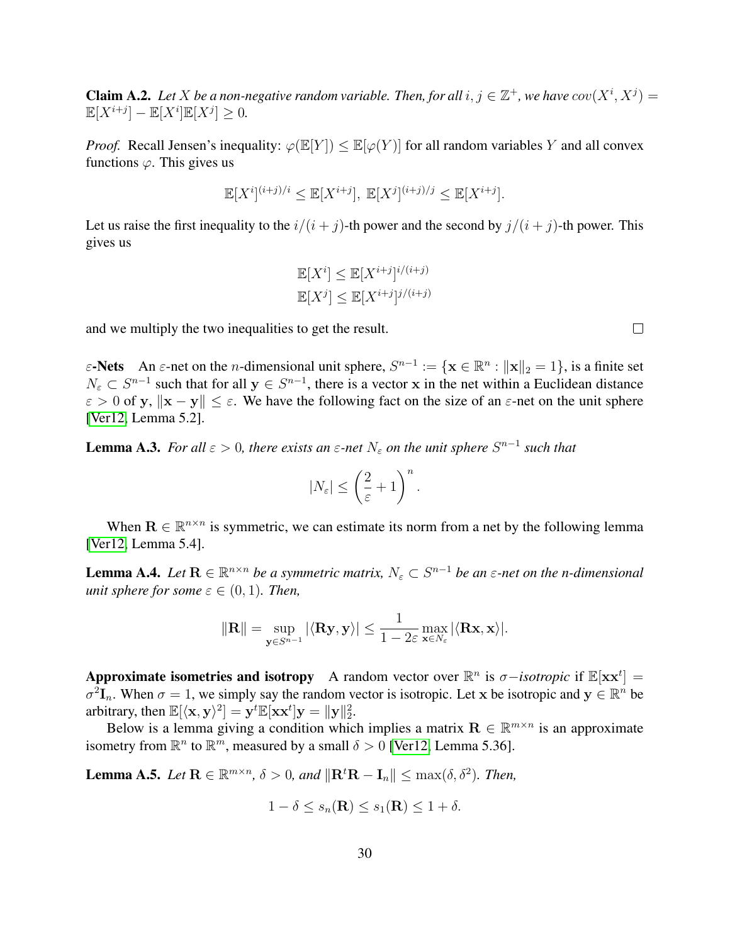<span id="page-29-0"></span>**Claim A.2.** Let X be a non-negative random variable. Then, for all  $i, j \in \mathbb{Z}^+$ , we have  $cov(X^i, X^j)$  =  $\mathbb{E}[X^{i+j}] - \mathbb{E}[X^i]\mathbb{E}[X^j] \geq 0.$ 

*Proof.* Recall Jensen's inequality:  $\varphi(\mathbb{E}[Y]) \leq \mathbb{E}[\varphi(Y)]$  for all random variables Y and all convex functions  $\varphi$ . This gives us

$$
\mathbb{E}[X^{i}]^{(i+j)/i} \le \mathbb{E}[X^{i+j}], \ \mathbb{E}[X^{j}]^{(i+j)/j} \le \mathbb{E}[X^{i+j}].
$$

Let us raise the first inequality to the  $i/(i + j)$ -th power and the second by  $j/(i + j)$ -th power. This gives us

$$
\mathbb{E}[X^i] \le \mathbb{E}[X^{i+j}]^{i/(i+j)}
$$

$$
\mathbb{E}[X^j] \le \mathbb{E}[X^{i+j}]^{j/(i+j)}
$$

and we multiply the two inequalities to get the result.

 $\varepsilon$ -Nets An  $\varepsilon$ -net on the *n*-dimensional unit sphere,  $S^{n-1} := \{ \mathbf{x} \in \mathbb{R}^n : ||\mathbf{x}||_2 = 1 \}$ , is a finite set  $N_{\varepsilon} \subset S^{n-1}$  such that for all  $y \in S^{n-1}$ , there is a vector x in the net within a Euclidean distance  $\varepsilon > 0$  of y,  $\|\mathbf{x} - \mathbf{y}\| \le \varepsilon$ . We have the following fact on the size of an  $\varepsilon$ -net on the unit sphere [\[Ver12,](#page-28-1) Lemma 5.2].

**Lemma A.3.** *For all*  $\varepsilon > 0$ , there exists an  $\varepsilon$ -net  $N_{\varepsilon}$  on the unit sphere  $S^{n-1}$  such that

<span id="page-29-3"></span>
$$
|N_{\varepsilon}| \leq \left(\frac{2}{{\varepsilon}}+1\right)^n.
$$

When  $\mathbf{R} \in \mathbb{R}^{n \times n}$  is symmetric, we can estimate its norm from a net by the following lemma [\[Ver12,](#page-28-1) Lemma 5.4].

**Lemma A.4.** Let  $\mathbf{R} \in \mathbb{R}^{n \times n}$  be a symmetric matrix,  $N_{\varepsilon} \subset S^{n-1}$  be an  $\varepsilon$ -net on the n-dimensional *unit sphere for some*  $\varepsilon \in (0,1)$ *. Then,* 

<span id="page-29-2"></span>
$$
\|\mathbf{R}\| = \sup_{\mathbf{y} \in S^{n-1}} |\langle \mathbf{R} \mathbf{y}, \mathbf{y} \rangle| \le \frac{1}{1 - 2\varepsilon} \max_{\mathbf{x} \in N_{\varepsilon}} |\langle \mathbf{R} \mathbf{x}, \mathbf{x} \rangle|.
$$

**Approximate isometries and isotropy** A random vector over  $\mathbb{R}^n$  is  $\sigma$ -*isotropic* if  $\mathbb{E}[\mathbf{x} \mathbf{x}^t]$  =  $\sigma^2 \mathbf{I}_n$ . When  $\sigma = 1$ , we simply say the random vector is isotropic. Let x be isotropic and  $\mathbf{y} \in \mathbb{R}^n$  be arbitrary, then  $\mathbb{E}[\langle \mathbf{x}, \mathbf{y} \rangle^2] = \mathbf{y}^t \mathbb{E}[\mathbf{x} \mathbf{x}^t] \mathbf{y} = ||\mathbf{y}||_2^2$ .

Below is a lemma giving a condition which implies a matrix  $\mathbf{R} \in \mathbb{R}^{m \times n}$  is an approximate isometry from  $\mathbb{R}^n$  to  $\mathbb{R}^m$ , measured by a small  $\delta > 0$  [\[Ver12,](#page-28-1) Lemma 5.36].

**Lemma A.5.** *Let*  $\mathbf{R} \in \mathbb{R}^{m \times n}$ ,  $\delta > 0$ , and  $\|\mathbf{R}^t \mathbf{R} - \mathbf{I}_n\| \leq \max(\delta, \delta^2)$ . *Then*,

<span id="page-29-1"></span>
$$
1 - \delta \le s_n(\mathbf{R}) \le s_1(\mathbf{R}) \le 1 + \delta.
$$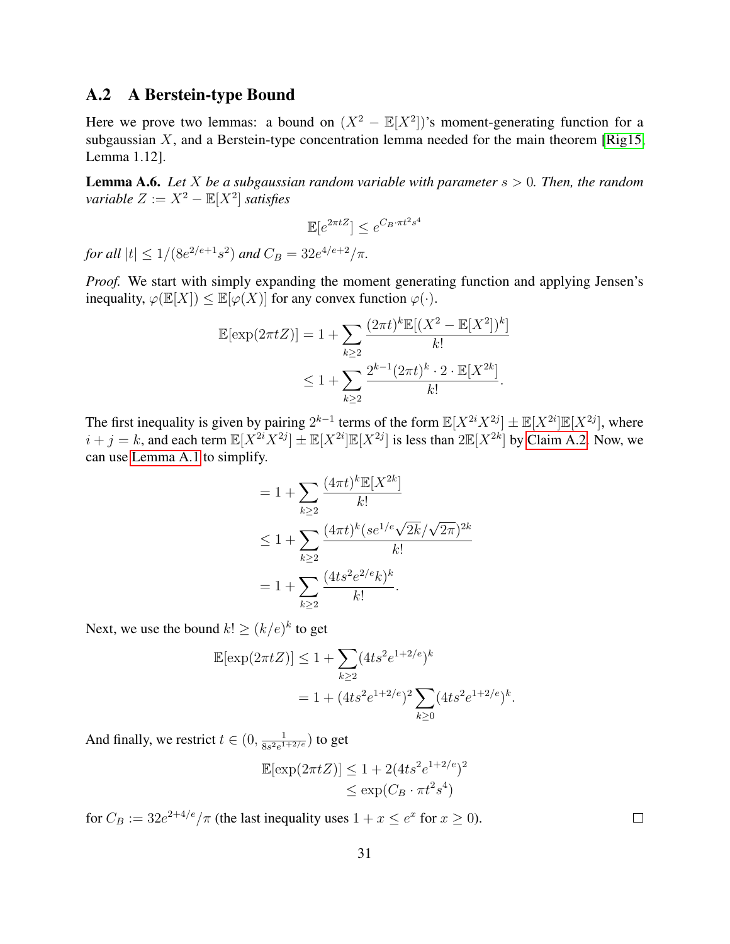### A.2 A Berstein-type Bound

Here we prove two lemmas: a bound on  $(X^2 - \mathbb{E}[X^2])$ 's moment-generating function for a subgaussian  $X$ , and a Berstein-type concentration lemma needed for the main theorem [\[Rig15,](#page-28-5) Lemma 1.12].

<span id="page-30-0"></span>Lemma A.6. *Let* X *be a subgaussian random variable with parameter* s > 0*. Then, the random variable*  $Z := X^2 - \mathbb{E}[X^2]$  *satisfies* 

$$
\mathbb{E}[e^{2\pi tZ}] \le e^{C_B \cdot \pi t^2 s^4}
$$

*for all*  $|t| \le 1/(8e^{2/e+1}s^2)$  *and*  $C_B = 32e^{4/e+2}/\pi$ *.* 

*Proof.* We start with simply expanding the moment generating function and applying Jensen's inequality,  $\varphi(\mathbb{E}[X]) \leq \mathbb{E}[\varphi(X)]$  for any convex function  $\varphi(\cdot)$ .

$$
\mathbb{E}[\exp(2\pi t Z)] = 1 + \sum_{k \ge 2} \frac{(2\pi t)^k \mathbb{E}[(X^2 - \mathbb{E}[X^2])^k]}{k!}
$$
  
 
$$
\le 1 + \sum_{k \ge 2} \frac{2^{k-1} (2\pi t)^k \cdot 2 \cdot \mathbb{E}[X^{2k}]}{k!}.
$$

The first inequality is given by pairing  $2^{k-1}$  terms of the form  $\mathbb{E}[X^{2i}X^{2j}] \pm \mathbb{E}[X^{2i}]\mathbb{E}[X^{2j}]$ , where  $i + j = k$ , and each term  $\mathbb{E}[X^{2i}X^{2j}] \pm \mathbb{E}[X^{2i}]\mathbb{E}[X^{2j}]$  is less than  $2\mathbb{E}[X^{2k}]$  by [Claim A.2.](#page-29-0) Now, we can use [Lemma A.1](#page-28-6) to simplify.

$$
= 1 + \sum_{k \ge 2} \frac{(4\pi t)^k \mathbb{E}[X^{2k}]}{k!}
$$
  
\n
$$
\le 1 + \sum_{k \ge 2} \frac{(4\pi t)^k (se^{1/e}\sqrt{2k}/\sqrt{2\pi})^{2k}}{k!}
$$
  
\n
$$
= 1 + \sum_{k \ge 2} \frac{(4ts^2e^{2/e}k)^k}{k!}.
$$

Next, we use the bound  $k! \geq (k/e)^k$  to get

$$
\mathbb{E}[\exp(2\pi tZ)] \le 1 + \sum_{k\ge 2} (4ts^2e^{1+2/e})^k
$$
  
= 1 + (4ts^2e^{1+2/e})^2 \sum\_{k\ge 0} (4ts^2e^{1+2/e})^k.

And finally, we restrict  $t \in (0, \frac{1}{8e^2 \epsilon^2})$  $\frac{1}{8s^2e^{1+2/e}})$  to get

$$
\mathbb{E}[\exp(2\pi tZ)] \le 1 + 2(4ts^2e^{1+2/e})^2
$$
  

$$
\le \exp(C_B \cdot \pi t^2s^4)
$$

<span id="page-30-1"></span>for  $C_B := 32e^{2+4/e}/\pi$  (the last inequality uses  $1 + x \le e^x$  for  $x \ge 0$ ).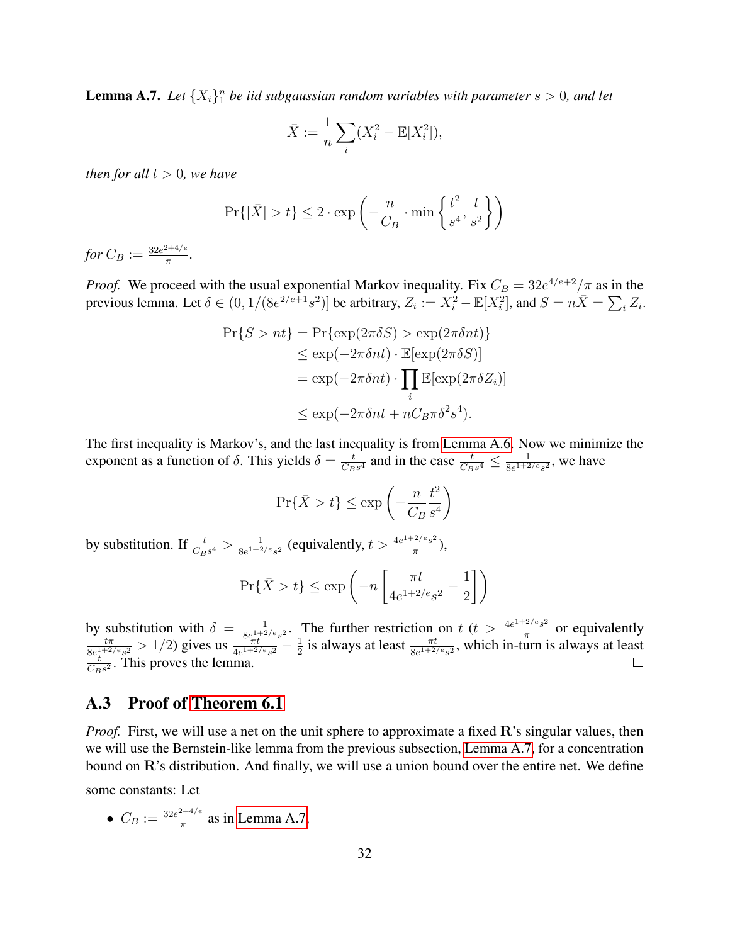**Lemma A.7.** Let  $\{X_i\}_1^n$  be iid subgaussian random variables with parameter  $s > 0$ , and let

$$
\bar{X} := \frac{1}{n} \sum_{i} (X_i^2 - \mathbb{E}[X_i^2]),
$$

*then for all*  $t > 0$ *, we have* 

$$
\Pr\{|\bar{X}| > t\} \le 2 \cdot \exp\left(-\frac{n}{C_B} \cdot \min\left\{\frac{t^2}{s^4}, \frac{t}{s^2}\right\}\right)
$$

for  $C_B := \frac{32 e^{2+4/e}}{\pi}$  $\frac{\pi}{\pi}$ .

*Proof.* We proceed with the usual exponential Markov inequality. Fix  $C_B = 32e^{4/e+2}/\pi$  as in the previous lemma. Let  $\delta \in (0, 1/(8e^{2/e+1}s^2)]$  be arbitrary,  $Z_i := X_i^2 - \mathbb{E}[X_i^2]$ , and  $S = n\overline{X} = \sum_i Z_i$ .

$$
\Pr\{S > nt\} = \Pr\{\exp(2\pi\delta S) > \exp(2\pi\delta nt)\}\
$$

$$
\leq \exp(-2\pi\delta nt) \cdot \mathbb{E}[\exp(2\pi\delta S)]
$$

$$
= \exp(-2\pi\delta nt) \cdot \prod_{i} \mathbb{E}[\exp(2\pi\delta Z_i)]
$$

$$
\leq \exp(-2\pi\delta nt + nC_B\pi\delta^2 s^4).
$$

The first inequality is Markov's, and the last inequality is from [Lemma A.6.](#page-30-0) Now we minimize the exponent as a function of  $\delta$ . This yields  $\delta = \frac{t}{C_R}$  $\frac{t}{C_B s^4}$  and in the case  $\frac{t}{C_B s^4} \leq \frac{1}{8e^{1+2}}$  $\frac{1}{8e^{1+2/e}s^2}$ , we have

$$
\Pr\{\bar{X} > t\} \le \exp\left(-\frac{n}{C_B} \frac{t^2}{s^4}\right)
$$

by substitution. If  $\frac{t}{C_B s^4} > \frac{1}{8e^{1+2}}$  $\frac{1}{8e^{1+2/e_s^2}}$  (equivalently,  $t > \frac{4e^{1+2/e_s^2}}{\pi}$  $\frac{\pi^{2/\epsilon}s^2}{\pi}),$ 

$$
\Pr\{\bar{X} > t\} \le \exp\left(-n\left[\frac{\pi t}{4e^{1+2/e}s^2} - \frac{1}{2}\right]\right)
$$

by substitution with  $\delta = \frac{1}{8e^{1+2}}$  $\frac{1}{8e^{1+2/e}s^2}$ . The further restriction on  $t$  ( $t > \frac{4e^{1+2/e}s^2}{\pi}$  $\frac{z}{\pi}$  or equivalently tπ  $\frac{t\pi}{8e^{1+2/e_s^2}} > 1/2$ ) gives us  $\frac{c}{4e^{1+2/e_s^2}} - \frac{1}{2}$  $\frac{1}{2}$  is always at least  $\frac{\pi t}{8e^{1+2/e_s^2}}$ , which in-turn is always at least t  $\frac{t}{C_B s^2}$ . This proves the lemma.

#### A.3 Proof of [Theorem 6.1](#page-21-1)

*Proof.* First, we will use a net on the unit sphere to approximate a fixed R's singular values, then we will use the Bernstein-like lemma from the previous subsection, [Lemma A.7,](#page-30-1) for a concentration bound on R's distribution. And finally, we will use a union bound over the entire net. We define

some constants: Let

• 
$$
C_B := \frac{32e^{2+4/e}}{\pi}
$$
 as in Lemma A.7,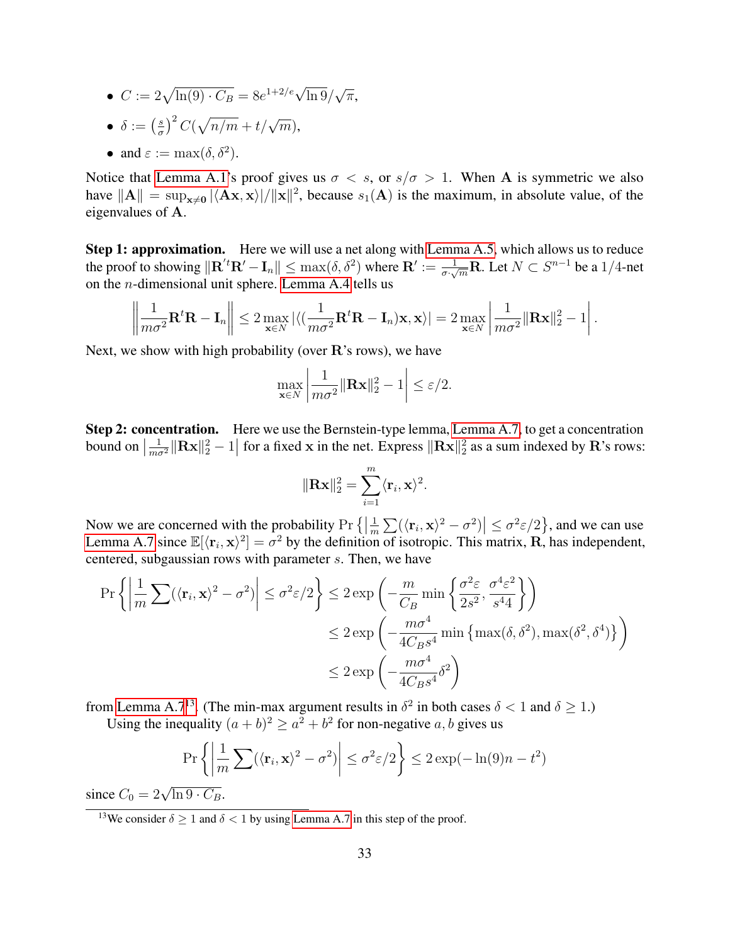•  $C := 2\sqrt{\ln(9) \cdot C_B} = 8e^{1+2/e}\sqrt{\ln 9}/$ √  $\overline{\pi},$ 

• 
$$
\delta := \left(\frac{s}{\sigma}\right)^2 C(\sqrt{n/m} + t/\sqrt{m}),
$$

• and  $\varepsilon := \max(\delta, \delta^2)$ .

Notice that [Lemma A.1'](#page-28-6)s proof gives us  $\sigma < s$ , or  $s/\sigma > 1$ . When A is symmetric we also have  $||A|| = \sup_{x \neq 0} |\langle Ax, x \rangle|/||x||^2$ , because  $s_1(A)$  is the maximum, in absolute value, of the eigenvalues of A.

Step 1: approximation. Here we will use a net along with [Lemma A.5,](#page-29-1) which allows us to reduce the proof to showing  $\|\mathbf{R}'^t\mathbf{R}' - \mathbf{I}_n\| \leq \max(\delta, \delta^2)$  where  $\mathbf{R}':= \frac{1}{\sigma \cdot \sqrt{m}}\mathbf{R}$ . Let  $N \subset S^{n-1}$  be a 1/4-net on the n-dimensional unit sphere. [Lemma A.4](#page-29-2) tells us

$$
\left\|\frac{1}{m\sigma^2}\mathbf{R}^t\mathbf{R}-\mathbf{I}_n\right\|\leq 2\max_{\mathbf{x}\in N}|\langle(\frac{1}{m\sigma^2}\mathbf{R}^t\mathbf{R}-\mathbf{I}_n)\mathbf{x},\mathbf{x}\rangle|=2\max_{\mathbf{x}\in N}\left|\frac{1}{m\sigma^2}\|\mathbf{R}\mathbf{x}\|_2^2-1\right|.
$$

Next, we show with high probability (over  $\mathbb{R}^3$  rows), we have

$$
\max_{\mathbf{x}\in N} \left| \frac{1}{m\sigma^2} \|\mathbf{R}\mathbf{x}\|_2^2 - 1 \right| \le \varepsilon/2.
$$

Step 2: concentration. Here we use the Bernstein-type lemma, [Lemma A.7,](#page-30-1) to get a concentration bound on  $\left|\frac{1}{m\sigma^2}\right| \|\mathbf{Rx}\|_2^2 - 1$  for a fixed x in the net. Express  $\|\mathbf{Rx}\|_2^2$  as a sum indexed by  $\mathbf{R}$ 's rows:

$$
\|\mathbf{R}\mathbf{x}\|_2^2 = \sum_{i=1}^m \langle \mathbf{r}_i, \mathbf{x} \rangle^2.
$$

Now we are concerned with the probability  $\Pr\left\{\left|\frac{1}{m}\right|\right\}$  $\frac{1}{m} \sum (\langle \mathbf{r}_i, \mathbf{x} \rangle^2 - \sigma^2) \leq \sigma^2 \varepsilon / 2$ , and we can use [Lemma A.7](#page-30-1) since  $\mathbb{E}[\langle \mathbf{r}_i, \mathbf{x} \rangle^2] = \sigma^2$  by the definition of isotropic. This matrix, R, has independent, centered, subgaussian rows with parameter s. Then, we have

$$
\Pr\left\{\left|\frac{1}{m}\sum(\langle\mathbf{r}_i,\mathbf{x}\rangle^2-\sigma^2)\right|\leq \sigma^2\varepsilon/2\right\} \leq 2\exp\left(-\frac{m}{C_B}\min\left\{\frac{\sigma^2\varepsilon}{2s^2},\frac{\sigma^4\varepsilon^2}{s^44}\right\}\right)
$$

$$
\leq 2\exp\left(-\frac{m\sigma^4}{4C_Bs^4}\min\left\{\max(\delta,\delta^2),\max(\delta^2,\delta^4)\right\}\right)
$$

$$
\leq 2\exp\left(-\frac{m\sigma^4}{4C_Bs^4}\delta^2\right)
$$

from [Lemma A.7](#page-30-1)<sup>[13](#page-32-0)</sup>. (The min-max argument results in  $\delta^2$  in both cases  $\delta < 1$  and  $\delta \ge 1$ .) Using the inequality  $(a + b)^2 \ge a^2 + b^2$  for non-negative a, b gives us

$$
\Pr\left\{ \left| \frac{1}{m} \sum (\langle \mathbf{r}_i, \mathbf{x} \rangle^2 - \sigma^2) \right| \le \sigma^2 \varepsilon / 2 \right\} \le 2 \exp(-\ln(9) n - t^2)
$$

since  $C_0 = 2\sqrt{\ln 9 \cdot C_B}$ .

<span id="page-32-0"></span><sup>&</sup>lt;sup>13</sup>We consider  $\delta \ge 1$  and  $\delta < 1$  by using [Lemma A.7](#page-30-1) in this step of the proof.